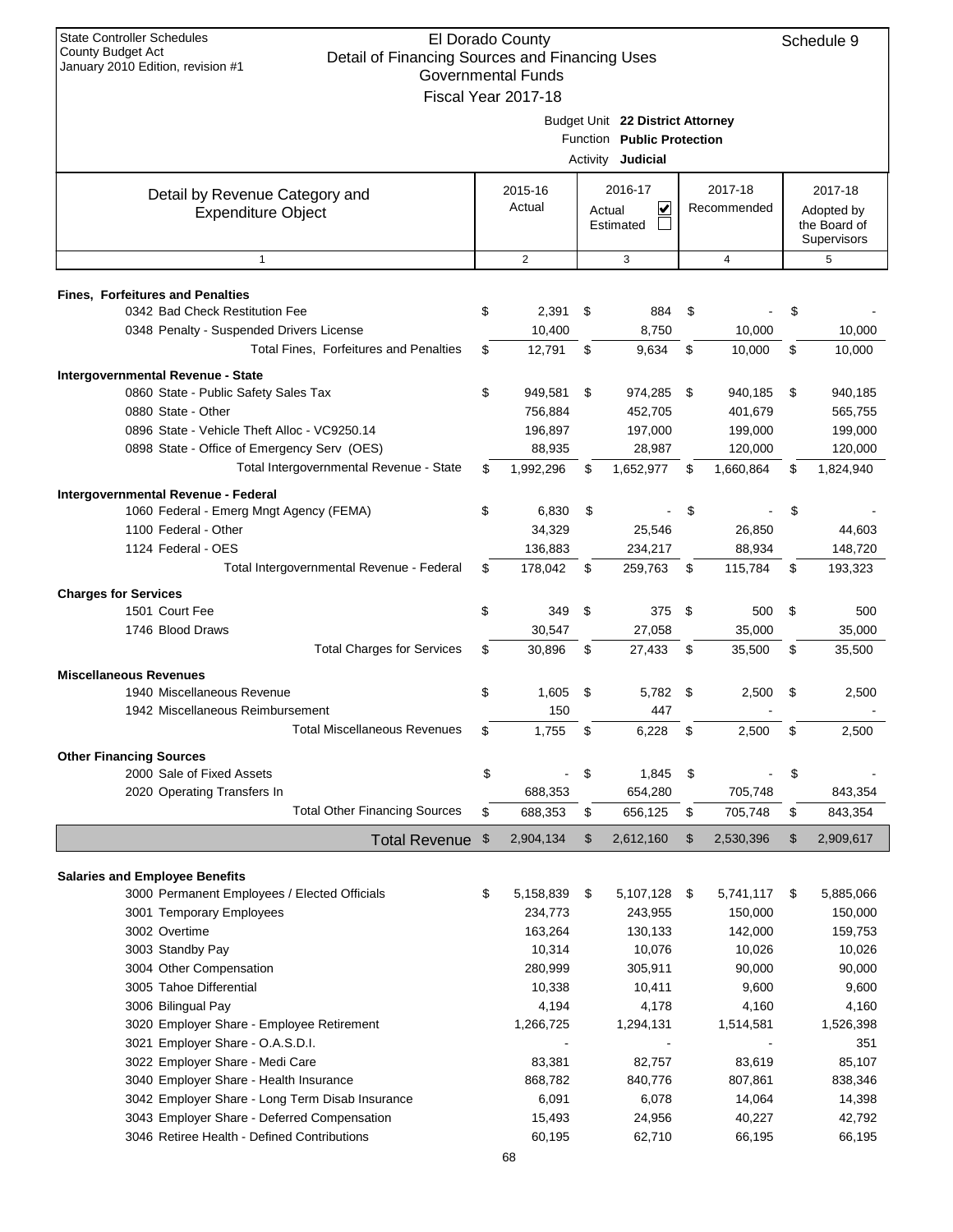| Detail of Financing Sources and Financing Uses<br>January 2010 Edition, revision #1<br><b>Governmental Funds</b><br>Fiscal Year 2017-18<br>Budget Unit 22 District Attorney<br>Function Public Protection<br>Activity Judicial<br>2016-17<br>2017-18<br>2015-16<br>2017-18<br>Detail by Revenue Category and<br>Actual<br>⊻<br>Recommended<br>Actual<br>Adopted by<br><b>Expenditure Object</b><br>the Board of<br>Estimated<br>Supervisors<br>$\overline{2}$<br>$\mathbf{1}$<br>3<br>$\overline{4}$<br>5<br><b>Fines, Forfeitures and Penalties</b><br>0342 Bad Check Restitution Fee<br>\$<br>2,391<br>\$<br>884<br>\$<br>\$<br>0348 Penalty - Suspended Drivers License<br>8,750<br>10,000<br>10,400<br>10,000<br>Total Fines, Forfeitures and Penalties<br>12,791<br>\$<br>9,634<br>\$<br>10,000<br>\$<br>\$<br>10,000<br>Intergovernmental Revenue - State<br>0860 State - Public Safety Sales Tax<br>\$<br>949,581<br>\$<br>974,285<br>\$<br>940,185<br>\$<br>940,185<br>0880 State - Other<br>756,884<br>452,705<br>401,679<br>565,755<br>0896 State - Vehicle Theft Alloc - VC9250.14<br>196,897<br>197,000<br>199,000<br>199,000<br>0898 State - Office of Emergency Serv (OES)<br>88,935<br>28,987<br>120,000<br>120,000<br>Total Intergovernmental Revenue - State<br>\$<br>1,992,296<br>\$<br>1,652,977<br>\$<br>1,660,864<br>\$<br>1,824,940<br>Intergovernmental Revenue - Federal<br>1060 Federal - Emerg Mngt Agency (FEMA)<br>\$<br>6,830<br>\$<br>\$<br>\$<br>1100 Federal - Other<br>34,329<br>25,546<br>26,850<br>44,603<br>1124 Federal - OES<br>136,883<br>234,217<br>148,720<br>88,934<br>Total Intergovernmental Revenue - Federal<br>178,042<br>\$<br>\$<br>259,763<br>115,784<br>193,323<br>\$<br>\$<br><b>Charges for Services</b><br>\$<br>1501 Court Fee<br>\$<br>349<br>\$<br>375<br>500<br>\$<br>500<br>1746 Blood Draws<br>27,058<br>30,547<br>35,000<br>35,000<br><b>Total Charges for Services</b><br>\$<br>\$<br>\$<br>\$<br>30,896<br>27,433<br>35,500<br>35,500<br><b>Miscellaneous Revenues</b><br>1940 Miscellaneous Revenue<br>\$<br>2,500<br>1,605<br>\$<br>5,782<br>\$<br>2,500<br>\$<br>1942 Miscellaneous Reimbursement<br>150<br>447<br>Total Miscellaneous Revenues<br>\$<br>1,755<br>\$<br>6,228<br>\$<br>2,500<br>\$<br>2,500<br><b>Other Financing Sources</b><br>\$<br>\$<br>2000 Sale of Fixed Assets<br>1,845<br>\$<br>\$<br>2020 Operating Transfers In<br>688,353<br>654,280<br>705,748<br>843,354<br><b>Total Other Financing Sources</b><br>656,125<br>\$<br>688,353<br>\$<br>705,748<br>843,354<br>\$<br>\$<br>\$<br>\$<br>2,909,617<br>\$<br>2,904,134<br>2,612,160<br>\$<br>2,530,396<br><b>Total Revenue</b><br><b>Salaries and Employee Benefits</b><br>3000 Permanent Employees / Elected Officials<br>\$<br>5,158,839<br>5,107,128<br>5,885,066<br>\$<br>5,741,117<br>\$<br>- \$<br>3001 Temporary Employees<br>234,773<br>150,000<br>243,955<br>150,000<br>3002 Overtime<br>163,264<br>130,133<br>159,753<br>142,000<br>3003 Standby Pay<br>10,314<br>10,076<br>10,026<br>10,026<br>3004 Other Compensation<br>280,999<br>90,000<br>305,911<br>90,000<br>3005 Tahoe Differential<br>10,338<br>9,600<br>10,411<br>9,600<br>3006 Bilingual Pay<br>4,194<br>4,178<br>4,160<br>4,160<br>3020 Employer Share - Employee Retirement<br>1,266,725<br>1,294,131<br>1,514,581<br>1,526,398<br>3021 Employer Share - O.A.S.D.I.<br>351<br>3022 Employer Share - Medi Care<br>83,381<br>82,757<br>83,619<br>85,107<br>3040 Employer Share - Health Insurance<br>868,782<br>807,861<br>838,346<br>840,776<br>3042 Employer Share - Long Term Disab Insurance<br>6,078<br>14,398<br>6,091<br>14,064<br>3043 Employer Share - Deferred Compensation<br>24,956<br>42,792<br>15,493<br>40,227<br>3046 Retiree Health - Defined Contributions<br>60,195<br>62,710<br>66,195<br>66,195 | <b>State Controller Schedules</b> | El Dorado County |  |  | Schedule 9 |
|--------------------------------------------------------------------------------------------------------------------------------------------------------------------------------------------------------------------------------------------------------------------------------------------------------------------------------------------------------------------------------------------------------------------------------------------------------------------------------------------------------------------------------------------------------------------------------------------------------------------------------------------------------------------------------------------------------------------------------------------------------------------------------------------------------------------------------------------------------------------------------------------------------------------------------------------------------------------------------------------------------------------------------------------------------------------------------------------------------------------------------------------------------------------------------------------------------------------------------------------------------------------------------------------------------------------------------------------------------------------------------------------------------------------------------------------------------------------------------------------------------------------------------------------------------------------------------------------------------------------------------------------------------------------------------------------------------------------------------------------------------------------------------------------------------------------------------------------------------------------------------------------------------------------------------------------------------------------------------------------------------------------------------------------------------------------------------------------------------------------------------------------------------------------------------------------------------------------------------------------------------------------------------------------------------------------------------------------------------------------------------------------------------------------------------------------------------------------------------------------------------------------------------------------------------------------------------------------------------------------------------------------------------------------------------------------------------------------------------------------------------------------------------------------------------------------------------------------------------------------------------------------------------------------------------------------------------------------------------------------------------------------------------------------------------------------------------------------------------------------------------------------------------------------------------------------------------------------------------------------------------------------------------------------------------------------------------------------------------------------------------------------------------------------------------------------------------------------------------------------------------------------------------------------------------------------------------------------------------------------------------------------------------------------------------------------------------------------------------------------------------------------------------------------------------------------------------------|-----------------------------------|------------------|--|--|------------|
|                                                                                                                                                                                                                                                                                                                                                                                                                                                                                                                                                                                                                                                                                                                                                                                                                                                                                                                                                                                                                                                                                                                                                                                                                                                                                                                                                                                                                                                                                                                                                                                                                                                                                                                                                                                                                                                                                                                                                                                                                                                                                                                                                                                                                                                                                                                                                                                                                                                                                                                                                                                                                                                                                                                                                                                                                                                                                                                                                                                                                                                                                                                                                                                                                                                                                                                                                                                                                                                                                                                                                                                                                                                                                                                                                                                                                                      | County Budget Act                 |                  |  |  |            |
|                                                                                                                                                                                                                                                                                                                                                                                                                                                                                                                                                                                                                                                                                                                                                                                                                                                                                                                                                                                                                                                                                                                                                                                                                                                                                                                                                                                                                                                                                                                                                                                                                                                                                                                                                                                                                                                                                                                                                                                                                                                                                                                                                                                                                                                                                                                                                                                                                                                                                                                                                                                                                                                                                                                                                                                                                                                                                                                                                                                                                                                                                                                                                                                                                                                                                                                                                                                                                                                                                                                                                                                                                                                                                                                                                                                                                                      |                                   |                  |  |  |            |
|                                                                                                                                                                                                                                                                                                                                                                                                                                                                                                                                                                                                                                                                                                                                                                                                                                                                                                                                                                                                                                                                                                                                                                                                                                                                                                                                                                                                                                                                                                                                                                                                                                                                                                                                                                                                                                                                                                                                                                                                                                                                                                                                                                                                                                                                                                                                                                                                                                                                                                                                                                                                                                                                                                                                                                                                                                                                                                                                                                                                                                                                                                                                                                                                                                                                                                                                                                                                                                                                                                                                                                                                                                                                                                                                                                                                                                      |                                   |                  |  |  |            |
|                                                                                                                                                                                                                                                                                                                                                                                                                                                                                                                                                                                                                                                                                                                                                                                                                                                                                                                                                                                                                                                                                                                                                                                                                                                                                                                                                                                                                                                                                                                                                                                                                                                                                                                                                                                                                                                                                                                                                                                                                                                                                                                                                                                                                                                                                                                                                                                                                                                                                                                                                                                                                                                                                                                                                                                                                                                                                                                                                                                                                                                                                                                                                                                                                                                                                                                                                                                                                                                                                                                                                                                                                                                                                                                                                                                                                                      |                                   |                  |  |  |            |
|                                                                                                                                                                                                                                                                                                                                                                                                                                                                                                                                                                                                                                                                                                                                                                                                                                                                                                                                                                                                                                                                                                                                                                                                                                                                                                                                                                                                                                                                                                                                                                                                                                                                                                                                                                                                                                                                                                                                                                                                                                                                                                                                                                                                                                                                                                                                                                                                                                                                                                                                                                                                                                                                                                                                                                                                                                                                                                                                                                                                                                                                                                                                                                                                                                                                                                                                                                                                                                                                                                                                                                                                                                                                                                                                                                                                                                      |                                   |                  |  |  |            |
|                                                                                                                                                                                                                                                                                                                                                                                                                                                                                                                                                                                                                                                                                                                                                                                                                                                                                                                                                                                                                                                                                                                                                                                                                                                                                                                                                                                                                                                                                                                                                                                                                                                                                                                                                                                                                                                                                                                                                                                                                                                                                                                                                                                                                                                                                                                                                                                                                                                                                                                                                                                                                                                                                                                                                                                                                                                                                                                                                                                                                                                                                                                                                                                                                                                                                                                                                                                                                                                                                                                                                                                                                                                                                                                                                                                                                                      |                                   |                  |  |  |            |
|                                                                                                                                                                                                                                                                                                                                                                                                                                                                                                                                                                                                                                                                                                                                                                                                                                                                                                                                                                                                                                                                                                                                                                                                                                                                                                                                                                                                                                                                                                                                                                                                                                                                                                                                                                                                                                                                                                                                                                                                                                                                                                                                                                                                                                                                                                                                                                                                                                                                                                                                                                                                                                                                                                                                                                                                                                                                                                                                                                                                                                                                                                                                                                                                                                                                                                                                                                                                                                                                                                                                                                                                                                                                                                                                                                                                                                      |                                   |                  |  |  |            |
|                                                                                                                                                                                                                                                                                                                                                                                                                                                                                                                                                                                                                                                                                                                                                                                                                                                                                                                                                                                                                                                                                                                                                                                                                                                                                                                                                                                                                                                                                                                                                                                                                                                                                                                                                                                                                                                                                                                                                                                                                                                                                                                                                                                                                                                                                                                                                                                                                                                                                                                                                                                                                                                                                                                                                                                                                                                                                                                                                                                                                                                                                                                                                                                                                                                                                                                                                                                                                                                                                                                                                                                                                                                                                                                                                                                                                                      |                                   |                  |  |  |            |
|                                                                                                                                                                                                                                                                                                                                                                                                                                                                                                                                                                                                                                                                                                                                                                                                                                                                                                                                                                                                                                                                                                                                                                                                                                                                                                                                                                                                                                                                                                                                                                                                                                                                                                                                                                                                                                                                                                                                                                                                                                                                                                                                                                                                                                                                                                                                                                                                                                                                                                                                                                                                                                                                                                                                                                                                                                                                                                                                                                                                                                                                                                                                                                                                                                                                                                                                                                                                                                                                                                                                                                                                                                                                                                                                                                                                                                      |                                   |                  |  |  |            |
|                                                                                                                                                                                                                                                                                                                                                                                                                                                                                                                                                                                                                                                                                                                                                                                                                                                                                                                                                                                                                                                                                                                                                                                                                                                                                                                                                                                                                                                                                                                                                                                                                                                                                                                                                                                                                                                                                                                                                                                                                                                                                                                                                                                                                                                                                                                                                                                                                                                                                                                                                                                                                                                                                                                                                                                                                                                                                                                                                                                                                                                                                                                                                                                                                                                                                                                                                                                                                                                                                                                                                                                                                                                                                                                                                                                                                                      |                                   |                  |  |  |            |
|                                                                                                                                                                                                                                                                                                                                                                                                                                                                                                                                                                                                                                                                                                                                                                                                                                                                                                                                                                                                                                                                                                                                                                                                                                                                                                                                                                                                                                                                                                                                                                                                                                                                                                                                                                                                                                                                                                                                                                                                                                                                                                                                                                                                                                                                                                                                                                                                                                                                                                                                                                                                                                                                                                                                                                                                                                                                                                                                                                                                                                                                                                                                                                                                                                                                                                                                                                                                                                                                                                                                                                                                                                                                                                                                                                                                                                      |                                   |                  |  |  |            |
|                                                                                                                                                                                                                                                                                                                                                                                                                                                                                                                                                                                                                                                                                                                                                                                                                                                                                                                                                                                                                                                                                                                                                                                                                                                                                                                                                                                                                                                                                                                                                                                                                                                                                                                                                                                                                                                                                                                                                                                                                                                                                                                                                                                                                                                                                                                                                                                                                                                                                                                                                                                                                                                                                                                                                                                                                                                                                                                                                                                                                                                                                                                                                                                                                                                                                                                                                                                                                                                                                                                                                                                                                                                                                                                                                                                                                                      |                                   |                  |  |  |            |
|                                                                                                                                                                                                                                                                                                                                                                                                                                                                                                                                                                                                                                                                                                                                                                                                                                                                                                                                                                                                                                                                                                                                                                                                                                                                                                                                                                                                                                                                                                                                                                                                                                                                                                                                                                                                                                                                                                                                                                                                                                                                                                                                                                                                                                                                                                                                                                                                                                                                                                                                                                                                                                                                                                                                                                                                                                                                                                                                                                                                                                                                                                                                                                                                                                                                                                                                                                                                                                                                                                                                                                                                                                                                                                                                                                                                                                      |                                   |                  |  |  |            |
|                                                                                                                                                                                                                                                                                                                                                                                                                                                                                                                                                                                                                                                                                                                                                                                                                                                                                                                                                                                                                                                                                                                                                                                                                                                                                                                                                                                                                                                                                                                                                                                                                                                                                                                                                                                                                                                                                                                                                                                                                                                                                                                                                                                                                                                                                                                                                                                                                                                                                                                                                                                                                                                                                                                                                                                                                                                                                                                                                                                                                                                                                                                                                                                                                                                                                                                                                                                                                                                                                                                                                                                                                                                                                                                                                                                                                                      |                                   |                  |  |  |            |
|                                                                                                                                                                                                                                                                                                                                                                                                                                                                                                                                                                                                                                                                                                                                                                                                                                                                                                                                                                                                                                                                                                                                                                                                                                                                                                                                                                                                                                                                                                                                                                                                                                                                                                                                                                                                                                                                                                                                                                                                                                                                                                                                                                                                                                                                                                                                                                                                                                                                                                                                                                                                                                                                                                                                                                                                                                                                                                                                                                                                                                                                                                                                                                                                                                                                                                                                                                                                                                                                                                                                                                                                                                                                                                                                                                                                                                      |                                   |                  |  |  |            |
|                                                                                                                                                                                                                                                                                                                                                                                                                                                                                                                                                                                                                                                                                                                                                                                                                                                                                                                                                                                                                                                                                                                                                                                                                                                                                                                                                                                                                                                                                                                                                                                                                                                                                                                                                                                                                                                                                                                                                                                                                                                                                                                                                                                                                                                                                                                                                                                                                                                                                                                                                                                                                                                                                                                                                                                                                                                                                                                                                                                                                                                                                                                                                                                                                                                                                                                                                                                                                                                                                                                                                                                                                                                                                                                                                                                                                                      |                                   |                  |  |  |            |
|                                                                                                                                                                                                                                                                                                                                                                                                                                                                                                                                                                                                                                                                                                                                                                                                                                                                                                                                                                                                                                                                                                                                                                                                                                                                                                                                                                                                                                                                                                                                                                                                                                                                                                                                                                                                                                                                                                                                                                                                                                                                                                                                                                                                                                                                                                                                                                                                                                                                                                                                                                                                                                                                                                                                                                                                                                                                                                                                                                                                                                                                                                                                                                                                                                                                                                                                                                                                                                                                                                                                                                                                                                                                                                                                                                                                                                      |                                   |                  |  |  |            |
|                                                                                                                                                                                                                                                                                                                                                                                                                                                                                                                                                                                                                                                                                                                                                                                                                                                                                                                                                                                                                                                                                                                                                                                                                                                                                                                                                                                                                                                                                                                                                                                                                                                                                                                                                                                                                                                                                                                                                                                                                                                                                                                                                                                                                                                                                                                                                                                                                                                                                                                                                                                                                                                                                                                                                                                                                                                                                                                                                                                                                                                                                                                                                                                                                                                                                                                                                                                                                                                                                                                                                                                                                                                                                                                                                                                                                                      |                                   |                  |  |  |            |
|                                                                                                                                                                                                                                                                                                                                                                                                                                                                                                                                                                                                                                                                                                                                                                                                                                                                                                                                                                                                                                                                                                                                                                                                                                                                                                                                                                                                                                                                                                                                                                                                                                                                                                                                                                                                                                                                                                                                                                                                                                                                                                                                                                                                                                                                                                                                                                                                                                                                                                                                                                                                                                                                                                                                                                                                                                                                                                                                                                                                                                                                                                                                                                                                                                                                                                                                                                                                                                                                                                                                                                                                                                                                                                                                                                                                                                      |                                   |                  |  |  |            |
|                                                                                                                                                                                                                                                                                                                                                                                                                                                                                                                                                                                                                                                                                                                                                                                                                                                                                                                                                                                                                                                                                                                                                                                                                                                                                                                                                                                                                                                                                                                                                                                                                                                                                                                                                                                                                                                                                                                                                                                                                                                                                                                                                                                                                                                                                                                                                                                                                                                                                                                                                                                                                                                                                                                                                                                                                                                                                                                                                                                                                                                                                                                                                                                                                                                                                                                                                                                                                                                                                                                                                                                                                                                                                                                                                                                                                                      |                                   |                  |  |  |            |
|                                                                                                                                                                                                                                                                                                                                                                                                                                                                                                                                                                                                                                                                                                                                                                                                                                                                                                                                                                                                                                                                                                                                                                                                                                                                                                                                                                                                                                                                                                                                                                                                                                                                                                                                                                                                                                                                                                                                                                                                                                                                                                                                                                                                                                                                                                                                                                                                                                                                                                                                                                                                                                                                                                                                                                                                                                                                                                                                                                                                                                                                                                                                                                                                                                                                                                                                                                                                                                                                                                                                                                                                                                                                                                                                                                                                                                      |                                   |                  |  |  |            |
|                                                                                                                                                                                                                                                                                                                                                                                                                                                                                                                                                                                                                                                                                                                                                                                                                                                                                                                                                                                                                                                                                                                                                                                                                                                                                                                                                                                                                                                                                                                                                                                                                                                                                                                                                                                                                                                                                                                                                                                                                                                                                                                                                                                                                                                                                                                                                                                                                                                                                                                                                                                                                                                                                                                                                                                                                                                                                                                                                                                                                                                                                                                                                                                                                                                                                                                                                                                                                                                                                                                                                                                                                                                                                                                                                                                                                                      |                                   |                  |  |  |            |
|                                                                                                                                                                                                                                                                                                                                                                                                                                                                                                                                                                                                                                                                                                                                                                                                                                                                                                                                                                                                                                                                                                                                                                                                                                                                                                                                                                                                                                                                                                                                                                                                                                                                                                                                                                                                                                                                                                                                                                                                                                                                                                                                                                                                                                                                                                                                                                                                                                                                                                                                                                                                                                                                                                                                                                                                                                                                                                                                                                                                                                                                                                                                                                                                                                                                                                                                                                                                                                                                                                                                                                                                                                                                                                                                                                                                                                      |                                   |                  |  |  |            |
|                                                                                                                                                                                                                                                                                                                                                                                                                                                                                                                                                                                                                                                                                                                                                                                                                                                                                                                                                                                                                                                                                                                                                                                                                                                                                                                                                                                                                                                                                                                                                                                                                                                                                                                                                                                                                                                                                                                                                                                                                                                                                                                                                                                                                                                                                                                                                                                                                                                                                                                                                                                                                                                                                                                                                                                                                                                                                                                                                                                                                                                                                                                                                                                                                                                                                                                                                                                                                                                                                                                                                                                                                                                                                                                                                                                                                                      |                                   |                  |  |  |            |
|                                                                                                                                                                                                                                                                                                                                                                                                                                                                                                                                                                                                                                                                                                                                                                                                                                                                                                                                                                                                                                                                                                                                                                                                                                                                                                                                                                                                                                                                                                                                                                                                                                                                                                                                                                                                                                                                                                                                                                                                                                                                                                                                                                                                                                                                                                                                                                                                                                                                                                                                                                                                                                                                                                                                                                                                                                                                                                                                                                                                                                                                                                                                                                                                                                                                                                                                                                                                                                                                                                                                                                                                                                                                                                                                                                                                                                      |                                   |                  |  |  |            |
|                                                                                                                                                                                                                                                                                                                                                                                                                                                                                                                                                                                                                                                                                                                                                                                                                                                                                                                                                                                                                                                                                                                                                                                                                                                                                                                                                                                                                                                                                                                                                                                                                                                                                                                                                                                                                                                                                                                                                                                                                                                                                                                                                                                                                                                                                                                                                                                                                                                                                                                                                                                                                                                                                                                                                                                                                                                                                                                                                                                                                                                                                                                                                                                                                                                                                                                                                                                                                                                                                                                                                                                                                                                                                                                                                                                                                                      |                                   |                  |  |  |            |
|                                                                                                                                                                                                                                                                                                                                                                                                                                                                                                                                                                                                                                                                                                                                                                                                                                                                                                                                                                                                                                                                                                                                                                                                                                                                                                                                                                                                                                                                                                                                                                                                                                                                                                                                                                                                                                                                                                                                                                                                                                                                                                                                                                                                                                                                                                                                                                                                                                                                                                                                                                                                                                                                                                                                                                                                                                                                                                                                                                                                                                                                                                                                                                                                                                                                                                                                                                                                                                                                                                                                                                                                                                                                                                                                                                                                                                      |                                   |                  |  |  |            |
|                                                                                                                                                                                                                                                                                                                                                                                                                                                                                                                                                                                                                                                                                                                                                                                                                                                                                                                                                                                                                                                                                                                                                                                                                                                                                                                                                                                                                                                                                                                                                                                                                                                                                                                                                                                                                                                                                                                                                                                                                                                                                                                                                                                                                                                                                                                                                                                                                                                                                                                                                                                                                                                                                                                                                                                                                                                                                                                                                                                                                                                                                                                                                                                                                                                                                                                                                                                                                                                                                                                                                                                                                                                                                                                                                                                                                                      |                                   |                  |  |  |            |
|                                                                                                                                                                                                                                                                                                                                                                                                                                                                                                                                                                                                                                                                                                                                                                                                                                                                                                                                                                                                                                                                                                                                                                                                                                                                                                                                                                                                                                                                                                                                                                                                                                                                                                                                                                                                                                                                                                                                                                                                                                                                                                                                                                                                                                                                                                                                                                                                                                                                                                                                                                                                                                                                                                                                                                                                                                                                                                                                                                                                                                                                                                                                                                                                                                                                                                                                                                                                                                                                                                                                                                                                                                                                                                                                                                                                                                      |                                   |                  |  |  |            |
|                                                                                                                                                                                                                                                                                                                                                                                                                                                                                                                                                                                                                                                                                                                                                                                                                                                                                                                                                                                                                                                                                                                                                                                                                                                                                                                                                                                                                                                                                                                                                                                                                                                                                                                                                                                                                                                                                                                                                                                                                                                                                                                                                                                                                                                                                                                                                                                                                                                                                                                                                                                                                                                                                                                                                                                                                                                                                                                                                                                                                                                                                                                                                                                                                                                                                                                                                                                                                                                                                                                                                                                                                                                                                                                                                                                                                                      |                                   |                  |  |  |            |
|                                                                                                                                                                                                                                                                                                                                                                                                                                                                                                                                                                                                                                                                                                                                                                                                                                                                                                                                                                                                                                                                                                                                                                                                                                                                                                                                                                                                                                                                                                                                                                                                                                                                                                                                                                                                                                                                                                                                                                                                                                                                                                                                                                                                                                                                                                                                                                                                                                                                                                                                                                                                                                                                                                                                                                                                                                                                                                                                                                                                                                                                                                                                                                                                                                                                                                                                                                                                                                                                                                                                                                                                                                                                                                                                                                                                                                      |                                   |                  |  |  |            |
|                                                                                                                                                                                                                                                                                                                                                                                                                                                                                                                                                                                                                                                                                                                                                                                                                                                                                                                                                                                                                                                                                                                                                                                                                                                                                                                                                                                                                                                                                                                                                                                                                                                                                                                                                                                                                                                                                                                                                                                                                                                                                                                                                                                                                                                                                                                                                                                                                                                                                                                                                                                                                                                                                                                                                                                                                                                                                                                                                                                                                                                                                                                                                                                                                                                                                                                                                                                                                                                                                                                                                                                                                                                                                                                                                                                                                                      |                                   |                  |  |  |            |
|                                                                                                                                                                                                                                                                                                                                                                                                                                                                                                                                                                                                                                                                                                                                                                                                                                                                                                                                                                                                                                                                                                                                                                                                                                                                                                                                                                                                                                                                                                                                                                                                                                                                                                                                                                                                                                                                                                                                                                                                                                                                                                                                                                                                                                                                                                                                                                                                                                                                                                                                                                                                                                                                                                                                                                                                                                                                                                                                                                                                                                                                                                                                                                                                                                                                                                                                                                                                                                                                                                                                                                                                                                                                                                                                                                                                                                      |                                   |                  |  |  |            |
|                                                                                                                                                                                                                                                                                                                                                                                                                                                                                                                                                                                                                                                                                                                                                                                                                                                                                                                                                                                                                                                                                                                                                                                                                                                                                                                                                                                                                                                                                                                                                                                                                                                                                                                                                                                                                                                                                                                                                                                                                                                                                                                                                                                                                                                                                                                                                                                                                                                                                                                                                                                                                                                                                                                                                                                                                                                                                                                                                                                                                                                                                                                                                                                                                                                                                                                                                                                                                                                                                                                                                                                                                                                                                                                                                                                                                                      |                                   |                  |  |  |            |
|                                                                                                                                                                                                                                                                                                                                                                                                                                                                                                                                                                                                                                                                                                                                                                                                                                                                                                                                                                                                                                                                                                                                                                                                                                                                                                                                                                                                                                                                                                                                                                                                                                                                                                                                                                                                                                                                                                                                                                                                                                                                                                                                                                                                                                                                                                                                                                                                                                                                                                                                                                                                                                                                                                                                                                                                                                                                                                                                                                                                                                                                                                                                                                                                                                                                                                                                                                                                                                                                                                                                                                                                                                                                                                                                                                                                                                      |                                   |                  |  |  |            |
|                                                                                                                                                                                                                                                                                                                                                                                                                                                                                                                                                                                                                                                                                                                                                                                                                                                                                                                                                                                                                                                                                                                                                                                                                                                                                                                                                                                                                                                                                                                                                                                                                                                                                                                                                                                                                                                                                                                                                                                                                                                                                                                                                                                                                                                                                                                                                                                                                                                                                                                                                                                                                                                                                                                                                                                                                                                                                                                                                                                                                                                                                                                                                                                                                                                                                                                                                                                                                                                                                                                                                                                                                                                                                                                                                                                                                                      |                                   |                  |  |  |            |
|                                                                                                                                                                                                                                                                                                                                                                                                                                                                                                                                                                                                                                                                                                                                                                                                                                                                                                                                                                                                                                                                                                                                                                                                                                                                                                                                                                                                                                                                                                                                                                                                                                                                                                                                                                                                                                                                                                                                                                                                                                                                                                                                                                                                                                                                                                                                                                                                                                                                                                                                                                                                                                                                                                                                                                                                                                                                                                                                                                                                                                                                                                                                                                                                                                                                                                                                                                                                                                                                                                                                                                                                                                                                                                                                                                                                                                      |                                   |                  |  |  |            |
|                                                                                                                                                                                                                                                                                                                                                                                                                                                                                                                                                                                                                                                                                                                                                                                                                                                                                                                                                                                                                                                                                                                                                                                                                                                                                                                                                                                                                                                                                                                                                                                                                                                                                                                                                                                                                                                                                                                                                                                                                                                                                                                                                                                                                                                                                                                                                                                                                                                                                                                                                                                                                                                                                                                                                                                                                                                                                                                                                                                                                                                                                                                                                                                                                                                                                                                                                                                                                                                                                                                                                                                                                                                                                                                                                                                                                                      |                                   |                  |  |  |            |
|                                                                                                                                                                                                                                                                                                                                                                                                                                                                                                                                                                                                                                                                                                                                                                                                                                                                                                                                                                                                                                                                                                                                                                                                                                                                                                                                                                                                                                                                                                                                                                                                                                                                                                                                                                                                                                                                                                                                                                                                                                                                                                                                                                                                                                                                                                                                                                                                                                                                                                                                                                                                                                                                                                                                                                                                                                                                                                                                                                                                                                                                                                                                                                                                                                                                                                                                                                                                                                                                                                                                                                                                                                                                                                                                                                                                                                      |                                   |                  |  |  |            |
|                                                                                                                                                                                                                                                                                                                                                                                                                                                                                                                                                                                                                                                                                                                                                                                                                                                                                                                                                                                                                                                                                                                                                                                                                                                                                                                                                                                                                                                                                                                                                                                                                                                                                                                                                                                                                                                                                                                                                                                                                                                                                                                                                                                                                                                                                                                                                                                                                                                                                                                                                                                                                                                                                                                                                                                                                                                                                                                                                                                                                                                                                                                                                                                                                                                                                                                                                                                                                                                                                                                                                                                                                                                                                                                                                                                                                                      |                                   |                  |  |  |            |
|                                                                                                                                                                                                                                                                                                                                                                                                                                                                                                                                                                                                                                                                                                                                                                                                                                                                                                                                                                                                                                                                                                                                                                                                                                                                                                                                                                                                                                                                                                                                                                                                                                                                                                                                                                                                                                                                                                                                                                                                                                                                                                                                                                                                                                                                                                                                                                                                                                                                                                                                                                                                                                                                                                                                                                                                                                                                                                                                                                                                                                                                                                                                                                                                                                                                                                                                                                                                                                                                                                                                                                                                                                                                                                                                                                                                                                      |                                   |                  |  |  |            |
|                                                                                                                                                                                                                                                                                                                                                                                                                                                                                                                                                                                                                                                                                                                                                                                                                                                                                                                                                                                                                                                                                                                                                                                                                                                                                                                                                                                                                                                                                                                                                                                                                                                                                                                                                                                                                                                                                                                                                                                                                                                                                                                                                                                                                                                                                                                                                                                                                                                                                                                                                                                                                                                                                                                                                                                                                                                                                                                                                                                                                                                                                                                                                                                                                                                                                                                                                                                                                                                                                                                                                                                                                                                                                                                                                                                                                                      |                                   |                  |  |  |            |
|                                                                                                                                                                                                                                                                                                                                                                                                                                                                                                                                                                                                                                                                                                                                                                                                                                                                                                                                                                                                                                                                                                                                                                                                                                                                                                                                                                                                                                                                                                                                                                                                                                                                                                                                                                                                                                                                                                                                                                                                                                                                                                                                                                                                                                                                                                                                                                                                                                                                                                                                                                                                                                                                                                                                                                                                                                                                                                                                                                                                                                                                                                                                                                                                                                                                                                                                                                                                                                                                                                                                                                                                                                                                                                                                                                                                                                      |                                   |                  |  |  |            |
|                                                                                                                                                                                                                                                                                                                                                                                                                                                                                                                                                                                                                                                                                                                                                                                                                                                                                                                                                                                                                                                                                                                                                                                                                                                                                                                                                                                                                                                                                                                                                                                                                                                                                                                                                                                                                                                                                                                                                                                                                                                                                                                                                                                                                                                                                                                                                                                                                                                                                                                                                                                                                                                                                                                                                                                                                                                                                                                                                                                                                                                                                                                                                                                                                                                                                                                                                                                                                                                                                                                                                                                                                                                                                                                                                                                                                                      |                                   |                  |  |  |            |
|                                                                                                                                                                                                                                                                                                                                                                                                                                                                                                                                                                                                                                                                                                                                                                                                                                                                                                                                                                                                                                                                                                                                                                                                                                                                                                                                                                                                                                                                                                                                                                                                                                                                                                                                                                                                                                                                                                                                                                                                                                                                                                                                                                                                                                                                                                                                                                                                                                                                                                                                                                                                                                                                                                                                                                                                                                                                                                                                                                                                                                                                                                                                                                                                                                                                                                                                                                                                                                                                                                                                                                                                                                                                                                                                                                                                                                      |                                   |                  |  |  |            |
|                                                                                                                                                                                                                                                                                                                                                                                                                                                                                                                                                                                                                                                                                                                                                                                                                                                                                                                                                                                                                                                                                                                                                                                                                                                                                                                                                                                                                                                                                                                                                                                                                                                                                                                                                                                                                                                                                                                                                                                                                                                                                                                                                                                                                                                                                                                                                                                                                                                                                                                                                                                                                                                                                                                                                                                                                                                                                                                                                                                                                                                                                                                                                                                                                                                                                                                                                                                                                                                                                                                                                                                                                                                                                                                                                                                                                                      |                                   |                  |  |  |            |
|                                                                                                                                                                                                                                                                                                                                                                                                                                                                                                                                                                                                                                                                                                                                                                                                                                                                                                                                                                                                                                                                                                                                                                                                                                                                                                                                                                                                                                                                                                                                                                                                                                                                                                                                                                                                                                                                                                                                                                                                                                                                                                                                                                                                                                                                                                                                                                                                                                                                                                                                                                                                                                                                                                                                                                                                                                                                                                                                                                                                                                                                                                                                                                                                                                                                                                                                                                                                                                                                                                                                                                                                                                                                                                                                                                                                                                      |                                   |                  |  |  |            |
|                                                                                                                                                                                                                                                                                                                                                                                                                                                                                                                                                                                                                                                                                                                                                                                                                                                                                                                                                                                                                                                                                                                                                                                                                                                                                                                                                                                                                                                                                                                                                                                                                                                                                                                                                                                                                                                                                                                                                                                                                                                                                                                                                                                                                                                                                                                                                                                                                                                                                                                                                                                                                                                                                                                                                                                                                                                                                                                                                                                                                                                                                                                                                                                                                                                                                                                                                                                                                                                                                                                                                                                                                                                                                                                                                                                                                                      |                                   |                  |  |  |            |
|                                                                                                                                                                                                                                                                                                                                                                                                                                                                                                                                                                                                                                                                                                                                                                                                                                                                                                                                                                                                                                                                                                                                                                                                                                                                                                                                                                                                                                                                                                                                                                                                                                                                                                                                                                                                                                                                                                                                                                                                                                                                                                                                                                                                                                                                                                                                                                                                                                                                                                                                                                                                                                                                                                                                                                                                                                                                                                                                                                                                                                                                                                                                                                                                                                                                                                                                                                                                                                                                                                                                                                                                                                                                                                                                                                                                                                      |                                   |                  |  |  |            |
|                                                                                                                                                                                                                                                                                                                                                                                                                                                                                                                                                                                                                                                                                                                                                                                                                                                                                                                                                                                                                                                                                                                                                                                                                                                                                                                                                                                                                                                                                                                                                                                                                                                                                                                                                                                                                                                                                                                                                                                                                                                                                                                                                                                                                                                                                                                                                                                                                                                                                                                                                                                                                                                                                                                                                                                                                                                                                                                                                                                                                                                                                                                                                                                                                                                                                                                                                                                                                                                                                                                                                                                                                                                                                                                                                                                                                                      |                                   |                  |  |  |            |
|                                                                                                                                                                                                                                                                                                                                                                                                                                                                                                                                                                                                                                                                                                                                                                                                                                                                                                                                                                                                                                                                                                                                                                                                                                                                                                                                                                                                                                                                                                                                                                                                                                                                                                                                                                                                                                                                                                                                                                                                                                                                                                                                                                                                                                                                                                                                                                                                                                                                                                                                                                                                                                                                                                                                                                                                                                                                                                                                                                                                                                                                                                                                                                                                                                                                                                                                                                                                                                                                                                                                                                                                                                                                                                                                                                                                                                      |                                   |                  |  |  |            |
|                                                                                                                                                                                                                                                                                                                                                                                                                                                                                                                                                                                                                                                                                                                                                                                                                                                                                                                                                                                                                                                                                                                                                                                                                                                                                                                                                                                                                                                                                                                                                                                                                                                                                                                                                                                                                                                                                                                                                                                                                                                                                                                                                                                                                                                                                                                                                                                                                                                                                                                                                                                                                                                                                                                                                                                                                                                                                                                                                                                                                                                                                                                                                                                                                                                                                                                                                                                                                                                                                                                                                                                                                                                                                                                                                                                                                                      |                                   |                  |  |  |            |
|                                                                                                                                                                                                                                                                                                                                                                                                                                                                                                                                                                                                                                                                                                                                                                                                                                                                                                                                                                                                                                                                                                                                                                                                                                                                                                                                                                                                                                                                                                                                                                                                                                                                                                                                                                                                                                                                                                                                                                                                                                                                                                                                                                                                                                                                                                                                                                                                                                                                                                                                                                                                                                                                                                                                                                                                                                                                                                                                                                                                                                                                                                                                                                                                                                                                                                                                                                                                                                                                                                                                                                                                                                                                                                                                                                                                                                      |                                   | GΩ.              |  |  |            |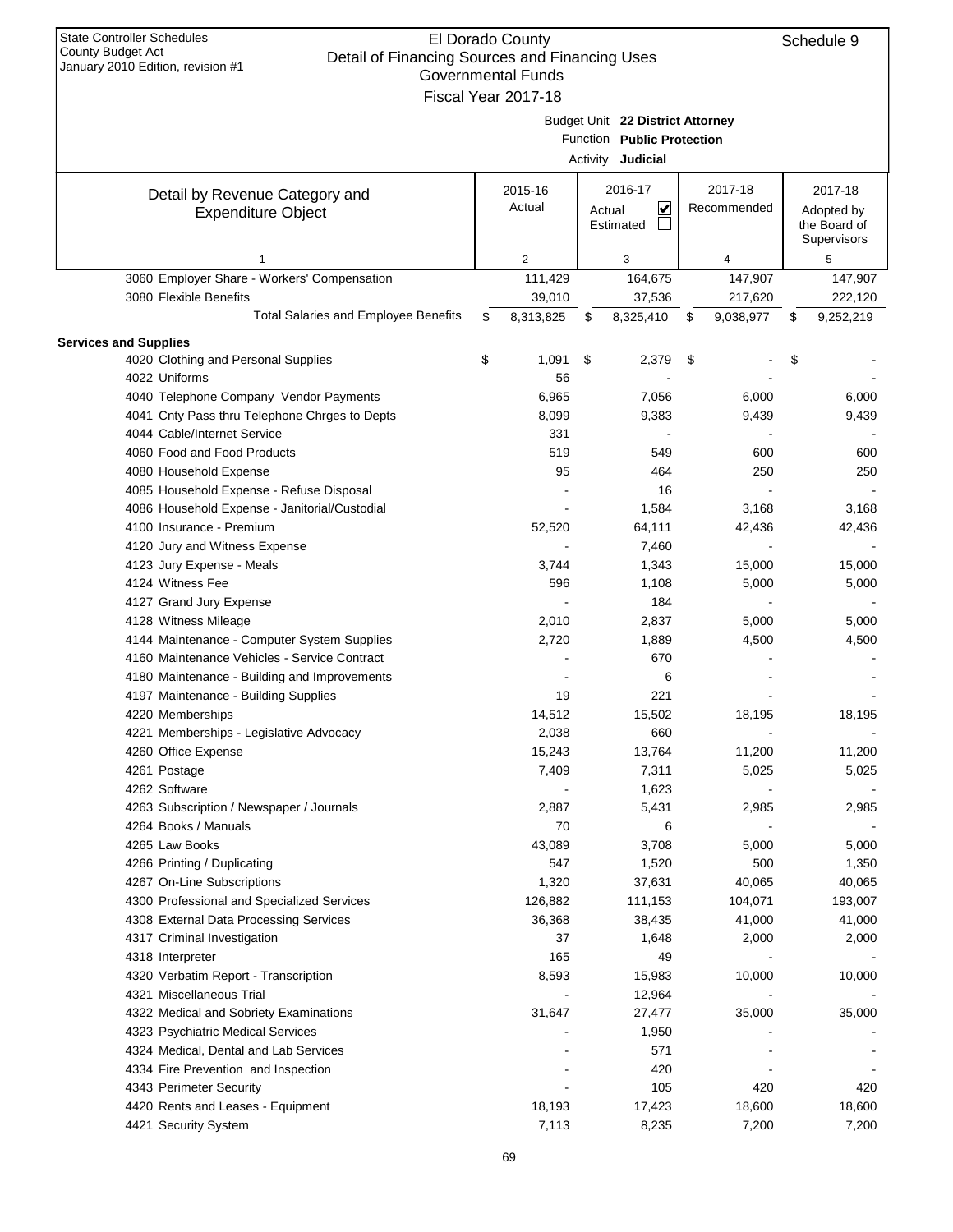| <b>State Controller Schedules</b><br>County Budget Act<br>Detail of Financing Sources and Financing Uses<br>January 2010 Edition, revision #1 | El Dorado County<br><b>Governmental Funds</b><br>Fiscal Year 2017-18 |        |                                                                                     |                        | Schedule 9                                           |
|-----------------------------------------------------------------------------------------------------------------------------------------------|----------------------------------------------------------------------|--------|-------------------------------------------------------------------------------------|------------------------|------------------------------------------------------|
|                                                                                                                                               |                                                                      |        | Budget Unit 22 District Attorney<br>Function Public Protection<br>Activity Judicial |                        |                                                      |
| Detail by Revenue Category and<br><b>Expenditure Object</b>                                                                                   | 2015-16<br>Actual                                                    | Actual | 2016-17<br>$\overline{\mathbf{v}}$<br>Estimated                                     | 2017-18<br>Recommended | 2017-18<br>Adopted by<br>the Board of<br>Supervisors |
| $\mathbf{1}$                                                                                                                                  | $\mathbf{2}$                                                         |        | 3                                                                                   | 4                      | 5                                                    |
| 3060 Employer Share - Workers' Compensation                                                                                                   | 111,429                                                              |        | 164,675                                                                             | 147,907                | 147,907                                              |
| 3080 Flexible Benefits                                                                                                                        | 39,010                                                               |        | 37,536                                                                              | 217,620                | 222,120                                              |
| <b>Total Salaries and Employee Benefits</b>                                                                                                   | \$<br>8,313,825                                                      | \$     | 8,325,410                                                                           | 9,038,977<br>\$        | \$<br>9,252,219                                      |
|                                                                                                                                               |                                                                      |        |                                                                                     |                        |                                                      |
| <b>Services and Supplies</b><br>4020 Clothing and Personal Supplies                                                                           | \$<br>1,091                                                          | \$     | 2,379                                                                               | \$                     | \$                                                   |
| 4022 Uniforms                                                                                                                                 |                                                                      |        |                                                                                     |                        |                                                      |
|                                                                                                                                               | 56                                                                   |        |                                                                                     |                        |                                                      |
| 4040 Telephone Company Vendor Payments                                                                                                        | 6,965                                                                |        | 7,056                                                                               | 6,000                  | 6,000                                                |
| 4041 Cnty Pass thru Telephone Chrges to Depts                                                                                                 | 8,099                                                                |        | 9,383                                                                               | 9,439                  | 9,439                                                |
| 4044 Cable/Internet Service                                                                                                                   | 331                                                                  |        |                                                                                     |                        |                                                      |
| 4060 Food and Food Products                                                                                                                   | 519                                                                  |        | 549                                                                                 | 600                    | 600                                                  |
| 4080 Household Expense                                                                                                                        | 95                                                                   |        | 464                                                                                 | 250                    | 250                                                  |
| 4085 Household Expense - Refuse Disposal                                                                                                      |                                                                      |        | 16                                                                                  |                        |                                                      |
| 4086 Household Expense - Janitorial/Custodial                                                                                                 |                                                                      |        | 1,584                                                                               | 3,168                  | 3,168                                                |
| 4100 Insurance - Premium                                                                                                                      | 52,520                                                               |        | 64,111                                                                              | 42,436                 | 42,436                                               |
| 4120 Jury and Witness Expense                                                                                                                 |                                                                      |        | 7,460                                                                               |                        |                                                      |
| 4123 Jury Expense - Meals                                                                                                                     | 3,744                                                                |        | 1,343                                                                               | 15,000                 | 15,000                                               |
| 4124 Witness Fee                                                                                                                              | 596                                                                  |        | 1,108                                                                               | 5,000                  | 5,000                                                |
| 4127 Grand Jury Expense                                                                                                                       |                                                                      |        | 184                                                                                 |                        |                                                      |
| 4128 Witness Mileage                                                                                                                          | 2,010                                                                |        | 2,837                                                                               | 5,000                  | 5,000                                                |
| 4144 Maintenance - Computer System Supplies                                                                                                   | 2,720                                                                |        | 1,889                                                                               | 4,500                  | 4,500                                                |
| 4160 Maintenance Vehicles - Service Contract                                                                                                  |                                                                      |        | 670                                                                                 |                        |                                                      |
| 4180 Maintenance - Building and Improvements                                                                                                  |                                                                      |        | 6                                                                                   |                        |                                                      |
| 4197 Maintenance - Building Supplies                                                                                                          | 19                                                                   |        | 221                                                                                 |                        |                                                      |
| 4220 Memberships                                                                                                                              | 14,512                                                               |        | 15,502                                                                              | 18,195                 | 18,195                                               |
| 4221 Memberships - Legislative Advocacy                                                                                                       | 2,038                                                                |        | 660                                                                                 |                        |                                                      |
| 4260 Office Expense                                                                                                                           | 15,243                                                               |        | 13,764                                                                              | 11,200                 | 11,200                                               |
| 4261 Postage                                                                                                                                  | 7,409                                                                |        | 7,311                                                                               | 5,025                  | 5,025                                                |
| 4262 Software                                                                                                                                 |                                                                      |        | 1,623                                                                               |                        |                                                      |
| 4263 Subscription / Newspaper / Journals                                                                                                      |                                                                      |        |                                                                                     |                        |                                                      |
|                                                                                                                                               | 2,887                                                                |        | 5,431                                                                               | 2,985                  | 2,985                                                |
| 4264 Books / Manuals                                                                                                                          | 70                                                                   |        | 6                                                                                   |                        |                                                      |
| 4265 Law Books                                                                                                                                | 43,089                                                               |        | 3,708                                                                               | 5,000                  | 5,000                                                |
| 4266 Printing / Duplicating                                                                                                                   | 547                                                                  |        | 1,520                                                                               | 500                    | 1,350                                                |
| 4267 On-Line Subscriptions                                                                                                                    | 1,320                                                                |        | 37,631                                                                              | 40,065                 | 40,065                                               |
| 4300 Professional and Specialized Services                                                                                                    | 126,882                                                              |        | 111,153                                                                             | 104,071                | 193,007                                              |
| 4308 External Data Processing Services                                                                                                        | 36,368                                                               |        | 38,435                                                                              | 41,000                 | 41,000                                               |
| 4317 Criminal Investigation                                                                                                                   | 37                                                                   |        | 1,648                                                                               | 2,000                  | 2,000                                                |
| 4318 Interpreter                                                                                                                              | 165                                                                  |        | 49                                                                                  |                        |                                                      |
| 4320 Verbatim Report - Transcription                                                                                                          | 8,593                                                                |        | 15,983                                                                              | 10,000                 | 10,000                                               |
| 4321 Miscellaneous Trial                                                                                                                      |                                                                      |        | 12,964                                                                              |                        |                                                      |
| 4322 Medical and Sobriety Examinations                                                                                                        | 31,647                                                               |        | 27,477                                                                              | 35,000                 | 35,000                                               |
| 4323 Psychiatric Medical Services                                                                                                             |                                                                      |        | 1,950                                                                               |                        |                                                      |
| 4324 Medical, Dental and Lab Services                                                                                                         |                                                                      |        | 571                                                                                 |                        |                                                      |
| 4334 Fire Prevention and Inspection                                                                                                           |                                                                      |        | 420                                                                                 |                        |                                                      |
| 4343 Perimeter Security                                                                                                                       |                                                                      |        | 105                                                                                 | 420                    | 420                                                  |
| 4420 Rents and Leases - Equipment                                                                                                             | 18,193                                                               |        | 17,423                                                                              | 18,600                 | 18,600                                               |
| 4421 Security System                                                                                                                          | 7,113                                                                |        | 8,235                                                                               | 7,200                  | 7,200                                                |
|                                                                                                                                               |                                                                      |        |                                                                                     |                        |                                                      |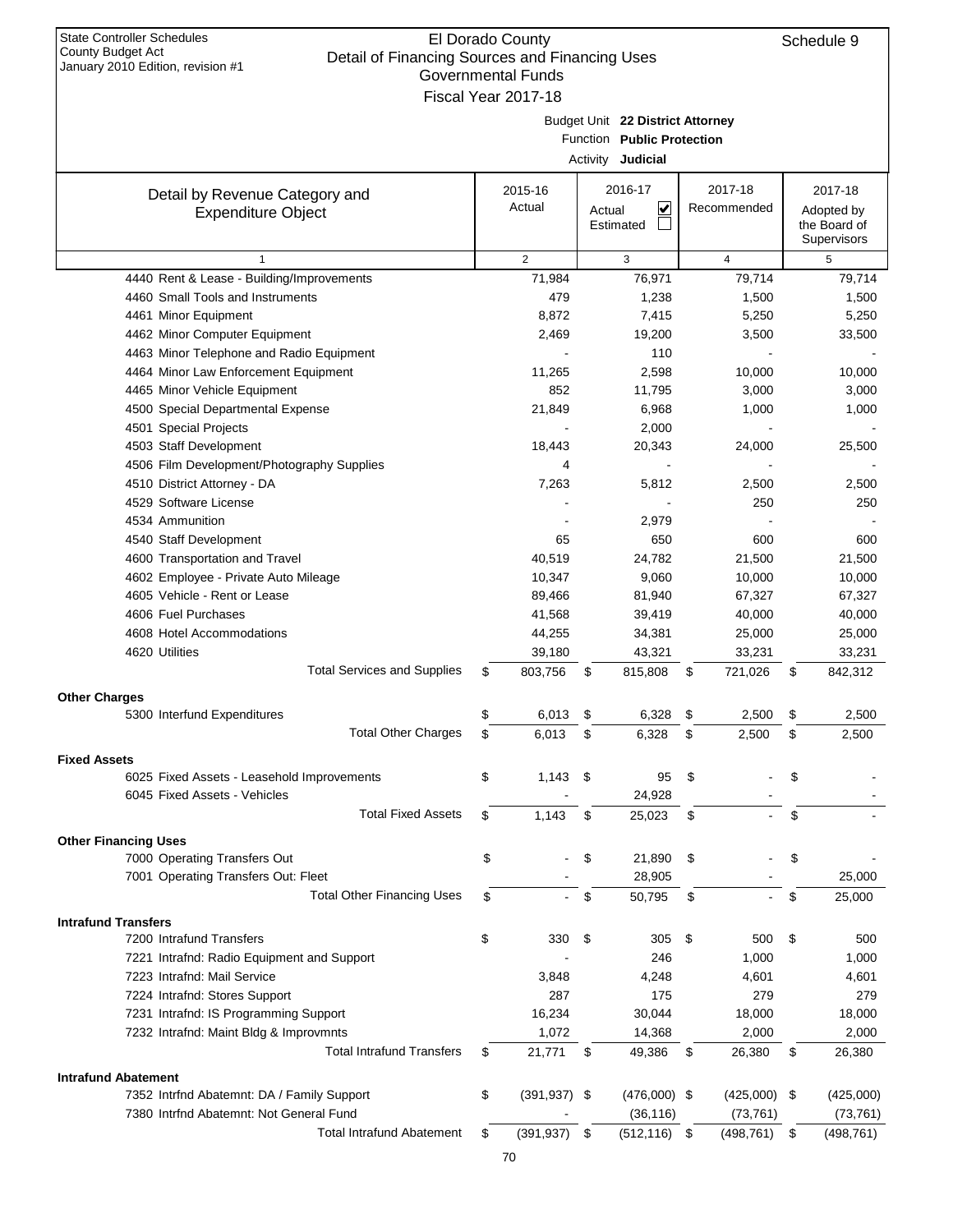| January 2010 Edition, revision #1                    |    | Governmental Funds  |      |                                   |    |                   |                   |
|------------------------------------------------------|----|---------------------|------|-----------------------------------|----|-------------------|-------------------|
|                                                      |    | Fiscal Year 2017-18 |      |                                   |    |                   |                   |
|                                                      |    |                     |      | Budget Unit 22 District Attorney  |    |                   |                   |
|                                                      |    |                     |      | Function Public Protection        |    |                   |                   |
|                                                      |    |                     |      | Activity Judicial                 |    |                   |                   |
|                                                      |    | 2015-16             |      | 2016-17                           |    | 2017-18           | 2017-18           |
| Detail by Revenue Category and                       |    | Actual              |      | $\overline{\mathbf{v}}$<br>Actual |    | Recommended       | Adopted by        |
| <b>Expenditure Object</b>                            |    |                     |      | Estimated                         |    |                   | the Board of      |
|                                                      |    |                     |      |                                   |    |                   | Supervisors       |
| $\mathbf{1}$                                         |    | $\overline{2}$      |      | 3                                 |    | $\overline{4}$    | 5                 |
| 4440 Rent & Lease - Building/Improvements            |    | 71,984              |      | 76,971                            |    | 79,714            | 79,714            |
| 4460 Small Tools and Instruments                     |    | 479                 |      | 1,238                             |    | 1,500             | 1,500             |
| 4461 Minor Equipment                                 |    | 8,872               |      | 7,415                             |    | 5,250             | 5,250             |
| 4462 Minor Computer Equipment                        |    | 2,469               |      | 19,200                            |    | 3,500             | 33,500            |
| 4463 Minor Telephone and Radio Equipment             |    |                     |      | 110                               |    |                   |                   |
| 4464 Minor Law Enforcement Equipment                 |    | 11,265              |      | 2,598                             |    | 10,000            | 10,000            |
| 4465 Minor Vehicle Equipment                         |    | 852                 |      | 11,795                            |    | 3,000             | 3,000             |
| 4500 Special Departmental Expense                    |    | 21,849              |      | 6,968                             |    | 1,000             | 1,000             |
| 4501 Special Projects                                |    |                     |      | 2,000                             |    |                   |                   |
| 4503 Staff Development                               |    | 18,443              |      | 20,343                            |    | 24,000            | 25,500            |
| 4506 Film Development/Photography Supplies           |    | 4                   |      |                                   |    |                   |                   |
| 4510 District Attorney - DA                          |    | 7,263               |      | 5,812                             |    | 2,500             | 2,500             |
| 4529 Software License                                |    |                     |      |                                   |    | 250               | 250               |
| 4534 Ammunition                                      |    |                     |      | 2,979                             |    |                   |                   |
| 4540 Staff Development                               |    | 65                  |      | 650                               |    | 600               | 600               |
| 4600 Transportation and Travel                       |    | 40,519              |      | 24,782                            |    | 21,500            | 21,500            |
| 4602 Employee - Private Auto Mileage                 |    | 10,347              |      | 9,060                             |    | 10,000            | 10,000            |
| 4605 Vehicle - Rent or Lease                         |    | 89,466              |      | 81,940                            |    | 67,327            | 67,327            |
| 4606 Fuel Purchases                                  |    | 41,568              |      | 39,419                            |    | 40,000            | 40,000            |
| 4608 Hotel Accommodations                            |    | 44,255              |      | 34,381                            |    | 25,000            | 25,000            |
| 4620 Utilities<br><b>Total Services and Supplies</b> | \$ | 39,180<br>803,756   |      | 43,321<br>815,808                 |    | 33,231<br>721,026 | 33,231<br>842,312 |
|                                                      |    |                     | \$   |                                   | \$ |                   | \$                |
| <b>Other Charges</b>                                 |    |                     |      |                                   |    |                   |                   |
| 5300 Interfund Expenditures                          | \$ | 6,013               | \$   | 6,328                             | \$ | 2,500             | \$<br>2,500       |
| <b>Total Other Charges</b>                           | \$ | 6,013               | \$   | 6,328                             | \$ | 2,500             | \$<br>2,500       |
| <b>Fixed Assets</b>                                  |    |                     |      |                                   |    |                   |                   |
| 6025 Fixed Assets - Leasehold Improvements           | \$ | 1,143               | \$   | 95                                | S  |                   |                   |
| 6045 Fixed Assets - Vehicles                         |    |                     |      | 24,928                            |    |                   |                   |
| <b>Total Fixed Assets</b>                            | \$ | 1,143               | \$   | 25,023                            | \$ |                   | \$                |
| <b>Other Financing Uses</b>                          |    |                     |      |                                   |    |                   |                   |
| 7000 Operating Transfers Out                         | \$ |                     | \$   | 21,890                            | \$ |                   | \$                |
| 7001 Operating Transfers Out: Fleet                  |    |                     |      | 28,905                            |    |                   | 25,000            |
| <b>Total Other Financing Uses</b>                    | \$ |                     | \$   | 50,795                            | \$ |                   | \$<br>25,000      |
| <b>Intrafund Transfers</b>                           |    |                     |      |                                   |    |                   |                   |
| 7200 Intrafund Transfers                             | \$ | 330                 | -\$  | 305                               | \$ | 500               | \$<br>500         |
| 7221 Intrafnd: Radio Equipment and Support           |    |                     |      | 246                               |    | 1,000             | 1,000             |
| 7223 Intrafnd: Mail Service                          |    | 3,848               |      | 4,248                             |    | 4,601             | 4,601             |
| 7224 Intrafnd: Stores Support                        |    | 287                 |      | 175                               |    | 279               | 279               |
| 7231 Intrafnd: IS Programming Support                |    | 16,234              |      | 30,044                            |    | 18,000            | 18,000            |
| 7232 Intrafnd: Maint Bldg & Improvmnts               |    | 1,072               |      | 14,368                            |    | 2,000             | 2,000             |
| <b>Total Intrafund Transfers</b>                     | S  | 21,771              | \$   | 49,386                            | \$ | 26,380            | \$<br>26,380      |
|                                                      |    |                     |      |                                   |    |                   |                   |
| <b>Intrafund Abatement</b>                           |    |                     |      |                                   |    |                   |                   |
| 7352 Intrfnd Abatemnt: DA / Family Support           | \$ | $(391, 937)$ \$     |      | $(476,000)$ \$                    |    | $(425,000)$ \$    | (425,000)         |
| 7380 Intrfnd Abatemnt: Not General Fund              |    |                     |      | (36, 116)                         |    | (73, 761)         | (73, 761)         |
| <b>Total Intrafund Abatement</b>                     | \$ | (391, 937)          | - \$ | $(512, 116)$ \$                   |    | (498, 761)        | \$<br>(498, 761)  |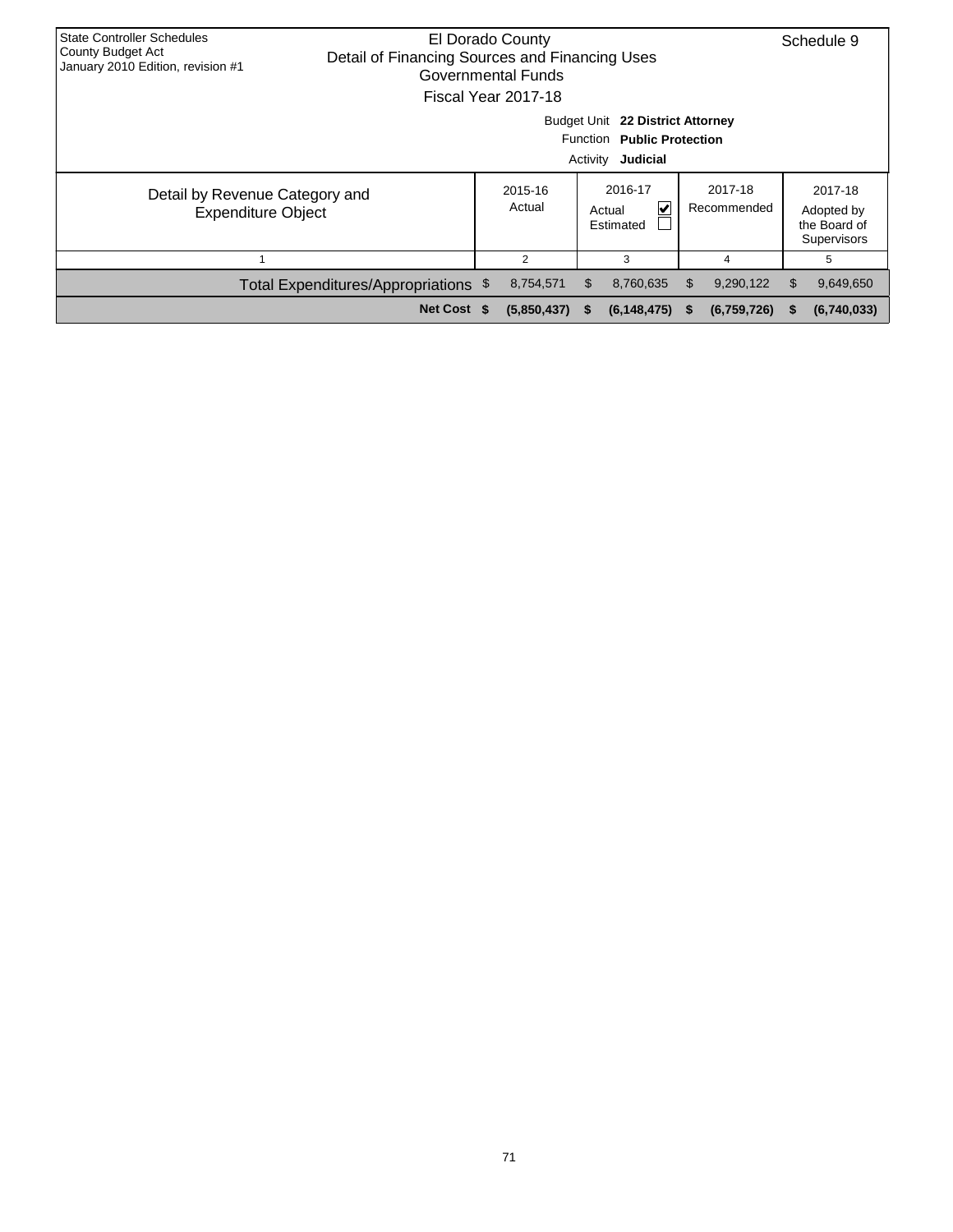| <b>State Controller Schedules</b><br>El Dorado County<br>County Budget Act<br>Detail of Financing Sources and Financing Uses<br>January 2010 Edition, revision #1<br><b>Governmental Funds</b><br>Fiscal Year 2017-18 |                                                                                        |  |                                                                                    |      |                    |     |             |    |                                                      |
|-----------------------------------------------------------------------------------------------------------------------------------------------------------------------------------------------------------------------|----------------------------------------------------------------------------------------|--|------------------------------------------------------------------------------------|------|--------------------|-----|-------------|----|------------------------------------------------------|
|                                                                                                                                                                                                                       | Budget Unit 22 District Attorney<br>Function Public Protection<br>Activity<br>Judicial |  |                                                                                    |      |                    |     |             |    |                                                      |
| Detail by Revenue Category and<br><b>Expenditure Object</b>                                                                                                                                                           |                                                                                        |  | 2016-17<br>2017-18<br>2015-16<br>Actual<br>V<br>Recommended<br>Actual<br>Estimated |      |                    |     |             |    | 2017-18<br>Adopted by<br>the Board of<br>Supervisors |
|                                                                                                                                                                                                                       |                                                                                        |  | 2                                                                                  |      | 3                  |     | 4           |    | 5                                                    |
|                                                                                                                                                                                                                       | Total Expenditures/Appropriations \$                                                   |  | 8,754,571                                                                          | \$.  | 8,760,635          | \$. | 9,290,122   | \$ | 9,649,650                                            |
|                                                                                                                                                                                                                       | Net Cost \$                                                                            |  | (5,850,437)                                                                        | - 56 | $(6, 148, 475)$ \$ |     | (6,759,726) | S  | (6,740,033)                                          |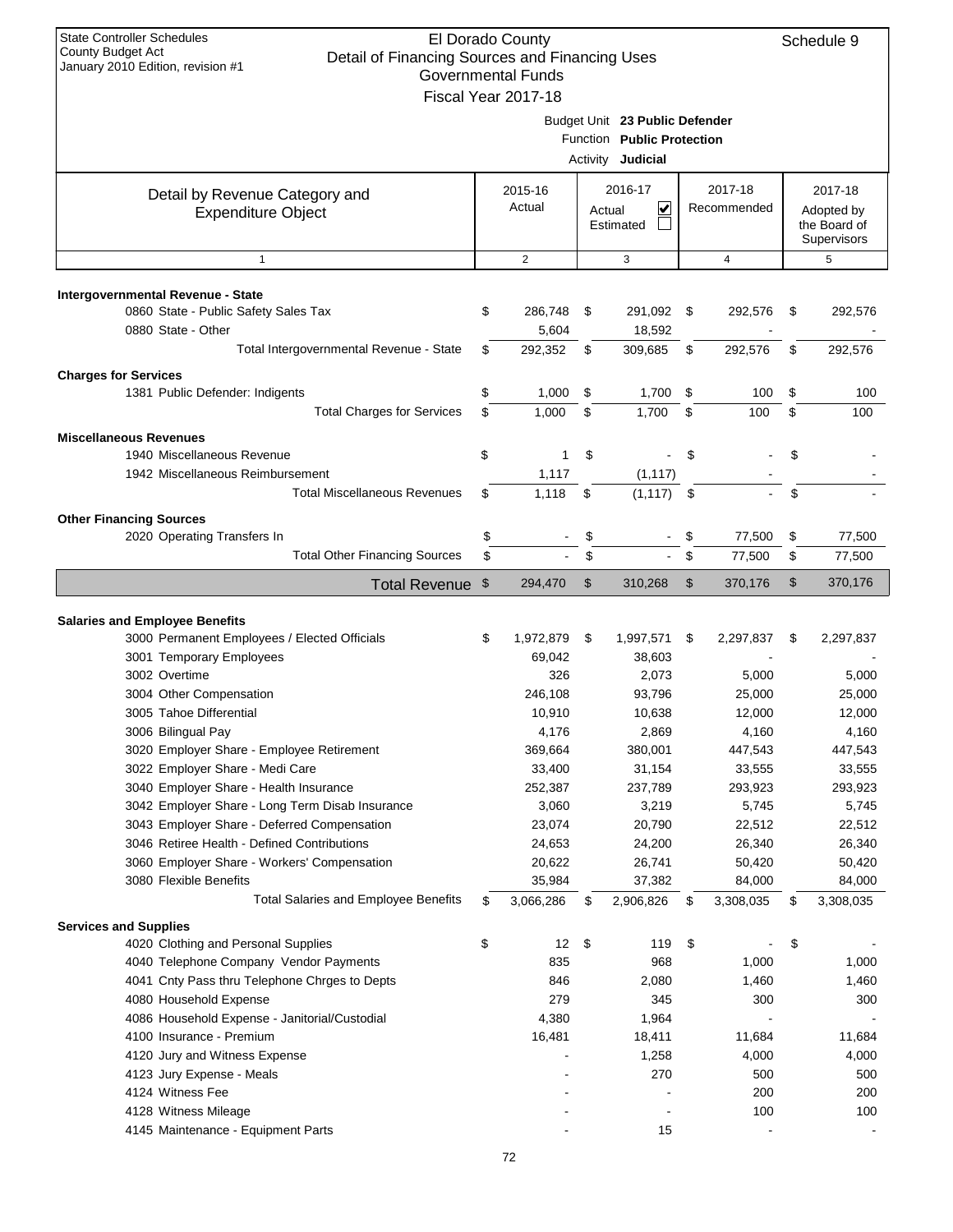| <b>State Controller Schedules</b><br>El Dorado County<br>County Budget Act<br>Detail of Financing Sources and Financing Uses<br>January 2010 Edition, revision #1<br><b>Governmental Funds</b><br>Fiscal Year 2017-18 |    |                     |        |                                                                                          |                |                        |    |                                                      |  |
|-----------------------------------------------------------------------------------------------------------------------------------------------------------------------------------------------------------------------|----|---------------------|--------|------------------------------------------------------------------------------------------|----------------|------------------------|----|------------------------------------------------------|--|
|                                                                                                                                                                                                                       |    |                     |        | Budget Unit 23 Public Defender<br>Function Public Protection<br>Activity <b>Judicial</b> |                |                        |    |                                                      |  |
| Detail by Revenue Category and<br><b>Expenditure Object</b>                                                                                                                                                           |    | 2015-16<br>Actual   | Actual | 2016-17<br>V<br>Estimated                                                                |                | 2017-18<br>Recommended |    | 2017-18<br>Adopted by<br>the Board of<br>Supervisors |  |
| $\mathbf{1}$                                                                                                                                                                                                          |    | $\overline{2}$      |        | 3                                                                                        |                | 4                      |    | 5                                                    |  |
|                                                                                                                                                                                                                       |    |                     |        |                                                                                          |                |                        |    |                                                      |  |
| Intergovernmental Revenue - State<br>0860 State - Public Safety Sales Tax<br>0880 State - Other                                                                                                                       | \$ | 286,748<br>5,604    | \$     | 291,092<br>18,592                                                                        | \$             | 292,576                | \$ | 292,576                                              |  |
| Total Intergovernmental Revenue - State                                                                                                                                                                               | \$ | 292,352             | \$     | 309,685                                                                                  | S              | 292,576                | \$ | 292,576                                              |  |
| <b>Charges for Services</b>                                                                                                                                                                                           |    |                     |        |                                                                                          |                |                        |    |                                                      |  |
| 1381 Public Defender: Indigents                                                                                                                                                                                       | \$ | 1,000               | \$     | 1,700                                                                                    | \$             | 100                    | \$ | 100                                                  |  |
| <b>Total Charges for Services</b>                                                                                                                                                                                     | \$ | 1,000               | \$     | 1,700                                                                                    | \$             | 100                    | \$ | 100                                                  |  |
| <b>Miscellaneous Revenues</b>                                                                                                                                                                                         |    |                     |        |                                                                                          |                |                        |    |                                                      |  |
| 1940 Miscellaneous Revenue<br>1942 Miscellaneous Reimbursement                                                                                                                                                        | \$ | 1<br>1,117          | \$     | (1, 117)                                                                                 | \$             |                        | \$ |                                                      |  |
| <b>Total Miscellaneous Revenues</b>                                                                                                                                                                                   | \$ | 1,118               | \$     | (1, 117)                                                                                 | $\mathfrak{s}$ |                        | \$ |                                                      |  |
|                                                                                                                                                                                                                       |    |                     |        |                                                                                          |                |                        |    |                                                      |  |
| <b>Other Financing Sources</b><br>2020 Operating Transfers In                                                                                                                                                         | \$ |                     | \$     |                                                                                          | \$             | 77,500                 | \$ | 77,500                                               |  |
| <b>Total Other Financing Sources</b>                                                                                                                                                                                  | \$ |                     | \$     |                                                                                          | \$             | 77,500                 | \$ | 77,500                                               |  |
| Total Revenue \$                                                                                                                                                                                                      |    | 294,470             | \$     | 310,268                                                                                  | \$             | 370,176                | \$ | 370,176                                              |  |
|                                                                                                                                                                                                                       |    |                     |        |                                                                                          |                |                        |    |                                                      |  |
| <b>Salaries and Employee Benefits</b>                                                                                                                                                                                 |    |                     |        |                                                                                          |                |                        |    |                                                      |  |
| 3000 Permanent Employees / Elected Officials                                                                                                                                                                          | \$ | 1,972,879           | \$     | 1,997,571                                                                                | \$             | 2,297,837              | \$ | 2,297,837                                            |  |
| 3001 Temporary Employees                                                                                                                                                                                              |    | 69,042              |        | 38,603                                                                                   |                |                        |    |                                                      |  |
| 3002 Overtime<br>3004 Other Compensation                                                                                                                                                                              |    | 326<br>246,108      |        | 2,073<br>93,796                                                                          |                | 5,000<br>25,000        |    | 5,000<br>25,000                                      |  |
| 3005 Tahoe Differential                                                                                                                                                                                               |    | 10,910              |        | 10,638                                                                                   |                | 12,000                 |    | 12,000                                               |  |
| 3006 Bilingual Pay                                                                                                                                                                                                    |    | 4,176               |        | 2,869                                                                                    |                | 4,160                  |    | 4,160                                                |  |
| 3020 Employer Share - Employee Retirement                                                                                                                                                                             |    | 369,664             |        | 380,001                                                                                  |                | 447,543                |    | 447,543                                              |  |
| 3022 Employer Share - Medi Care                                                                                                                                                                                       |    | 33,400              |        | 31,154                                                                                   |                | 33,555                 |    | 33,555                                               |  |
| 3040 Employer Share - Health Insurance                                                                                                                                                                                |    | 252,387             |        | 237,789                                                                                  |                | 293,923                |    | 293,923                                              |  |
| 3042 Employer Share - Long Term Disab Insurance                                                                                                                                                                       |    | 3,060               |        | 3,219                                                                                    |                | 5,745                  |    | 5,745                                                |  |
| 3043 Employer Share - Deferred Compensation                                                                                                                                                                           |    | 23,074              |        | 20,790                                                                                   |                | 22,512                 |    | 22,512                                               |  |
| 3046 Retiree Health - Defined Contributions                                                                                                                                                                           |    | 24,653              |        | 24,200                                                                                   |                | 26,340                 |    | 26,340                                               |  |
| 3060 Employer Share - Workers' Compensation                                                                                                                                                                           |    | 20,622              |        | 26,741                                                                                   |                | 50,420                 |    | 50,420                                               |  |
| 3080 Flexible Benefits<br><b>Total Salaries and Employee Benefits</b>                                                                                                                                                 | \$ | 35,984<br>3,066,286 | \$     | 37,382<br>2,906,826                                                                      | \$             | 84,000<br>3,308,035    | \$ | 84,000<br>3,308,035                                  |  |
|                                                                                                                                                                                                                       |    |                     |        |                                                                                          |                |                        |    |                                                      |  |
| <b>Services and Supplies</b><br>4020 Clothing and Personal Supplies                                                                                                                                                   | \$ | 12                  | \$     | 119                                                                                      | \$             |                        | \$ |                                                      |  |
| 4040 Telephone Company Vendor Payments                                                                                                                                                                                |    | 835                 |        | 968                                                                                      |                | 1,000                  |    | 1,000                                                |  |
| 4041 Cnty Pass thru Telephone Chrges to Depts                                                                                                                                                                         |    | 846                 |        | 2,080                                                                                    |                | 1,460                  |    | 1,460                                                |  |
| 4080 Household Expense                                                                                                                                                                                                |    | 279                 |        | 345                                                                                      |                | 300                    |    | 300                                                  |  |
| 4086 Household Expense - Janitorial/Custodial                                                                                                                                                                         |    | 4,380               |        | 1,964                                                                                    |                |                        |    |                                                      |  |
| 4100 Insurance - Premium                                                                                                                                                                                              |    | 16,481              |        | 18,411                                                                                   |                | 11,684                 |    | 11,684                                               |  |
| 4120 Jury and Witness Expense                                                                                                                                                                                         |    |                     |        | 1,258                                                                                    |                | 4,000                  |    | 4,000                                                |  |
| 4123 Jury Expense - Meals                                                                                                                                                                                             |    |                     |        | 270                                                                                      |                | 500                    |    | 500                                                  |  |
| 4124 Witness Fee                                                                                                                                                                                                      |    |                     |        |                                                                                          |                | 200                    |    | 200                                                  |  |
| 4128 Witness Mileage                                                                                                                                                                                                  |    |                     |        |                                                                                          |                | 100                    |    | 100                                                  |  |
| 4145 Maintenance - Equipment Parts                                                                                                                                                                                    |    |                     |        | 15                                                                                       |                |                        |    |                                                      |  |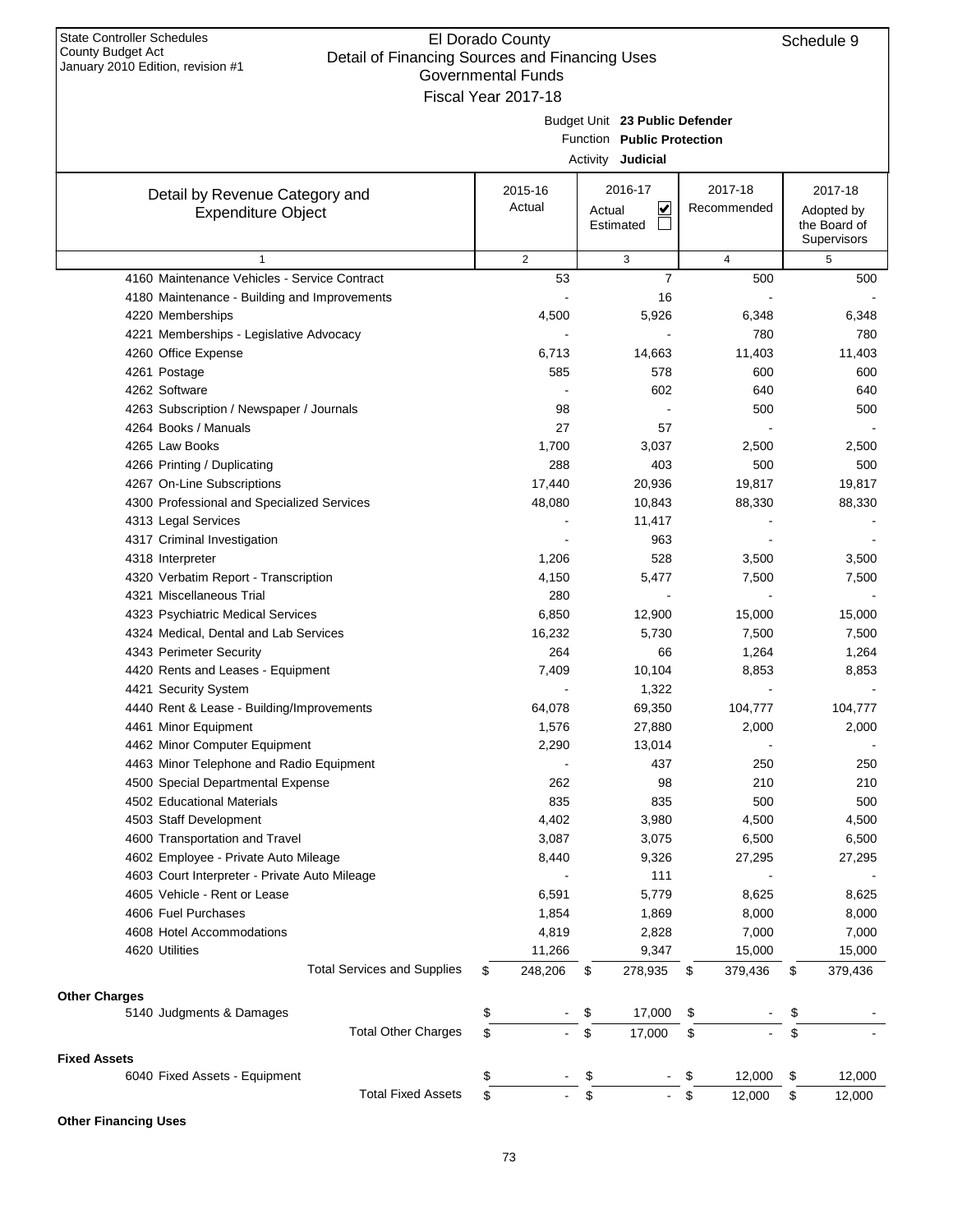| January 2010 Edition, revision #1                    | Governmental Funds  |                                |                |                  |
|------------------------------------------------------|---------------------|--------------------------------|----------------|------------------|
|                                                      | Fiscal Year 2017-18 |                                |                |                  |
|                                                      |                     | Budget Unit 23 Public Defender |                |                  |
|                                                      |                     | Function Public Protection     |                |                  |
|                                                      |                     | Activity Judicial              |                |                  |
| Detail by Revenue Category and                       | 2015-16             | 2016-17                        | 2017-18        | 2017-18          |
| <b>Expenditure Object</b>                            | Actual              | V<br>Actual                    | Recommended    | Adopted by       |
|                                                      |                     | Estimated                      |                | the Board of     |
| $\mathbf{1}$                                         | 2                   | 3                              | $\overline{4}$ | Supervisors<br>5 |
| 4160 Maintenance Vehicles - Service Contract         | 53                  | $\overline{7}$                 | 500            | 500              |
| 4180 Maintenance - Building and Improvements         |                     | 16                             |                |                  |
| 4220 Memberships                                     | 4,500               | 5,926                          | 6,348          | 6,348            |
| 4221 Memberships - Legislative Advocacy              |                     |                                | 780            | 780              |
| 4260 Office Expense                                  | 6,713               | 14,663                         | 11,403         | 11,403           |
| 4261 Postage                                         | 585                 | 578                            | 600            | 600              |
| 4262 Software                                        |                     | 602                            | 640            | 640              |
| 4263 Subscription / Newspaper / Journals             | 98                  |                                | 500            | 500              |
| 4264 Books / Manuals                                 | 27                  | 57                             |                |                  |
| 4265 Law Books                                       | 1,700               | 3,037                          | 2,500          | 2,500            |
| 4266 Printing / Duplicating                          | 288                 | 403                            | 500            | 500              |
| 4267 On-Line Subscriptions                           | 17,440              | 20,936                         | 19,817         | 19,817           |
| 4300 Professional and Specialized Services           | 48,080              | 10,843                         | 88,330         | 88,330           |
| 4313 Legal Services                                  |                     | 11,417                         |                |                  |
| 4317 Criminal Investigation                          |                     | 963                            |                |                  |
| 4318 Interpreter                                     | 1,206               | 528                            | 3,500          | 3,500            |
| 4320 Verbatim Report - Transcription                 | 4,150               | 5,477                          | 7,500          | 7,500            |
| 4321 Miscellaneous Trial                             | 280                 |                                |                |                  |
| 4323 Psychiatric Medical Services                    | 6,850               | 12,900                         | 15,000         | 15,000           |
| 4324 Medical, Dental and Lab Services                | 16,232              | 5,730                          | 7,500          | 7,500            |
| 4343 Perimeter Security                              | 264                 | 66                             | 1,264          | 1,264            |
| 4420 Rents and Leases - Equipment                    | 7,409               | 10,104                         | 8,853          | 8,853            |
| 4421 Security System                                 |                     | 1,322                          |                |                  |
| 4440 Rent & Lease - Building/Improvements            | 64,078              | 69,350                         | 104,777        | 104,777          |
| 4461 Minor Equipment                                 | 1,576               | 27,880                         | 2,000          | 2,000            |
| 4462 Minor Computer Equipment                        | 2,290               | 13,014                         |                |                  |
| 4463 Minor Telephone and Radio Equipment             |                     | 437                            | 250            | 250              |
| 4500 Special Departmental Expense                    | 262                 | 98                             | 210            | 210              |
| 4502 Educational Materials                           | 835                 | 835                            | 500            | 500              |
| 4503 Staff Development                               | 4,402               | 3,980                          | 4,500          | 4,500            |
| 4600 Transportation and Travel                       | 3,087               | 3,075                          | 6,500          | 6,500            |
| 4602 Employee - Private Auto Mileage                 | 8,440               | 9,326                          | 27,295         | 27,295           |
| 4603 Court Interpreter - Private Auto Mileage        |                     | 111                            |                |                  |
| 4605 Vehicle - Rent or Lease                         | 6,591               | 5,779                          | 8,625          | 8,625            |
| 4606 Fuel Purchases                                  | 1,854               | 1,869                          | 8,000          | 8,000            |
| 4608 Hotel Accommodations                            | 4,819               | 2,828                          | 7,000          | 7,000            |
| 4620 Utilities                                       | 11,266              | 9,347                          | 15,000         | 15,000           |
| <b>Total Services and Supplies</b>                   | \$<br>248,206       | \$<br>278,935                  | \$<br>379,436  | \$<br>379,436    |
|                                                      |                     |                                |                |                  |
| <b>Other Charges</b><br>5140 Judgments & Damages     | \$                  | \$<br>17,000                   | \$             | \$               |
| <b>Total Other Charges</b>                           | \$                  | \$<br>17,000                   | \$             | \$               |
|                                                      |                     |                                |                |                  |
| <b>Fixed Assets</b><br>6040 Fixed Assets - Equipment | \$                  | \$                             | \$<br>12,000   | \$<br>12,000     |
| <b>Total Fixed Assets</b>                            | \$                  | \$                             | \$<br>12,000   | \$<br>12,000     |
|                                                      |                     |                                |                |                  |

#### **Other Financing Uses**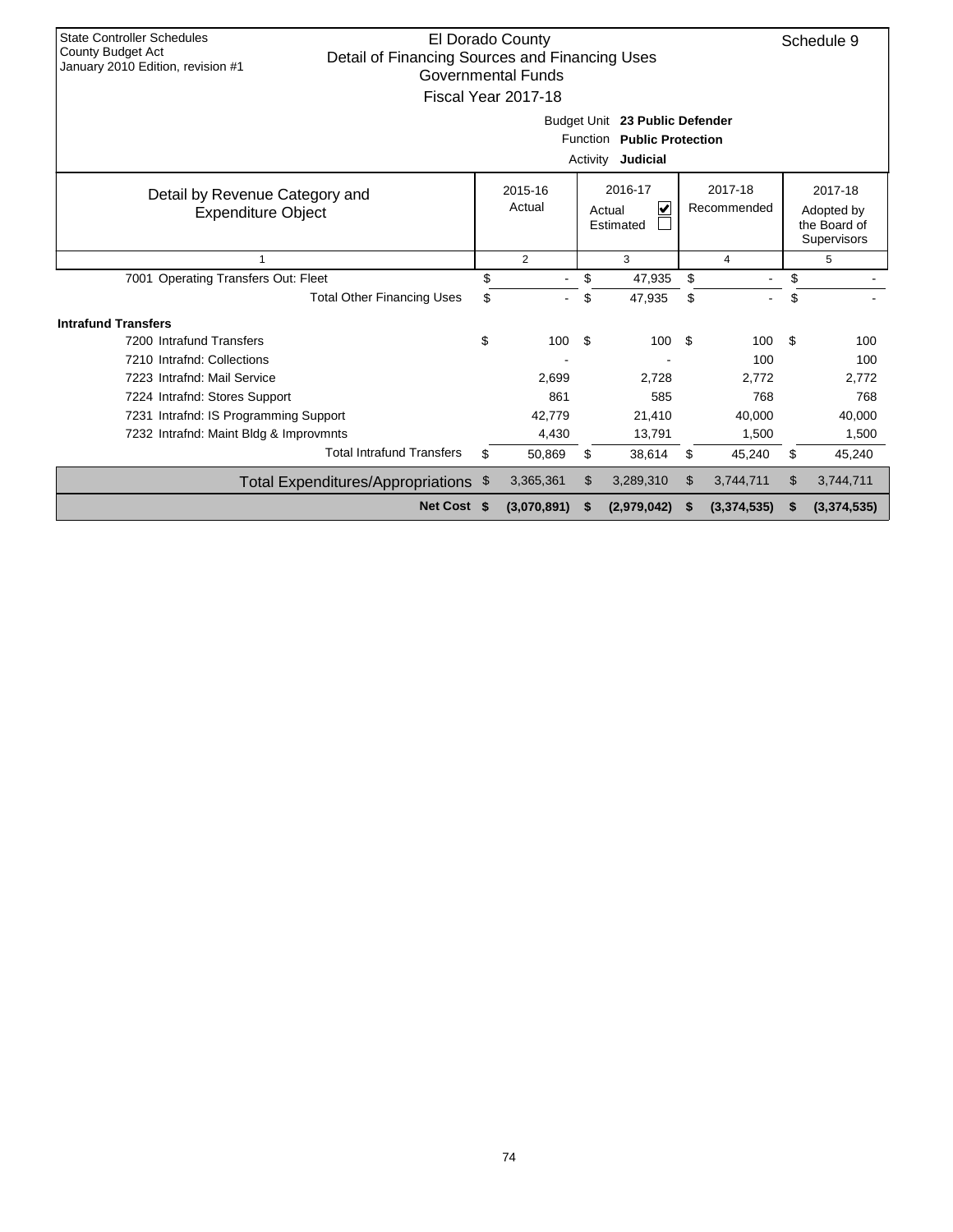| <b>State Controller Schedules</b><br>County Budget Act<br>Detail of Financing Sources and Financing Uses<br>January 2010 Edition, revision #1 |     | El Dorado County<br>Governmental Funds<br>Fiscal Year 2017-18 |     | Budget Unit 23 Public Defender<br>Function Public Protection<br>Activity Judicial |    |                        | Schedule 9                                           |
|-----------------------------------------------------------------------------------------------------------------------------------------------|-----|---------------------------------------------------------------|-----|-----------------------------------------------------------------------------------|----|------------------------|------------------------------------------------------|
| Detail by Revenue Category and<br><b>Expenditure Object</b>                                                                                   |     | 2015-16<br>Actual                                             |     | 2016-17<br>V<br>Actual<br>Estimated                                               |    | 2017-18<br>Recommended | 2017-18<br>Adopted by<br>the Board of<br>Supervisors |
| $\mathbf{1}$                                                                                                                                  |     | $\overline{2}$                                                |     | 3                                                                                 |    | 4                      | 5                                                    |
| 7001 Operating Transfers Out: Fleet                                                                                                           | \$  |                                                               | \$  | 47,935                                                                            | \$ | $\blacksquare$         | \$                                                   |
| <b>Total Other Financing Uses</b>                                                                                                             | \$  |                                                               | \$  | 47,935                                                                            | \$ |                        | \$                                                   |
| <b>Intrafund Transfers</b>                                                                                                                    |     |                                                               |     |                                                                                   |    |                        |                                                      |
| 7200 Intrafund Transfers                                                                                                                      | \$  | 100                                                           | -\$ | 100                                                                               | \$ | 100                    | \$<br>100                                            |
| 7210 Intrafnd: Collections                                                                                                                    |     |                                                               |     |                                                                                   |    | 100                    | 100                                                  |
| 7223 Intrafnd: Mail Service                                                                                                                   |     | 2,699                                                         |     | 2.728                                                                             |    | 2,772                  | 2.772                                                |
| 7224 Intrafnd: Stores Support                                                                                                                 |     | 861                                                           |     | 585                                                                               |    | 768                    | 768                                                  |
| 7231 Intrafnd: IS Programming Support                                                                                                         |     | 42.779                                                        |     | 21.410                                                                            |    | 40,000                 | 40,000                                               |
| 7232 Intrafnd: Maint Bldg & Improvmnts                                                                                                        |     | 4,430                                                         |     | 13,791                                                                            |    | 1,500                  | 1,500                                                |
| <b>Total Intrafund Transfers</b>                                                                                                              | \$  | 50,869                                                        | \$  | 38,614                                                                            | \$ | 45,240                 | \$<br>45,240                                         |
| Total Expenditures/Appropriations                                                                                                             | -\$ | 3,365,361                                                     | \$  | 3,289,310                                                                         | \$ | 3,744,711              | \$<br>3,744,711                                      |
| Net Cost \$                                                                                                                                   |     | (3,070,891)                                                   | S   | (2,979,042)                                                                       | S  | (3, 374, 535)          | \$<br>(3,374,535)                                    |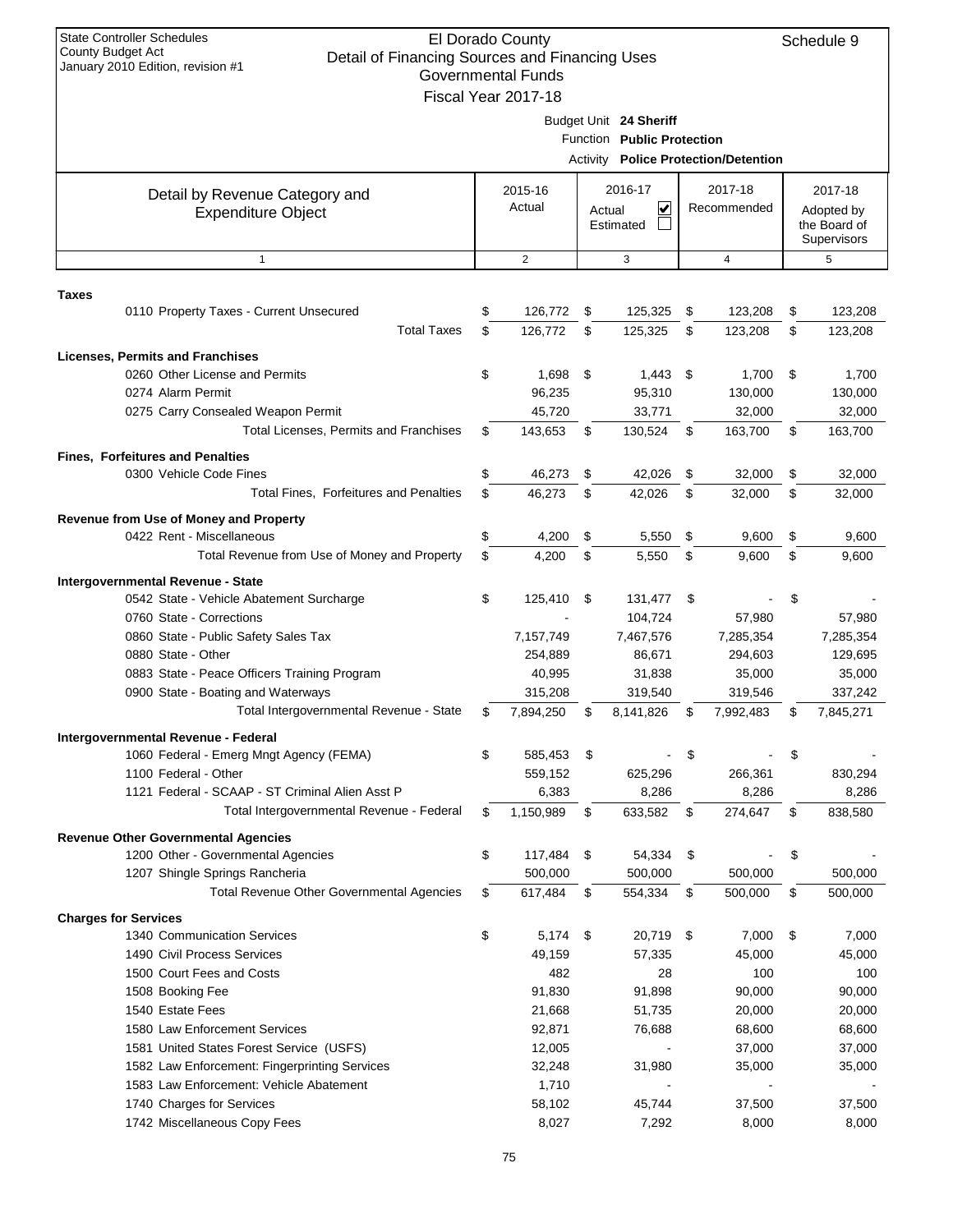| <b>State Controller Schedules</b><br>El Dorado County<br>Schedule 9<br><b>County Budget Act</b><br>Detail of Financing Sources and Financing Uses<br>January 2010 Edition, revision #1<br><b>Governmental Funds</b> |    |                     |      |                            |     |                                             |    |                            |  |
|---------------------------------------------------------------------------------------------------------------------------------------------------------------------------------------------------------------------|----|---------------------|------|----------------------------|-----|---------------------------------------------|----|----------------------------|--|
|                                                                                                                                                                                                                     |    | Fiscal Year 2017-18 |      |                            |     |                                             |    |                            |  |
|                                                                                                                                                                                                                     |    |                     |      | Budget Unit 24 Sheriff     |     |                                             |    |                            |  |
|                                                                                                                                                                                                                     |    |                     |      | Function Public Protection |     |                                             |    |                            |  |
|                                                                                                                                                                                                                     |    |                     |      |                            |     | <b>Activity Police Protection/Detention</b> |    |                            |  |
|                                                                                                                                                                                                                     |    |                     |      |                            |     |                                             |    |                            |  |
| Detail by Revenue Category and                                                                                                                                                                                      |    | 2015-16<br>Actual   |      | 2016-17<br>V               |     | 2017-18<br>Recommended                      |    | 2017-18                    |  |
| <b>Expenditure Object</b>                                                                                                                                                                                           |    |                     |      | Actual<br>Estimated        |     |                                             |    | Adopted by<br>the Board of |  |
|                                                                                                                                                                                                                     |    |                     |      |                            |     |                                             |    | Supervisors                |  |
| $\mathbf{1}$                                                                                                                                                                                                        |    | 2                   |      | 3                          |     | $\overline{4}$                              |    | 5                          |  |
|                                                                                                                                                                                                                     |    |                     |      |                            |     |                                             |    |                            |  |
| Taxes<br>0110 Property Taxes - Current Unsecured                                                                                                                                                                    | \$ | 126,772             | \$   | 125,325                    | \$  | 123,208                                     | \$ | 123,208                    |  |
| <b>Total Taxes</b>                                                                                                                                                                                                  | \$ | 126,772             | \$   | 125,325                    | \$  | 123,208                                     | \$ | 123,208                    |  |
|                                                                                                                                                                                                                     |    |                     |      |                            |     |                                             |    |                            |  |
| <b>Licenses, Permits and Franchises</b>                                                                                                                                                                             |    |                     |      |                            |     |                                             |    |                            |  |
| 0260 Other License and Permits<br>0274 Alarm Permit                                                                                                                                                                 | \$ | 1,698<br>96,235     | \$   | 1,443<br>95,310            | -\$ | 1,700<br>130,000                            | \$ | 1,700<br>130,000           |  |
| 0275 Carry Consealed Weapon Permit                                                                                                                                                                                  |    | 45.720              |      | 33,771                     |     | 32,000                                      |    | 32,000                     |  |
| Total Licenses, Permits and Franchises                                                                                                                                                                              | \$ | 143,653             | \$   | 130,524                    | \$  | 163,700                                     | \$ | 163,700                    |  |
|                                                                                                                                                                                                                     |    |                     |      |                            |     |                                             |    |                            |  |
| <b>Fines, Forfeitures and Penalties</b>                                                                                                                                                                             |    |                     |      |                            |     |                                             |    |                            |  |
| 0300 Vehicle Code Fines                                                                                                                                                                                             | \$ | 46,273              | \$   | 42,026                     | \$  | 32,000                                      | \$ | 32,000                     |  |
| Total Fines, Forfeitures and Penalties                                                                                                                                                                              | \$ | 46,273              | \$   | 42,026                     | \$  | 32,000                                      | \$ | 32,000                     |  |
| Revenue from Use of Money and Property                                                                                                                                                                              |    |                     |      |                            |     |                                             |    |                            |  |
| 0422 Rent - Miscellaneous                                                                                                                                                                                           | \$ | 4,200               | \$   | 5,550                      | \$  | 9,600                                       | \$ | 9,600                      |  |
| Total Revenue from Use of Money and Property                                                                                                                                                                        | \$ | 4,200               | \$   | 5,550                      | \$  | 9,600                                       | \$ | 9,600                      |  |
| Intergovernmental Revenue - State                                                                                                                                                                                   |    |                     |      |                            |     |                                             |    |                            |  |
| 0542 State - Vehicle Abatement Surcharge                                                                                                                                                                            | \$ | 125,410             | \$   | 131,477                    | \$  |                                             | \$ |                            |  |
| 0760 State - Corrections                                                                                                                                                                                            |    |                     |      | 104,724                    |     | 57,980                                      |    | 57,980                     |  |
| 0860 State - Public Safety Sales Tax                                                                                                                                                                                |    | 7,157,749           |      | 7,467,576                  |     | 7,285,354                                   |    | 7,285,354                  |  |
| 0880 State - Other                                                                                                                                                                                                  |    | 254,889             |      | 86,671                     |     | 294,603                                     |    | 129,695                    |  |
| 0883 State - Peace Officers Training Program                                                                                                                                                                        |    | 40,995              |      | 31,838                     |     | 35,000                                      |    | 35,000                     |  |
| 0900 State - Boating and Waterways                                                                                                                                                                                  |    | 315,208             |      | 319,540                    |     | 319,546                                     |    | 337,242                    |  |
| Total Intergovernmental Revenue - State                                                                                                                                                                             | \$ | 7,894,250           | \$   | 8,141,826                  | \$  | 7,992,483                                   | \$ | 7,845,271                  |  |
| Intergovernmental Revenue - Federal                                                                                                                                                                                 |    |                     |      |                            |     |                                             |    |                            |  |
| 1060 Federal - Emerg Mngt Agency (FEMA)                                                                                                                                                                             | \$ | 585,453             | \$   |                            | \$  |                                             | \$ |                            |  |
| 1100 Federal - Other                                                                                                                                                                                                |    | 559,152             |      | 625,296                    |     | 266,361                                     |    | 830,294                    |  |
| 1121 Federal - SCAAP - ST Criminal Alien Asst P                                                                                                                                                                     |    | 6,383               |      | 8,286                      |     | 8,286                                       |    | 8,286                      |  |
| Total Intergovernmental Revenue - Federal                                                                                                                                                                           | \$ | 1,150,989           | \$   | 633,582                    | \$  | 274,647                                     | \$ | 838,580                    |  |
| <b>Revenue Other Governmental Agencies</b>                                                                                                                                                                          |    |                     |      |                            |     |                                             |    |                            |  |
| 1200 Other - Governmental Agencies                                                                                                                                                                                  | \$ | 117,484             | \$   | 54,334                     | \$  |                                             | \$ |                            |  |
| 1207 Shingle Springs Rancheria                                                                                                                                                                                      |    | 500,000             |      | 500,000                    |     | 500,000                                     |    | 500,000                    |  |
| Total Revenue Other Governmental Agencies                                                                                                                                                                           | \$ | 617,484             | \$   | 554,334                    | \$  | 500,000                                     | \$ | 500,000                    |  |
| <b>Charges for Services</b>                                                                                                                                                                                         |    |                     |      |                            |     |                                             |    |                            |  |
| 1340 Communication Services                                                                                                                                                                                         | \$ | 5,174               | - \$ | 20,719 \$                  |     | 7,000                                       | \$ | 7,000                      |  |
| 1490 Civil Process Services                                                                                                                                                                                         |    | 49,159              |      | 57,335                     |     | 45,000                                      |    | 45,000                     |  |
| 1500 Court Fees and Costs                                                                                                                                                                                           |    | 482                 |      | 28                         |     | 100                                         |    | 100                        |  |
| 1508 Booking Fee                                                                                                                                                                                                    |    | 91,830              |      | 91,898                     |     | 90,000                                      |    | 90,000                     |  |
| 1540 Estate Fees                                                                                                                                                                                                    |    | 21,668              |      | 51,735                     |     | 20,000                                      |    | 20,000                     |  |
| 1580 Law Enforcement Services<br>1581 United States Forest Service (USFS)                                                                                                                                           |    | 92,871<br>12,005    |      | 76,688                     |     | 68,600                                      |    | 68,600<br>37,000           |  |
| 1582 Law Enforcement: Fingerprinting Services                                                                                                                                                                       |    | 32,248              |      | 31,980                     |     | 37,000<br>35,000                            |    | 35,000                     |  |
| 1583 Law Enforcement: Vehicle Abatement                                                                                                                                                                             |    | 1,710               |      |                            |     |                                             |    |                            |  |
| 1740 Charges for Services                                                                                                                                                                                           |    | 58,102              |      | 45,744                     |     | 37,500                                      |    | 37,500                     |  |
| 1742 Miscellaneous Copy Fees                                                                                                                                                                                        |    | 8,027               |      | 7,292                      |     | 8,000                                       |    | 8,000                      |  |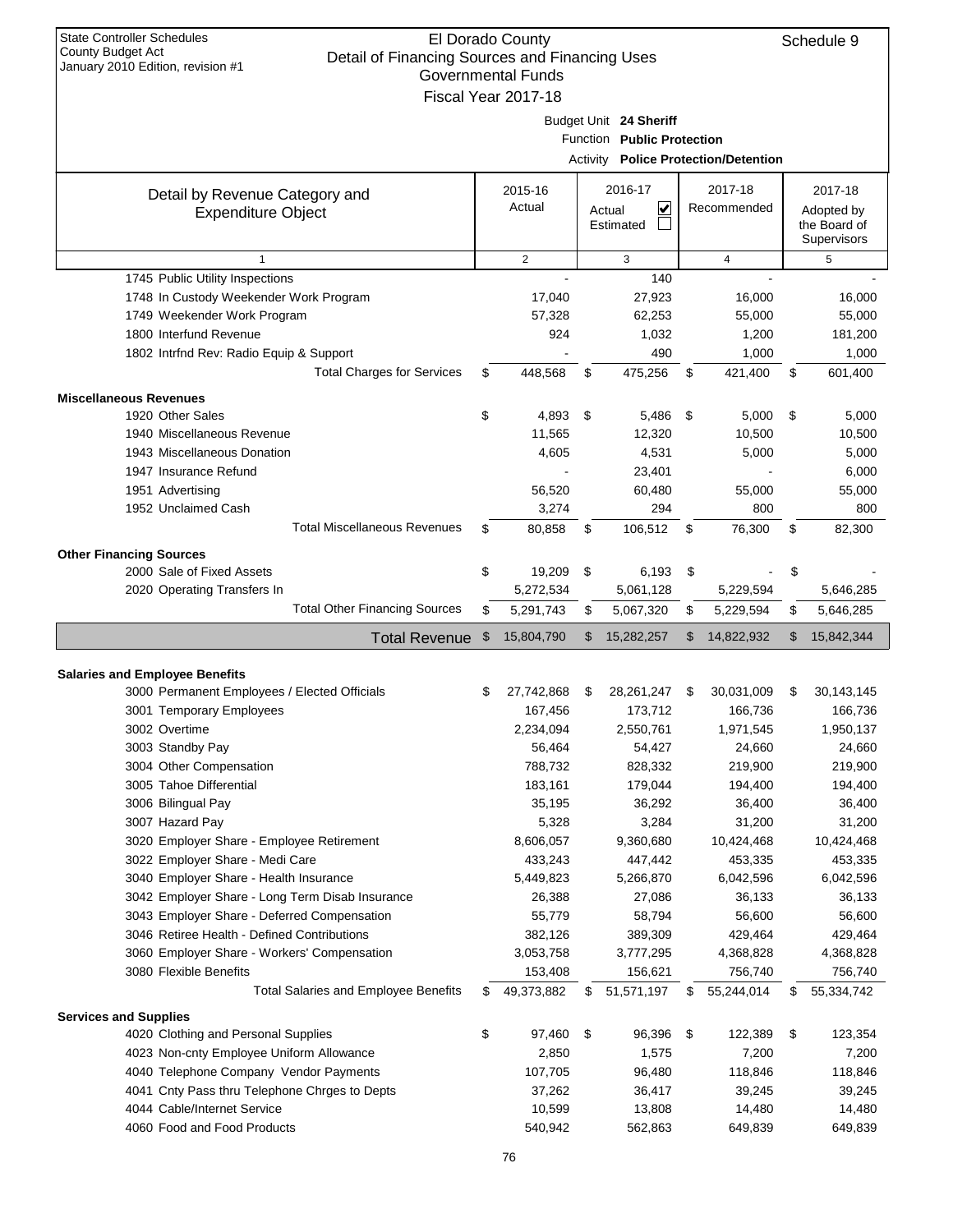| <b>State Controller Schedules</b><br>County Budget Act<br>January 2010 Edition, revision #1 |    | El Dorado County<br>Schedule 9<br>Detail of Financing Sources and Financing Uses<br><b>Governmental Funds</b><br>Fiscal Year 2017-18 |    |                                                      |    |                                             |    |                                                      |  |  |  |  |
|---------------------------------------------------------------------------------------------|----|--------------------------------------------------------------------------------------------------------------------------------------|----|------------------------------------------------------|----|---------------------------------------------|----|------------------------------------------------------|--|--|--|--|
|                                                                                             |    |                                                                                                                                      |    | Budget Unit 24 Sheriff<br>Function Public Protection |    | <b>Activity Police Protection/Detention</b> |    |                                                      |  |  |  |  |
| Detail by Revenue Category and<br><b>Expenditure Object</b>                                 |    | 2015-16<br>Actual                                                                                                                    |    | 2016-17<br>⊻<br>Actual<br>Estimated                  |    | 2017-18<br>Recommended                      |    | 2017-18<br>Adopted by<br>the Board of<br>Supervisors |  |  |  |  |
| $\mathbf{1}$                                                                                |    | 2                                                                                                                                    |    | 3                                                    |    | $\overline{4}$                              |    | 5                                                    |  |  |  |  |
| 1745 Public Utility Inspections                                                             |    |                                                                                                                                      |    | 140                                                  |    |                                             |    |                                                      |  |  |  |  |
| 1748 In Custody Weekender Work Program                                                      |    | 17,040                                                                                                                               |    | 27,923                                               |    | 16,000                                      |    | 16,000                                               |  |  |  |  |
| 1749 Weekender Work Program                                                                 |    | 57,328                                                                                                                               |    | 62,253                                               |    | 55,000                                      |    | 55,000                                               |  |  |  |  |
| 1800 Interfund Revenue                                                                      |    | 924                                                                                                                                  |    | 1,032                                                |    | 1,200                                       |    | 181,200                                              |  |  |  |  |
| 1802 Intrfnd Rev: Radio Equip & Support                                                     |    |                                                                                                                                      |    | 490                                                  |    | 1,000                                       |    | 1,000                                                |  |  |  |  |
| <b>Total Charges for Services</b>                                                           | \$ | 448,568                                                                                                                              | \$ | 475,256                                              | \$ | 421,400                                     | \$ | 601,400                                              |  |  |  |  |
| <b>Miscellaneous Revenues</b>                                                               |    |                                                                                                                                      |    |                                                      |    |                                             |    |                                                      |  |  |  |  |
| 1920 Other Sales                                                                            | \$ | 4,893                                                                                                                                | \$ | 5,486                                                | \$ | 5,000                                       | \$ | 5,000                                                |  |  |  |  |
| 1940 Miscellaneous Revenue                                                                  |    | 11,565                                                                                                                               |    | 12,320                                               |    | 10,500                                      |    | 10,500                                               |  |  |  |  |
| 1943 Miscellaneous Donation                                                                 |    | 4,605                                                                                                                                |    | 4,531                                                |    | 5,000                                       |    | 5,000                                                |  |  |  |  |
| 1947 Insurance Refund                                                                       |    |                                                                                                                                      |    | 23,401                                               |    |                                             |    | 6,000                                                |  |  |  |  |
| 1951 Advertising                                                                            |    | 56,520                                                                                                                               |    | 60,480                                               |    | 55,000                                      |    | 55,000                                               |  |  |  |  |
| 1952 Unclaimed Cash                                                                         |    | 3,274                                                                                                                                |    | 294                                                  |    | 800                                         |    | 800                                                  |  |  |  |  |
| <b>Total Miscellaneous Revenues</b>                                                         | S  | 80,858                                                                                                                               | \$ | 106,512                                              | \$ | 76,300                                      | \$ | 82,300                                               |  |  |  |  |
| <b>Other Financing Sources</b>                                                              |    |                                                                                                                                      |    |                                                      |    |                                             |    |                                                      |  |  |  |  |
| 2000 Sale of Fixed Assets                                                                   | \$ | 19,209                                                                                                                               | \$ | 6,193                                                | \$ |                                             | \$ |                                                      |  |  |  |  |
| 2020 Operating Transfers In                                                                 |    | 5,272,534                                                                                                                            |    | 5,061,128                                            |    | 5,229,594                                   |    | 5,646,285                                            |  |  |  |  |
| <b>Total Other Financing Sources</b>                                                        | \$ | 5,291,743                                                                                                                            | \$ | 5,067,320                                            | \$ | 5,229,594                                   | \$ | 5,646,285                                            |  |  |  |  |
|                                                                                             |    |                                                                                                                                      |    |                                                      |    |                                             |    |                                                      |  |  |  |  |
| <b>Total Revenue</b>                                                                        | \$ | 15,804,790                                                                                                                           | \$ | 15,282,257                                           | \$ | 14,822,932                                  | \$ | 15,842,344                                           |  |  |  |  |
|                                                                                             |    |                                                                                                                                      |    |                                                      |    |                                             |    |                                                      |  |  |  |  |
| <b>Salaries and Employee Benefits</b>                                                       |    |                                                                                                                                      |    |                                                      |    |                                             |    |                                                      |  |  |  |  |
| 3000 Permanent Employees / Elected Officials                                                |    | 27,742,868                                                                                                                           | S  | 28, 261, 247                                         | \$ | 30,031,009                                  | \$ | 30, 143, 145                                         |  |  |  |  |
| 3001 Temporary Employees                                                                    |    | 167,456                                                                                                                              |    | 173,712                                              |    | 166,736                                     |    | 166,736                                              |  |  |  |  |
| 3002 Overtime                                                                               |    | 2,234,094                                                                                                                            |    | 2,550,761                                            |    | 1,971,545                                   |    | 1,950,137                                            |  |  |  |  |
| 3003 Standby Pay                                                                            |    | 56,464                                                                                                                               |    | 54,427                                               |    | 24,660                                      |    | 24,660                                               |  |  |  |  |
| 3004 Other Compensation                                                                     |    | 788,732                                                                                                                              |    | 828,332                                              |    | 219,900                                     |    | 219,900                                              |  |  |  |  |
| 3005 Tahoe Differential                                                                     |    | 183,161                                                                                                                              |    | 179,044                                              |    | 194,400                                     |    | 194,400                                              |  |  |  |  |
| 3006 Bilingual Pay                                                                          |    | 35,195                                                                                                                               |    | 36,292                                               |    | 36,400                                      |    | 36,400                                               |  |  |  |  |
| 3007 Hazard Pay                                                                             |    | 5,328                                                                                                                                |    | 3,284                                                |    | 31,200                                      |    | 31,200                                               |  |  |  |  |
| 3020 Employer Share - Employee Retirement                                                   |    | 8,606,057                                                                                                                            |    | 9,360,680                                            |    | 10,424,468                                  |    | 10,424,468                                           |  |  |  |  |
| 3022 Employer Share - Medi Care                                                             |    | 433,243                                                                                                                              |    | 447,442                                              |    | 453,335                                     |    | 453,335                                              |  |  |  |  |
| 3040 Employer Share - Health Insurance                                                      |    | 5,449,823                                                                                                                            |    | 5,266,870                                            |    | 6,042,596                                   |    | 6,042,596                                            |  |  |  |  |
| 3042 Employer Share - Long Term Disab Insurance                                             |    | 26,388                                                                                                                               |    | 27,086                                               |    | 36,133                                      |    | 36,133                                               |  |  |  |  |
| 3043 Employer Share - Deferred Compensation                                                 |    | 55,779                                                                                                                               |    | 58,794                                               |    | 56,600                                      |    | 56,600                                               |  |  |  |  |
| 3046 Retiree Health - Defined Contributions                                                 |    | 382,126                                                                                                                              |    | 389,309                                              |    | 429,464                                     |    | 429,464                                              |  |  |  |  |
| 3060 Employer Share - Workers' Compensation                                                 |    | 3,053,758                                                                                                                            |    | 3,777,295                                            |    | 4,368,828                                   |    | 4,368,828                                            |  |  |  |  |
| 3080 Flexible Benefits                                                                      |    | 153,408                                                                                                                              |    | 156,621                                              |    | 756,740                                     |    | 756,740                                              |  |  |  |  |
| <b>Total Salaries and Employee Benefits</b>                                                 | S  | 49,373,882                                                                                                                           | \$ | 51,571,197                                           | \$ | 55,244,014                                  | \$ | 55,334,742                                           |  |  |  |  |
| <b>Services and Supplies</b>                                                                |    |                                                                                                                                      |    |                                                      |    |                                             |    |                                                      |  |  |  |  |
| 4020 Clothing and Personal Supplies                                                         | \$ | 97,460                                                                                                                               | \$ | 96,396                                               | \$ | 122,389                                     | \$ | 123,354                                              |  |  |  |  |
| 4023 Non-cnty Employee Uniform Allowance                                                    |    | 2,850                                                                                                                                |    | 1,575                                                |    | 7,200                                       |    | 7,200                                                |  |  |  |  |
| 4040 Telephone Company Vendor Payments                                                      |    | 107,705                                                                                                                              |    | 96,480                                               |    | 118,846                                     |    | 118,846                                              |  |  |  |  |
| 4041 Cnty Pass thru Telephone Chrges to Depts                                               |    | 37,262                                                                                                                               |    | 36,417                                               |    | 39,245                                      |    | 39,245                                               |  |  |  |  |
| 4044 Cable/Internet Service                                                                 |    | 10,599                                                                                                                               |    | 13,808                                               |    | 14,480                                      |    | 14,480                                               |  |  |  |  |
| 4060 Food and Food Products                                                                 |    | 540,942                                                                                                                              |    | 562,863                                              |    | 649,839                                     |    | 649,839                                              |  |  |  |  |
|                                                                                             |    |                                                                                                                                      |    |                                                      |    |                                             |    |                                                      |  |  |  |  |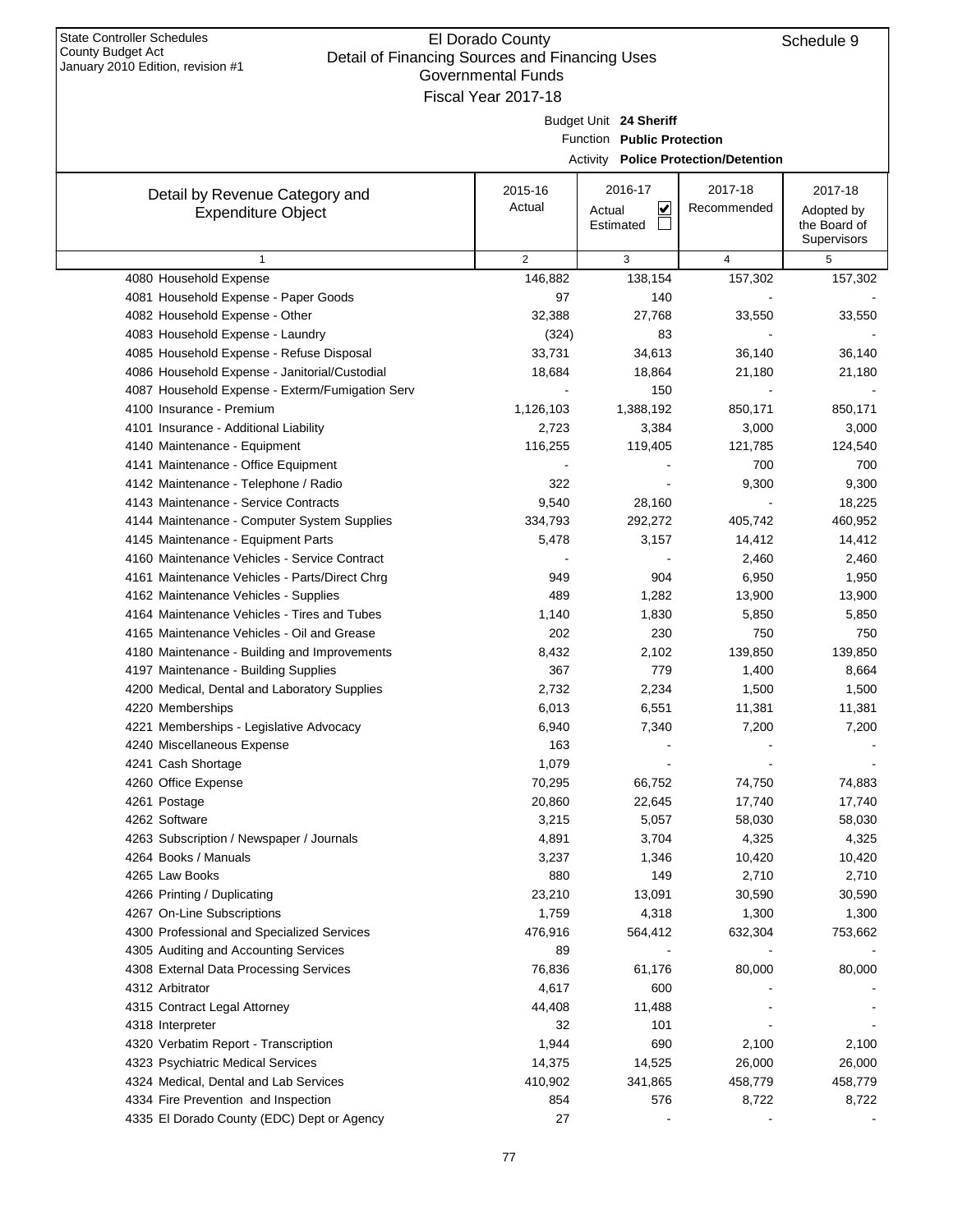| January 2010 Edition, revision #1<br>Governmental Funds |                     |                                   |                                             |                             |  |  |  |  |  |  |  |  |
|---------------------------------------------------------|---------------------|-----------------------------------|---------------------------------------------|-----------------------------|--|--|--|--|--|--|--|--|
|                                                         | Fiscal Year 2017-18 |                                   |                                             |                             |  |  |  |  |  |  |  |  |
|                                                         |                     | Budget Unit 24 Sheriff            |                                             |                             |  |  |  |  |  |  |  |  |
|                                                         |                     | Function Public Protection        |                                             |                             |  |  |  |  |  |  |  |  |
|                                                         |                     |                                   | <b>Activity Police Protection/Detention</b> |                             |  |  |  |  |  |  |  |  |
|                                                         |                     |                                   |                                             |                             |  |  |  |  |  |  |  |  |
| Detail by Revenue Category and                          | 2015-16             | 2016-17                           | 2017-18                                     | 2017-18                     |  |  |  |  |  |  |  |  |
| <b>Expenditure Object</b>                               | Actual              | $\overline{\mathbf{v}}$<br>Actual | Recommended                                 | Adopted by                  |  |  |  |  |  |  |  |  |
|                                                         |                     | Estimated                         |                                             | the Board of<br>Supervisors |  |  |  |  |  |  |  |  |
| 1                                                       | 2                   | 3                                 | $\overline{4}$                              | 5                           |  |  |  |  |  |  |  |  |
| 4080 Household Expense                                  | 146,882             | 138,154                           | 157,302                                     | 157,302                     |  |  |  |  |  |  |  |  |
| 4081 Household Expense - Paper Goods                    | 97                  | 140                               |                                             |                             |  |  |  |  |  |  |  |  |
| 4082 Household Expense - Other                          | 32,388              | 27,768                            | 33,550                                      | 33,550                      |  |  |  |  |  |  |  |  |
| 4083 Household Expense - Laundry                        | (324)               | 83                                |                                             |                             |  |  |  |  |  |  |  |  |
| 4085 Household Expense - Refuse Disposal                | 33,731              | 34,613                            | 36,140                                      | 36,140                      |  |  |  |  |  |  |  |  |
| 4086 Household Expense - Janitorial/Custodial           | 18,684              | 18,864                            | 21,180                                      | 21,180                      |  |  |  |  |  |  |  |  |
| 4087 Household Expense - Exterm/Fumigation Serv         |                     | 150                               |                                             |                             |  |  |  |  |  |  |  |  |
| 4100 Insurance - Premium                                | 1,126,103           | 1,388,192                         | 850,171                                     | 850,171                     |  |  |  |  |  |  |  |  |
| 4101 Insurance - Additional Liability                   | 2,723               | 3,384                             | 3,000                                       | 3,000                       |  |  |  |  |  |  |  |  |
| 4140 Maintenance - Equipment                            | 116,255             | 119,405                           | 121,785                                     | 124,540                     |  |  |  |  |  |  |  |  |
| 4141 Maintenance - Office Equipment                     |                     |                                   | 700                                         | 700                         |  |  |  |  |  |  |  |  |
| 4142 Maintenance - Telephone / Radio                    | 322                 |                                   | 9,300                                       | 9,300                       |  |  |  |  |  |  |  |  |
| 4143 Maintenance - Service Contracts                    | 9,540               | 28,160                            |                                             | 18,225                      |  |  |  |  |  |  |  |  |
| 4144 Maintenance - Computer System Supplies             | 334,793             | 292,272                           | 405,742                                     | 460,952                     |  |  |  |  |  |  |  |  |
| 4145 Maintenance - Equipment Parts                      | 5,478               | 3,157                             | 14,412                                      | 14,412                      |  |  |  |  |  |  |  |  |
| 4160 Maintenance Vehicles - Service Contract            |                     |                                   | 2,460                                       | 2,460                       |  |  |  |  |  |  |  |  |
| 4161 Maintenance Vehicles - Parts/Direct Chrg           | 949                 | 904                               | 6,950                                       | 1,950                       |  |  |  |  |  |  |  |  |
| 4162 Maintenance Vehicles - Supplies                    | 489                 | 1,282                             | 13,900                                      | 13,900                      |  |  |  |  |  |  |  |  |
| 4164 Maintenance Vehicles - Tires and Tubes             | 1,140               | 1,830                             | 5,850                                       | 5,850                       |  |  |  |  |  |  |  |  |
| 4165 Maintenance Vehicles - Oil and Grease              | 202                 | 230                               | 750                                         | 750                         |  |  |  |  |  |  |  |  |
| 4180 Maintenance - Building and Improvements            | 8,432               | 2,102                             | 139,850                                     | 139,850                     |  |  |  |  |  |  |  |  |
| 4197 Maintenance - Building Supplies                    | 367                 | 779                               | 1,400                                       | 8,664                       |  |  |  |  |  |  |  |  |
| 4200 Medical, Dental and Laboratory Supplies            | 2,732               | 2,234                             | 1,500                                       | 1,500                       |  |  |  |  |  |  |  |  |
| 4220 Memberships                                        | 6,013               | 6,551                             | 11,381                                      | 11,381                      |  |  |  |  |  |  |  |  |
| 4221 Memberships - Legislative Advocacy                 | 6,940               | 7,340                             | 7,200                                       | 7,200                       |  |  |  |  |  |  |  |  |
| 4240 Miscellaneous Expense                              | 163                 |                                   |                                             |                             |  |  |  |  |  |  |  |  |
| 4241 Cash Shortage                                      | 1,079               |                                   |                                             |                             |  |  |  |  |  |  |  |  |
| 4260 Office Expense                                     | 70,295              | 66,752                            | 74,750                                      | 74,883                      |  |  |  |  |  |  |  |  |
| 4261 Postage                                            | 20,860              | 22,645                            | 17,740                                      | 17,740                      |  |  |  |  |  |  |  |  |
| 4262 Software                                           | 3,215               | 5,057                             | 58,030                                      | 58,030                      |  |  |  |  |  |  |  |  |
| 4263 Subscription / Newspaper / Journals                | 4,891               | 3,704                             | 4,325                                       | 4,325                       |  |  |  |  |  |  |  |  |
| 4264 Books / Manuals                                    | 3,237               | 1,346                             | 10,420                                      | 10,420                      |  |  |  |  |  |  |  |  |
| 4265 Law Books                                          | 880                 | 149                               | 2,710                                       | 2,710                       |  |  |  |  |  |  |  |  |
| 4266 Printing / Duplicating                             | 23,210              | 13,091                            | 30,590                                      | 30,590                      |  |  |  |  |  |  |  |  |
| 4267 On-Line Subscriptions                              | 1,759               | 4,318                             | 1,300                                       | 1,300                       |  |  |  |  |  |  |  |  |
| 4300 Professional and Specialized Services              | 476,916             | 564,412                           | 632,304                                     | 753,662                     |  |  |  |  |  |  |  |  |
| 4305 Auditing and Accounting Services                   | 89                  |                                   |                                             |                             |  |  |  |  |  |  |  |  |
| 4308 External Data Processing Services                  | 76,836              | 61,176                            | 80,000                                      | 80,000                      |  |  |  |  |  |  |  |  |
| 4312 Arbitrator                                         | 4,617               | 600                               |                                             |                             |  |  |  |  |  |  |  |  |
| 4315 Contract Legal Attorney                            | 44,408              | 11,488                            |                                             |                             |  |  |  |  |  |  |  |  |
| 4318 Interpreter                                        | 32                  | 101                               |                                             |                             |  |  |  |  |  |  |  |  |
| 4320 Verbatim Report - Transcription                    | 1,944               | 690                               | 2,100                                       | 2,100                       |  |  |  |  |  |  |  |  |
| 4323 Psychiatric Medical Services                       | 14,375              | 14,525                            | 26,000                                      | 26,000                      |  |  |  |  |  |  |  |  |
| 4324 Medical, Dental and Lab Services                   | 410,902             | 341,865                           | 458,779                                     | 458,779                     |  |  |  |  |  |  |  |  |
| 4334 Fire Prevention and Inspection                     | 854                 | 576                               | 8,722                                       | 8,722                       |  |  |  |  |  |  |  |  |
| 4335 El Dorado County (EDC) Dept or Agency              | 27                  |                                   |                                             |                             |  |  |  |  |  |  |  |  |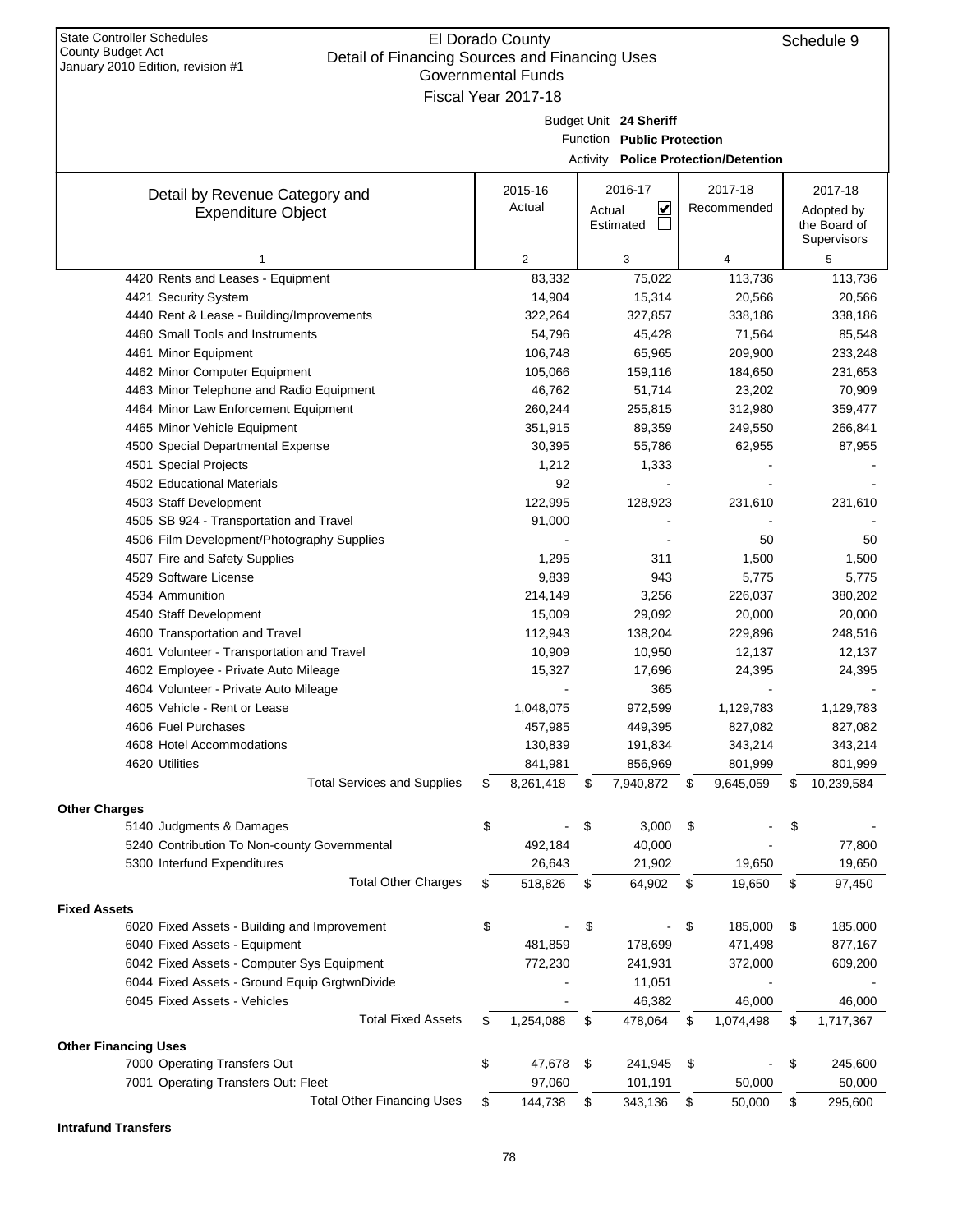| January 2010 Edition, revision #1                           | <b>Governmental Funds</b>         |        |                            |                                             |    |                   |
|-------------------------------------------------------------|-----------------------------------|--------|----------------------------|---------------------------------------------|----|-------------------|
|                                                             | Fiscal Year 2017-18               |        |                            |                                             |    |                   |
|                                                             |                                   |        | Budget Unit 24 Sheriff     |                                             |    |                   |
|                                                             |                                   |        | Function Public Protection |                                             |    |                   |
|                                                             |                                   |        |                            | <b>Activity Police Protection/Detention</b> |    |                   |
| Detail by Revenue Category and                              | 2015-16                           |        | 2016-17                    | 2017-18                                     |    | 2017-18           |
| <b>Expenditure Object</b>                                   | Actual                            | Actual | $\overline{\mathbf{v}}$    | Recommended                                 |    | Adopted by        |
|                                                             |                                   |        | Estimated                  |                                             |    | the Board of      |
|                                                             |                                   |        |                            |                                             |    | Supervisors       |
| $\mathbf{1}$                                                | $\overline{\mathbf{c}}$<br>83,332 |        | 3<br>75,022                | $\overline{4}$<br>113,736                   |    | 5                 |
| 4420 Rents and Leases - Equipment<br>4421 Security System   | 14,904                            |        | 15,314                     | 20,566                                      |    | 113,736<br>20,566 |
| 4440 Rent & Lease - Building/Improvements                   | 322,264                           |        | 327,857                    | 338,186                                     |    | 338,186           |
| 4460 Small Tools and Instruments                            | 54,796                            |        | 45,428                     | 71,564                                      |    | 85,548            |
| 4461 Minor Equipment                                        | 106,748                           |        | 65,965                     | 209,900                                     |    | 233,248           |
| 4462 Minor Computer Equipment                               | 105,066                           |        | 159,116                    | 184,650                                     |    | 231,653           |
| 4463 Minor Telephone and Radio Equipment                    | 46,762                            |        | 51,714                     | 23,202                                      |    | 70,909            |
| 4464 Minor Law Enforcement Equipment                        | 260,244                           |        | 255,815                    | 312,980                                     |    | 359,477           |
| 4465 Minor Vehicle Equipment                                | 351,915                           |        | 89,359                     | 249,550                                     |    | 266,841           |
| 4500 Special Departmental Expense                           | 30,395                            |        | 55,786                     | 62,955                                      |    | 87,955            |
| 4501 Special Projects                                       | 1,212                             |        | 1,333                      |                                             |    |                   |
| 4502 Educational Materials                                  | 92                                |        |                            |                                             |    |                   |
| 4503 Staff Development                                      | 122,995                           |        | 128,923                    | 231,610                                     |    | 231,610           |
| 4505 SB 924 - Transportation and Travel                     | 91,000                            |        |                            |                                             |    |                   |
| 4506 Film Development/Photography Supplies                  |                                   |        |                            | 50                                          |    | 50                |
| 4507 Fire and Safety Supplies                               | 1,295                             |        | 311                        | 1,500                                       |    | 1,500             |
| 4529 Software License                                       | 9,839                             |        | 943                        | 5,775                                       |    | 5,775             |
| 4534 Ammunition                                             | 214,149                           |        | 3,256                      | 226,037                                     |    | 380,202           |
| 4540 Staff Development                                      | 15,009                            |        | 29,092                     | 20,000                                      |    | 20,000            |
| 4600 Transportation and Travel                              | 112,943                           |        | 138,204                    | 229,896                                     |    | 248,516           |
| 4601 Volunteer - Transportation and Travel                  | 10,909                            |        | 10,950                     | 12,137                                      |    | 12,137            |
| 4602 Employee - Private Auto Mileage                        | 15,327                            |        | 17,696                     | 24,395                                      |    | 24,395            |
| 4604 Volunteer - Private Auto Mileage                       |                                   |        | 365                        |                                             |    |                   |
| 4605 Vehicle - Rent or Lease                                | 1,048,075                         |        | 972,599                    | 1,129,783                                   |    | 1,129,783         |
| 4606 Fuel Purchases                                         | 457,985                           |        | 449,395                    | 827,082                                     |    | 827,082           |
| 4608 Hotel Accommodations                                   | 130,839                           |        | 191,834                    | 343,214                                     |    | 343,214           |
| 4620 Utilities                                              | 841,981                           |        | 856,969                    | 801,999                                     |    | 801,999           |
| <b>Total Services and Supplies</b>                          | \$<br>8,261,418                   | \$     | 7,940,872                  | \$<br>9,645,059                             | S  | 10,239,584        |
| <b>Other Charges</b>                                        |                                   |        |                            |                                             |    |                   |
| 5140 Judgments & Damages                                    | \$                                | \$     | 3,000                      | \$                                          | \$ |                   |
| 5240 Contribution To Non-county Governmental                | 492,184                           |        | 40,000                     |                                             |    | 77,800            |
| 5300 Interfund Expenditures                                 | 26,643                            |        | 21,902                     | 19,650                                      |    | 19,650            |
| <b>Total Other Charges</b>                                  | \$<br>518,826                     | \$     | 64,902                     | \$<br>19,650                                | \$ | 97,450            |
| <b>Fixed Assets</b>                                         |                                   |        |                            |                                             |    |                   |
| 6020 Fixed Assets - Building and Improvement                | \$                                | \$     |                            | \$<br>185,000                               | \$ | 185,000           |
| 6040 Fixed Assets - Equipment                               | 481,859                           |        | 178,699                    | 471,498                                     |    | 877,167           |
| 6042 Fixed Assets - Computer Sys Equipment                  | 772,230                           |        | 241,931                    | 372,000                                     |    | 609,200           |
| 6044 Fixed Assets - Ground Equip GrgtwnDivide               |                                   |        | 11,051                     |                                             |    |                   |
| 6045 Fixed Assets - Vehicles                                |                                   |        | 46,382                     | 46,000                                      |    | 46,000            |
| <b>Total Fixed Assets</b>                                   | \$<br>1,254,088                   | \$     | 478,064                    | \$<br>1,074,498                             | \$ | 1,717,367         |
|                                                             |                                   |        |                            |                                             |    |                   |
| <b>Other Financing Uses</b><br>7000 Operating Transfers Out | \$<br>47,678                      | \$     | 241,945                    |                                             | \$ | 245,600           |
| 7001 Operating Transfers Out: Fleet                         | 97,060                            |        | 101,191                    | \$<br>50,000                                |    | 50,000            |
| <b>Total Other Financing Uses</b>                           |                                   |        |                            |                                             |    |                   |
|                                                             | \$<br>144,738                     | \$     | 343,136                    | \$<br>50,000                                | \$ | 295,600           |

**Intrafund Transfers**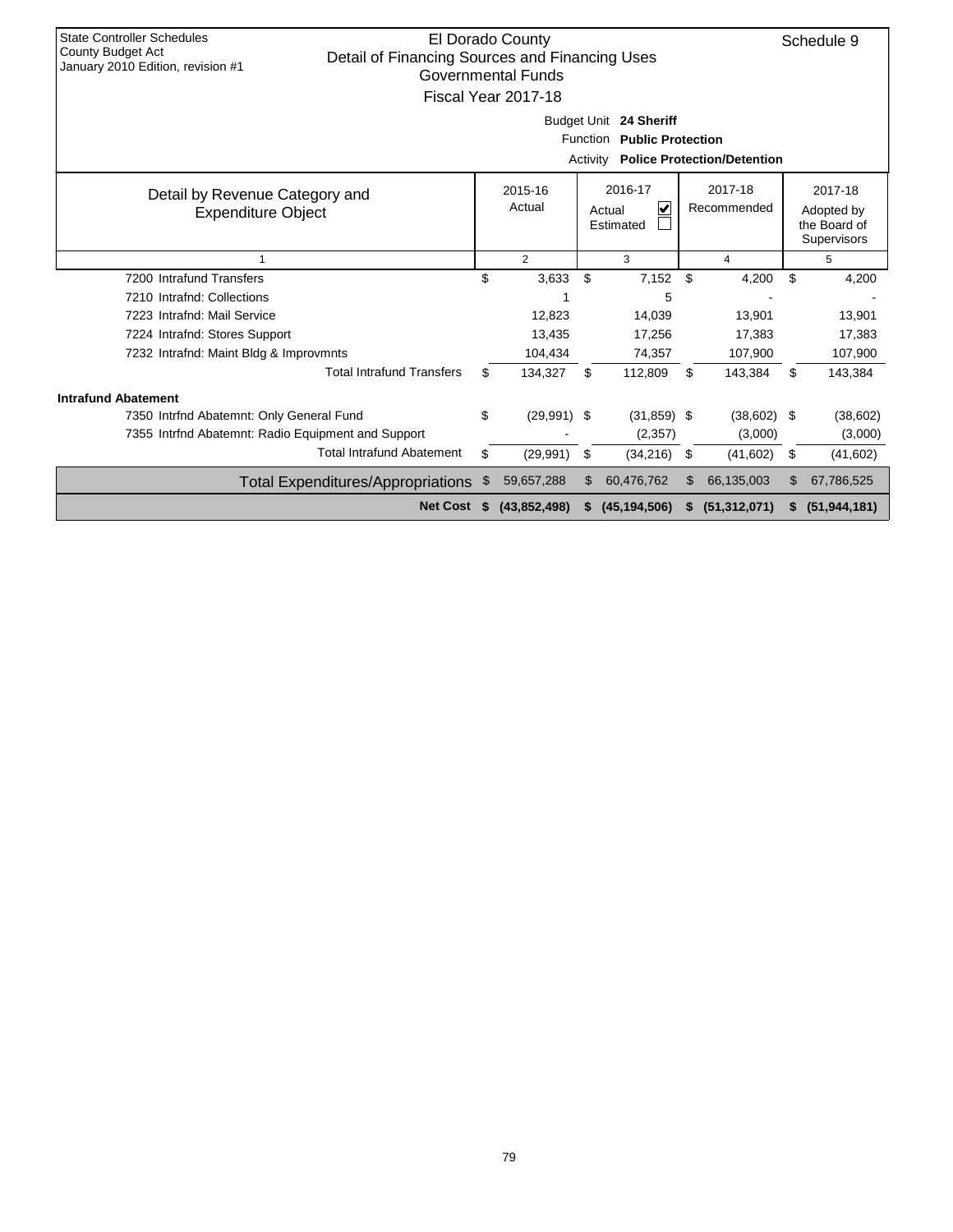| <b>State Controller Schedules</b><br><b>County Budget Act</b><br>Detail of Financing Sources and Financing Uses<br>January 2010 Edition, revision #1 |    | El Dorado County<br>Governmental Funds<br>Fiscal Year 2017-18 |     | Budget Unit 24 Sheriff<br>Function Public Protection<br><b>Activity Police Protection/Detention</b> |     |                        | Schedule 9                                           |
|------------------------------------------------------------------------------------------------------------------------------------------------------|----|---------------------------------------------------------------|-----|-----------------------------------------------------------------------------------------------------|-----|------------------------|------------------------------------------------------|
| Detail by Revenue Category and<br><b>Expenditure Object</b>                                                                                          |    | 2015-16<br>Actual                                             |     | 2016-17<br>V<br>Actual<br>Estimated                                                                 |     | 2017-18<br>Recommended | 2017-18<br>Adopted by<br>the Board of<br>Supervisors |
| 1                                                                                                                                                    |    | $\overline{2}$                                                |     | 3                                                                                                   |     | 4                      | 5                                                    |
| 7200 Intrafund Transfers                                                                                                                             | \$ | 3,633                                                         | \$  | 7,152                                                                                               | \$  | 4,200                  | \$<br>4,200                                          |
| 7210 Intrafnd: Collections                                                                                                                           |    |                                                               |     | 5                                                                                                   |     |                        |                                                      |
| 7223 Intrafnd: Mail Service                                                                                                                          |    | 12,823                                                        |     | 14,039                                                                                              |     | 13,901                 | 13,901                                               |
| 7224 Intrafnd: Stores Support                                                                                                                        |    | 13,435                                                        |     | 17,256                                                                                              |     | 17,383                 | 17,383                                               |
| 7232 Intrafnd: Maint Bldg & Improvmnts                                                                                                               |    | 104,434                                                       |     | 74,357                                                                                              |     | 107,900                | 107,900                                              |
| <b>Total Intrafund Transfers</b>                                                                                                                     | \$ | 134,327                                                       | \$  | 112,809                                                                                             | \$  | 143,384                | \$<br>143,384                                        |
| <b>Intrafund Abatement</b>                                                                                                                           |    |                                                               |     |                                                                                                     |     |                        |                                                      |
| 7350 Intrfnd Abatemnt: Only General Fund                                                                                                             | \$ | $(29,991)$ \$                                                 |     | $(31, 859)$ \$                                                                                      |     | $(38,602)$ \$          | (38,602)                                             |
| 7355 Intrind Abatemnt: Radio Equipment and Support                                                                                                   |    |                                                               |     | (2,357)                                                                                             |     | (3,000)                | (3,000)                                              |
| <b>Total Intrafund Abatement</b>                                                                                                                     | \$ | (29, 991)                                                     | \$  | (34, 216)                                                                                           | \$  | (41,602)               | \$<br>(41,602)                                       |
| <b>Total Expenditures/Appropriations</b>                                                                                                             | \$ | 59,657,288                                                    | \$. | 60,476,762                                                                                          | \$. | 66,135,003             | \$<br>67,786,525                                     |
| <b>Net Cost</b>                                                                                                                                      | S. | (43, 852, 498)                                                |     | (45, 194, 506)                                                                                      | s.  | (51, 312, 071)         | (51, 944, 181)                                       |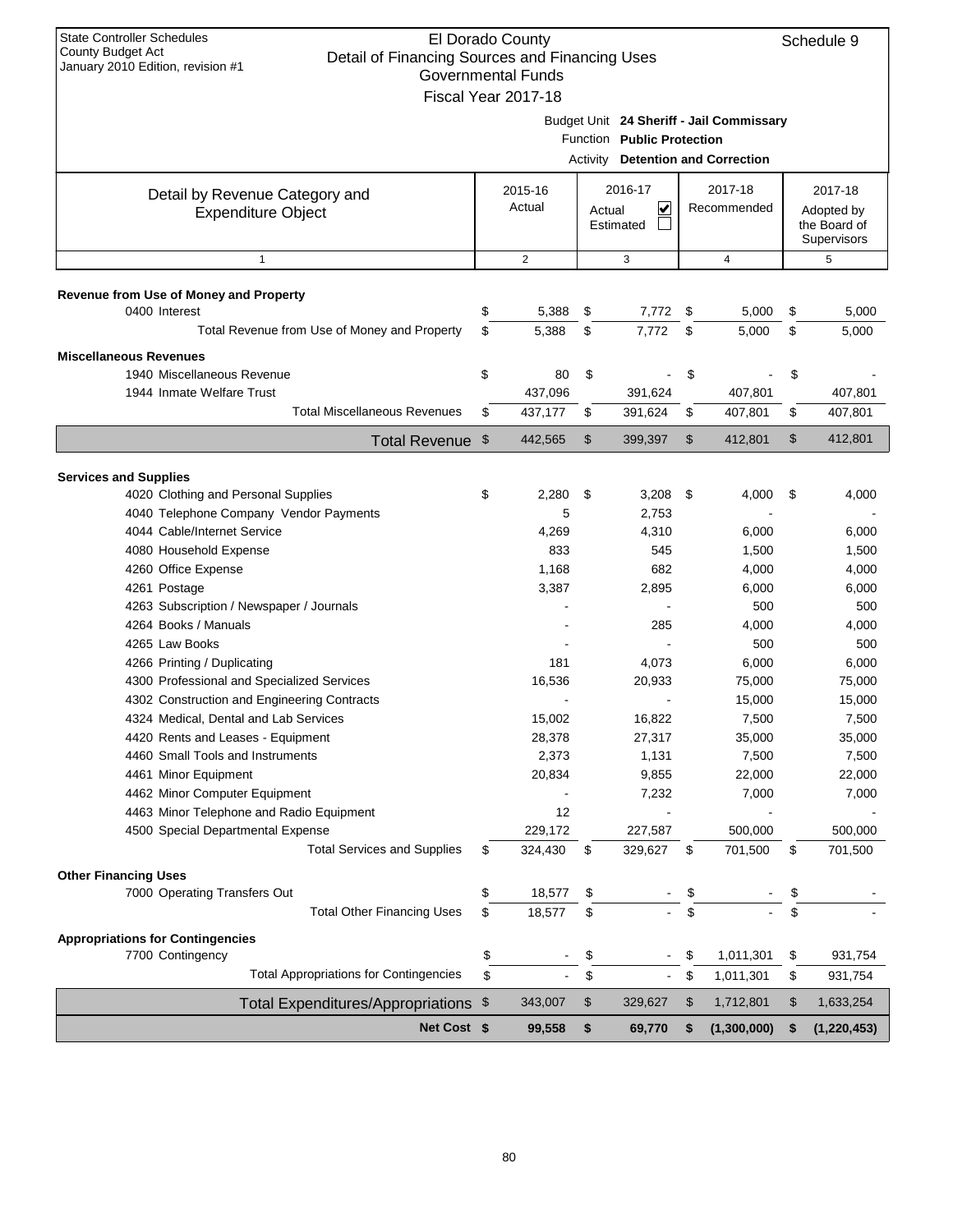| <b>State Controller Schedules</b><br>El Dorado County<br>County Budget Act<br>Detail of Financing Sources and Financing Uses<br>January 2010 Edition, revision #1 |    |                                                  |        |                            |      |                                          |    | Schedule 9       |
|-------------------------------------------------------------------------------------------------------------------------------------------------------------------|----|--------------------------------------------------|--------|----------------------------|------|------------------------------------------|----|------------------|
|                                                                                                                                                                   |    | <b>Governmental Funds</b><br>Fiscal Year 2017-18 |        |                            |      |                                          |    |                  |
|                                                                                                                                                                   |    |                                                  |        |                            |      | Budget Unit 24 Sheriff - Jail Commissary |    |                  |
|                                                                                                                                                                   |    |                                                  |        | Function Public Protection |      |                                          |    |                  |
|                                                                                                                                                                   |    |                                                  |        |                            |      | <b>Activity Detention and Correction</b> |    |                  |
|                                                                                                                                                                   |    | 2015-16                                          |        | 2016-17                    |      | 2017-18                                  |    | 2017-18          |
| Detail by Revenue Category and<br><b>Expenditure Object</b>                                                                                                       |    | Actual                                           | Actual | V                          |      | Recommended                              |    | Adopted by       |
|                                                                                                                                                                   |    |                                                  |        | Estimated                  |      |                                          |    | the Board of     |
|                                                                                                                                                                   |    |                                                  |        |                            |      |                                          |    | Supervisors      |
| $\mathbf{1}$                                                                                                                                                      |    | $\overline{2}$                                   |        | 3                          |      | $\overline{4}$                           |    | 5                |
| Revenue from Use of Money and Property                                                                                                                            |    |                                                  |        |                            |      |                                          |    |                  |
| 0400 Interest                                                                                                                                                     | \$ | 5,388                                            | \$     | 7,772                      | \$   | 5,000                                    | \$ | 5,000            |
| Total Revenue from Use of Money and Property                                                                                                                      | \$ | 5,388                                            | \$     | 7,772                      | \$   | 5,000                                    | \$ | 5,000            |
| <b>Miscellaneous Revenues</b>                                                                                                                                     |    |                                                  |        |                            |      |                                          |    |                  |
| 1940 Miscellaneous Revenue                                                                                                                                        | \$ | 80                                               | \$     |                            | \$   |                                          | \$ |                  |
| 1944 Inmate Welfare Trust                                                                                                                                         |    | 437,096                                          |        | 391,624                    |      | 407,801                                  |    | 407,801          |
| <b>Total Miscellaneous Revenues</b>                                                                                                                               | \$ | 437,177                                          | \$     | 391,624                    | \$   | 407,801                                  | \$ | 407,801          |
| Total Revenue \$                                                                                                                                                  |    | 442,565                                          | \$     | 399,397                    | \$   | 412,801                                  | \$ | 412,801          |
|                                                                                                                                                                   |    |                                                  |        |                            |      |                                          |    |                  |
| <b>Services and Supplies</b>                                                                                                                                      |    |                                                  |        |                            |      |                                          |    |                  |
| 4020 Clothing and Personal Supplies                                                                                                                               | \$ | 2,280                                            | \$     | 3,208                      | - \$ | 4,000                                    | \$ | 4,000            |
| 4040 Telephone Company Vendor Payments                                                                                                                            |    | 5                                                |        | 2,753                      |      |                                          |    |                  |
| 4044 Cable/Internet Service                                                                                                                                       |    | 4,269                                            |        | 4,310                      |      | 6,000                                    |    | 6,000            |
| 4080 Household Expense                                                                                                                                            |    | 833                                              |        | 545                        |      | 1,500                                    |    | 1,500            |
| 4260 Office Expense                                                                                                                                               |    | 1,168                                            |        | 682                        |      | 4,000                                    |    | 4,000            |
| 4261 Postage                                                                                                                                                      |    | 3,387                                            |        | 2,895                      |      | 6,000                                    |    | 6,000            |
| 4263 Subscription / Newspaper / Journals                                                                                                                          |    |                                                  |        |                            |      | 500                                      |    | 500              |
| 4264 Books / Manuals                                                                                                                                              |    |                                                  |        | 285                        |      | 4,000                                    |    | 4,000            |
| 4265 Law Books                                                                                                                                                    |    |                                                  |        |                            |      | 500                                      |    | 500              |
| 4266 Printing / Duplicating<br>4300 Professional and Specialized Services                                                                                         |    | 181                                              |        | 4,073                      |      | 6,000<br>75,000                          |    | 6,000            |
| 4302 Construction and Engineering Contracts                                                                                                                       |    | 16,536                                           |        | 20,933                     |      | 15,000                                   |    | 75,000<br>15,000 |
| 4324 Medical, Dental and Lab Services                                                                                                                             |    | 15,002                                           |        | 16,822                     |      | 7,500                                    |    | 7,500            |
| 4420 Rents and Leases - Equipment                                                                                                                                 |    | 28,378                                           |        | 27,317                     |      | 35,000                                   |    | 35,000           |
| 4460 Small Tools and Instruments                                                                                                                                  |    | 2,373                                            |        | 1,131                      |      | 7,500                                    |    | 7,500            |
| 4461 Minor Equipment                                                                                                                                              |    | 20,834                                           |        | 9,855                      |      | 22,000                                   |    | 22,000           |
| 4462 Minor Computer Equipment                                                                                                                                     |    |                                                  |        | 7,232                      |      | 7,000                                    |    | 7,000            |
| 4463 Minor Telephone and Radio Equipment                                                                                                                          |    | 12                                               |        |                            |      |                                          |    |                  |
| 4500 Special Departmental Expense                                                                                                                                 |    | 229,172                                          |        | 227,587                    |      | 500,000                                  |    | 500,000          |
| <b>Total Services and Supplies</b>                                                                                                                                | \$ | 324,430                                          | \$     | 329,627                    | \$   | 701,500                                  | \$ | 701,500          |
| <b>Other Financing Uses</b>                                                                                                                                       |    |                                                  |        |                            |      |                                          |    |                  |
| 7000 Operating Transfers Out                                                                                                                                      | \$ | 18,577                                           | \$     |                            | \$   |                                          | \$ |                  |
| <b>Total Other Financing Uses</b>                                                                                                                                 | \$ | 18,577                                           | \$     |                            | \$   |                                          | \$ |                  |
| <b>Appropriations for Contingencies</b>                                                                                                                           |    |                                                  |        |                            |      |                                          |    |                  |
| 7700 Contingency                                                                                                                                                  | \$ |                                                  | \$     |                            | \$   | 1,011,301                                | \$ | 931,754          |
| <b>Total Appropriations for Contingencies</b>                                                                                                                     | \$ |                                                  | \$     | $\blacksquare$             | \$   | 1,011,301                                | \$ | 931,754          |
| Total Expenditures/Appropriations \$                                                                                                                              |    | 343,007                                          | \$     | 329,627                    | \$   | 1,712,801                                | \$ | 1,633,254        |
| Net Cost \$                                                                                                                                                       |    | 99,558                                           | \$     | 69,770                     | \$   | (1,300,000)                              | \$ | (1, 220, 453)    |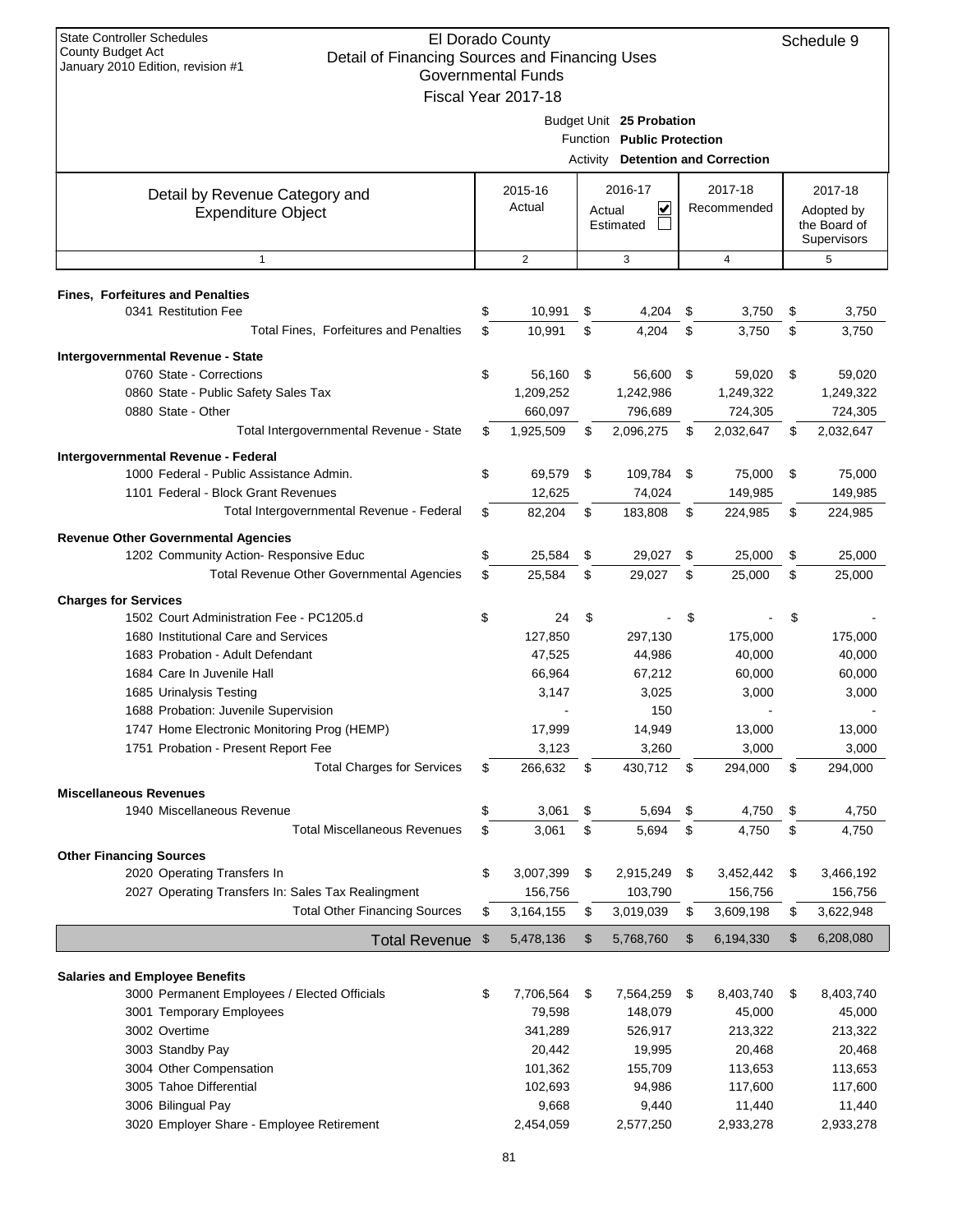| <b>State Controller Schedules</b><br>El Dorado County<br>Schedule 9                                             |    |                           |    |                                   |    |                |    |                  |  |
|-----------------------------------------------------------------------------------------------------------------|----|---------------------------|----|-----------------------------------|----|----------------|----|------------------|--|
| <b>County Budget Act</b><br>Detail of Financing Sources and Financing Uses<br>January 2010 Edition, revision #1 |    |                           |    |                                   |    |                |    |                  |  |
|                                                                                                                 |    | <b>Governmental Funds</b> |    |                                   |    |                |    |                  |  |
|                                                                                                                 |    | Fiscal Year 2017-18       |    |                                   |    |                |    |                  |  |
|                                                                                                                 |    |                           |    | Budget Unit 25 Probation          |    |                |    |                  |  |
|                                                                                                                 |    |                           |    | Function Public Protection        |    |                |    |                  |  |
|                                                                                                                 |    |                           |    | Activity Detention and Correction |    |                |    |                  |  |
| Detail by Revenue Category and                                                                                  |    | 2015-16                   |    | 2016-17                           |    | 2017-18        |    | 2017-18          |  |
| <b>Expenditure Object</b>                                                                                       |    | Actual                    |    | ⊻<br>Actual                       |    | Recommended    |    | Adopted by       |  |
|                                                                                                                 |    |                           |    | Estimated                         |    |                |    | the Board of     |  |
| $\mathbf{1}$                                                                                                    |    | 2                         |    | 3                                 |    | $\overline{4}$ |    | Supervisors<br>5 |  |
|                                                                                                                 |    |                           |    |                                   |    |                |    |                  |  |
| <b>Fines, Forfeitures and Penalties</b>                                                                         |    |                           |    |                                   |    |                |    |                  |  |
| 0341 Restitution Fee                                                                                            | \$ | 10,991                    | \$ | 4,204                             | \$ | 3,750          | \$ | 3,750            |  |
| Total Fines, Forfeitures and Penalties                                                                          | \$ | 10,991                    | \$ | 4,204                             | \$ | 3,750          | \$ | 3,750            |  |
| Intergovernmental Revenue - State                                                                               |    |                           |    |                                   |    |                |    |                  |  |
| 0760 State - Corrections                                                                                        | \$ | 56,160                    | \$ | 56,600                            | \$ | 59,020         | \$ | 59,020           |  |
| 0860 State - Public Safety Sales Tax                                                                            |    | 1,209,252                 |    | 1,242,986                         |    | 1,249,322      |    | 1,249,322        |  |
| 0880 State - Other                                                                                              |    | 660,097                   |    | 796,689                           |    | 724,305        |    | 724,305          |  |
| Total Intergovernmental Revenue - State                                                                         | \$ | 1,925,509                 | \$ | 2,096,275                         | \$ | 2,032,647      | \$ | 2,032,647        |  |
| Intergovernmental Revenue - Federal                                                                             |    |                           |    |                                   |    |                |    |                  |  |
| 1000 Federal - Public Assistance Admin.                                                                         | \$ | 69,579                    | \$ | 109,784                           | \$ | 75,000         | \$ | 75,000           |  |
| 1101 Federal - Block Grant Revenues                                                                             |    | 12,625                    |    | 74,024                            |    | 149,985        |    | 149,985          |  |
| Total Intergovernmental Revenue - Federal                                                                       | \$ | 82,204                    | \$ | 183,808                           | \$ | 224,985        | \$ | 224,985          |  |
| <b>Revenue Other Governmental Agencies</b>                                                                      |    |                           |    |                                   |    |                |    |                  |  |
| 1202 Community Action- Responsive Educ                                                                          | \$ | 25,584                    | \$ | 29,027                            | \$ | 25,000         | \$ | 25,000           |  |
| Total Revenue Other Governmental Agencies                                                                       | \$ | 25,584                    | \$ | 29,027                            | \$ | 25,000         | \$ | 25,000           |  |
| <b>Charges for Services</b>                                                                                     |    |                           |    |                                   |    |                |    |                  |  |
| 1502 Court Administration Fee - PC1205.d                                                                        | \$ | 24                        | \$ |                                   | \$ |                | \$ |                  |  |
| 1680 Institutional Care and Services                                                                            |    | 127,850                   |    | 297,130                           |    | 175,000        |    | 175,000          |  |
| 1683 Probation - Adult Defendant                                                                                |    | 47,525                    |    | 44,986                            |    | 40,000         |    | 40,000           |  |
| 1684 Care In Juvenile Hall                                                                                      |    | 66,964                    |    | 67.212                            |    | 60,000         |    | 60,000           |  |
| 1685 Urinalysis Testing<br>1688 Probation: Juvenile Supervision                                                 |    | 3,147                     |    | 3,025                             |    | 3,000          |    | 3,000            |  |
| 1747 Home Electronic Monitoring Prog (HEMP)                                                                     |    | 17,999                    |    | 150<br>14,949                     |    | 13,000         |    | 13,000           |  |
| 1751 Probation - Present Report Fee                                                                             |    | 3,123                     |    | 3,260                             |    | 3,000          |    | 3,000            |  |
| <b>Total Charges for Services</b>                                                                               | \$ | 266,632                   | \$ | 430,712                           | \$ | 294,000        | \$ | 294,000          |  |
|                                                                                                                 |    |                           |    |                                   |    |                |    |                  |  |
| <b>Miscellaneous Revenues</b><br>1940 Miscellaneous Revenue                                                     | \$ | 3,061                     | \$ | 5,694                             | \$ | 4,750          | \$ | 4,750            |  |
| <b>Total Miscellaneous Revenues</b>                                                                             | \$ | 3,061                     | \$ | 5,694                             | \$ | 4,750          | \$ | 4,750            |  |
|                                                                                                                 |    |                           |    |                                   |    |                |    |                  |  |
| <b>Other Financing Sources</b><br>2020 Operating Transfers In                                                   | \$ | 3,007,399                 | \$ | 2,915,249                         | \$ | 3,452,442      | \$ | 3,466,192        |  |
| 2027 Operating Transfers In: Sales Tax Realingment                                                              |    | 156,756                   |    | 103,790                           |    | 156,756        |    | 156,756          |  |
| <b>Total Other Financing Sources</b>                                                                            | \$ | 3,164,155                 | \$ | 3,019,039                         | \$ | 3,609,198      | \$ | 3,622,948        |  |
|                                                                                                                 |    |                           |    |                                   |    |                |    |                  |  |
| <b>Total Revenue</b>                                                                                            | \$ | 5,478,136                 | \$ | 5,768,760                         | \$ | 6,194,330      | \$ | 6,208,080        |  |
| <b>Salaries and Employee Benefits</b>                                                                           |    |                           |    |                                   |    |                |    |                  |  |
| 3000 Permanent Employees / Elected Officials                                                                    | \$ | 7,706,564                 | \$ | 7,564,259                         | \$ | 8,403,740      | \$ | 8,403,740        |  |
| 3001 Temporary Employees                                                                                        |    | 79,598                    |    | 148,079                           |    | 45,000         |    | 45,000           |  |
| 3002 Overtime                                                                                                   |    | 341,289                   |    | 526,917                           |    | 213,322        |    | 213,322          |  |
| 3003 Standby Pay                                                                                                |    | 20,442                    |    | 19,995                            |    | 20,468         |    | 20,468           |  |
| 3004 Other Compensation                                                                                         |    | 101,362                   |    | 155,709                           |    | 113,653        |    | 113,653          |  |
| 3005 Tahoe Differential                                                                                         |    | 102,693                   |    | 94,986                            |    | 117,600        |    | 117,600          |  |
| 3006 Bilingual Pay                                                                                              |    | 9,668                     |    | 9,440                             |    | 11,440         |    | 11,440           |  |
| 3020 Employer Share - Employee Retirement                                                                       |    | 2,454,059                 |    | 2,577,250                         |    | 2,933,278      |    | 2,933,278        |  |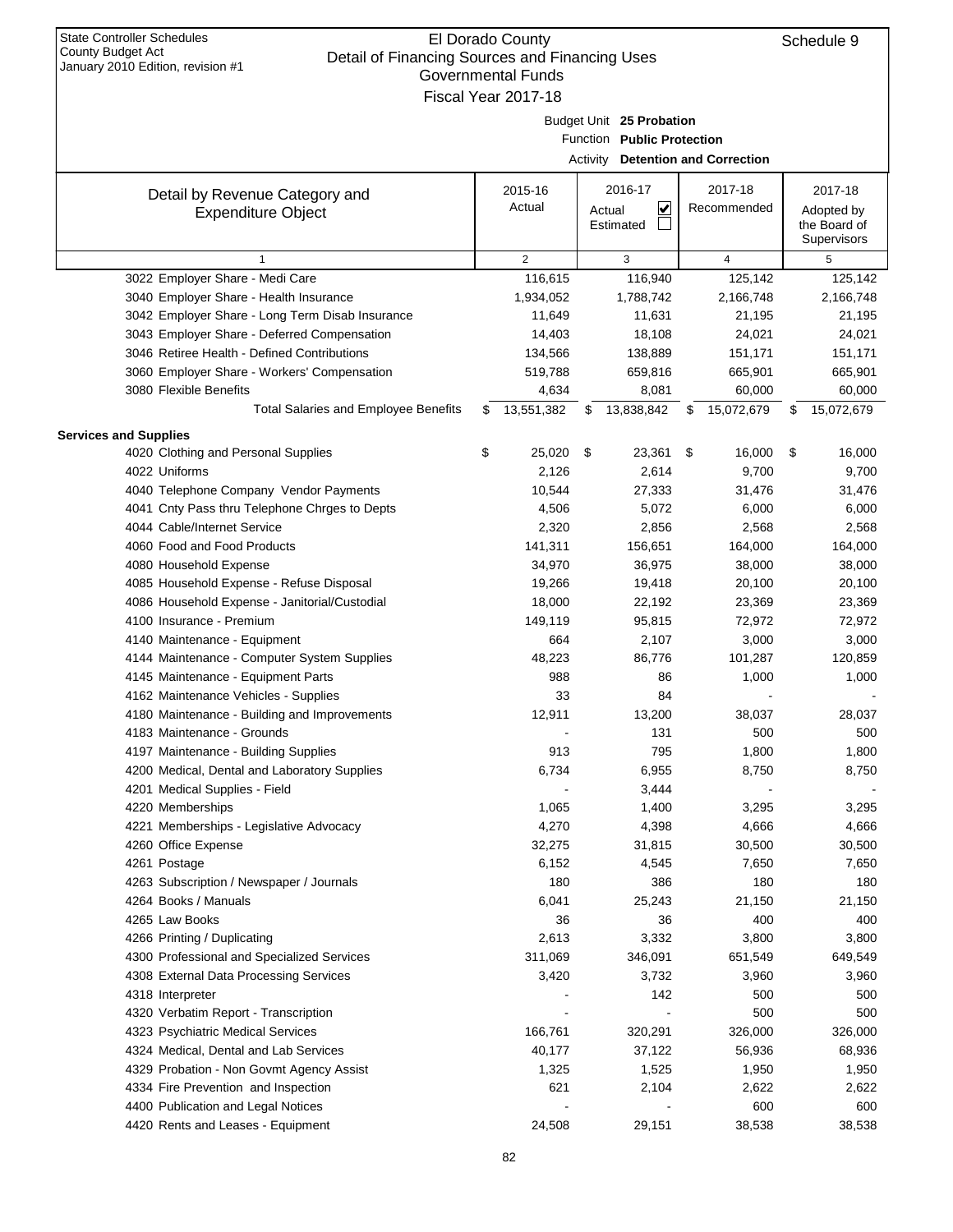| etail of Financing Obdices and Financing Oses<br>January 2010 Edition, revision #1<br>Governmental Funds |    |                     |    |                                   |    |                |    |                             |  |  |  |
|----------------------------------------------------------------------------------------------------------|----|---------------------|----|-----------------------------------|----|----------------|----|-----------------------------|--|--|--|
|                                                                                                          |    | Fiscal Year 2017-18 |    |                                   |    |                |    |                             |  |  |  |
|                                                                                                          |    |                     |    | Budget Unit 25 Probation          |    |                |    |                             |  |  |  |
|                                                                                                          |    |                     |    | Function Public Protection        |    |                |    |                             |  |  |  |
|                                                                                                          |    |                     |    | Activity Detention and Correction |    |                |    |                             |  |  |  |
|                                                                                                          |    |                     |    |                                   |    |                |    |                             |  |  |  |
| Detail by Revenue Category and                                                                           |    | 2015-16             |    | 2016-17                           |    | 2017-18        |    | 2017-18                     |  |  |  |
| <b>Expenditure Object</b>                                                                                |    | Actual              |    | V<br>Actual                       |    | Recommended    |    | Adopted by                  |  |  |  |
|                                                                                                          |    |                     |    | Estimated                         |    |                |    | the Board of<br>Supervisors |  |  |  |
| $\mathbf{1}$                                                                                             |    | 2                   |    | 3                                 |    | $\overline{4}$ |    | 5                           |  |  |  |
| 3022 Employer Share - Medi Care                                                                          |    | 116,615             |    | 116,940                           |    | 125,142        |    | 125,142                     |  |  |  |
| 3040 Employer Share - Health Insurance                                                                   |    | 1,934,052           |    | 1,788,742                         |    | 2,166,748      |    | 2,166,748                   |  |  |  |
| 3042 Employer Share - Long Term Disab Insurance                                                          |    | 11,649              |    | 11,631                            |    | 21,195         |    | 21,195                      |  |  |  |
| 3043 Employer Share - Deferred Compensation                                                              |    | 14,403              |    | 18,108                            |    | 24,021         |    | 24,021                      |  |  |  |
| 3046 Retiree Health - Defined Contributions                                                              |    | 134,566             |    | 138,889                           |    | 151,171        |    | 151,171                     |  |  |  |
| 3060 Employer Share - Workers' Compensation                                                              |    | 519,788             |    | 659,816                           |    | 665,901        |    | 665,901                     |  |  |  |
| 3080 Flexible Benefits                                                                                   |    | 4,634               |    | 8,081                             |    | 60,000         |    | 60,000                      |  |  |  |
| <b>Total Salaries and Employee Benefits</b>                                                              | \$ | 13,551,382          | \$ | 13,838,842                        | \$ | 15,072,679     | \$ | 15,072,679                  |  |  |  |
| <b>Services and Supplies</b>                                                                             |    |                     |    |                                   |    |                |    |                             |  |  |  |
| 4020 Clothing and Personal Supplies                                                                      | \$ | 25,020              | \$ | 23,361                            | \$ | 16,000         | \$ | 16,000                      |  |  |  |
| 4022 Uniforms                                                                                            |    | 2,126               |    | 2,614                             |    | 9,700          |    | 9,700                       |  |  |  |
| 4040 Telephone Company Vendor Payments                                                                   |    | 10,544              |    | 27,333                            |    | 31,476         |    | 31,476                      |  |  |  |
| 4041 Cnty Pass thru Telephone Chrges to Depts                                                            |    | 4,506               |    | 5,072                             |    | 6,000          |    | 6,000                       |  |  |  |
| 4044 Cable/Internet Service                                                                              |    | 2,320               |    | 2,856                             |    | 2,568          |    | 2,568                       |  |  |  |
| 4060 Food and Food Products                                                                              |    | 141,311             |    | 156,651                           |    | 164,000        |    | 164,000                     |  |  |  |
| 4080 Household Expense                                                                                   |    | 34,970              |    | 36,975                            |    | 38,000         |    | 38,000                      |  |  |  |
| 4085 Household Expense - Refuse Disposal                                                                 |    | 19,266              |    | 19,418                            |    | 20,100         |    | 20,100                      |  |  |  |
| 4086 Household Expense - Janitorial/Custodial                                                            |    | 18,000              |    | 22,192                            |    | 23,369         |    | 23,369                      |  |  |  |
| 4100 Insurance - Premium                                                                                 |    | 149,119             |    | 95,815                            |    | 72,972         |    | 72,972                      |  |  |  |
| 4140 Maintenance - Equipment                                                                             |    | 664                 |    | 2,107                             |    | 3,000          |    | 3,000                       |  |  |  |
| 4144 Maintenance - Computer System Supplies                                                              |    | 48,223              |    | 86,776                            |    | 101,287        |    | 120,859                     |  |  |  |
| 4145 Maintenance - Equipment Parts                                                                       |    | 988                 |    | 86                                |    | 1,000          |    | 1,000                       |  |  |  |
| 4162 Maintenance Vehicles - Supplies                                                                     |    | 33                  |    | 84                                |    |                |    |                             |  |  |  |
| 4180 Maintenance - Building and Improvements                                                             |    | 12,911              |    | 13,200                            |    | 38,037         |    | 28,037                      |  |  |  |
| 4183 Maintenance - Grounds                                                                               |    |                     |    | 131                               |    | 500            |    | 500                         |  |  |  |
| 4197 Maintenance - Building Supplies                                                                     |    | 913                 |    | 795                               |    | 1,800          |    | 1,800                       |  |  |  |
| 4200 Medical, Dental and Laboratory Supplies                                                             |    | 6,734               |    | 6,955                             |    | 8,750          |    | 8,750                       |  |  |  |
| 4201 Medical Supplies - Field<br>4220 Memberships                                                        |    |                     |    | 3,444<br>1,400                    |    |                |    |                             |  |  |  |
| 4221 Memberships - Legislative Advocacy                                                                  |    | 1,065<br>4,270      |    | 4,398                             |    | 3,295<br>4,666 |    | 3,295<br>4,666              |  |  |  |
| 4260 Office Expense                                                                                      |    | 32,275              |    | 31,815                            |    | 30,500         |    | 30,500                      |  |  |  |
| 4261 Postage                                                                                             |    | 6,152               |    | 4,545                             |    | 7,650          |    | 7,650                       |  |  |  |
| 4263 Subscription / Newspaper / Journals                                                                 |    | 180                 |    | 386                               |    | 180            |    | 180                         |  |  |  |
| 4264 Books / Manuals                                                                                     |    | 6,041               |    | 25,243                            |    | 21,150         |    | 21,150                      |  |  |  |
| 4265 Law Books                                                                                           |    | 36                  |    | 36                                |    | 400            |    | 400                         |  |  |  |
| 4266 Printing / Duplicating                                                                              |    | 2,613               |    | 3,332                             |    | 3,800          |    | 3,800                       |  |  |  |
| 4300 Professional and Specialized Services                                                               |    | 311,069             |    | 346,091                           |    | 651,549        |    | 649,549                     |  |  |  |
| 4308 External Data Processing Services                                                                   |    | 3,420               |    | 3,732                             |    | 3,960          |    | 3,960                       |  |  |  |
| 4318 Interpreter                                                                                         |    |                     |    | 142                               |    | 500            |    | 500                         |  |  |  |
| 4320 Verbatim Report - Transcription                                                                     |    |                     |    |                                   |    | 500            |    | 500                         |  |  |  |
| 4323 Psychiatric Medical Services                                                                        |    | 166,761             |    | 320,291                           |    | 326,000        |    | 326,000                     |  |  |  |
| 4324 Medical, Dental and Lab Services                                                                    |    | 40,177              |    | 37,122                            |    | 56,936         |    | 68,936                      |  |  |  |
| 4329 Probation - Non Govmt Agency Assist                                                                 |    | 1,325               |    | 1,525                             |    | 1,950          |    | 1,950                       |  |  |  |
| 4334 Fire Prevention and Inspection                                                                      |    | 621                 |    | 2,104                             |    | 2,622          |    | 2,622                       |  |  |  |
| 4400 Publication and Legal Notices                                                                       |    |                     |    |                                   |    | 600            |    | 600                         |  |  |  |
| 4420 Rents and Leases - Equipment                                                                        |    | 24,508              |    | 29,151                            |    | 38,538         |    | 38,538                      |  |  |  |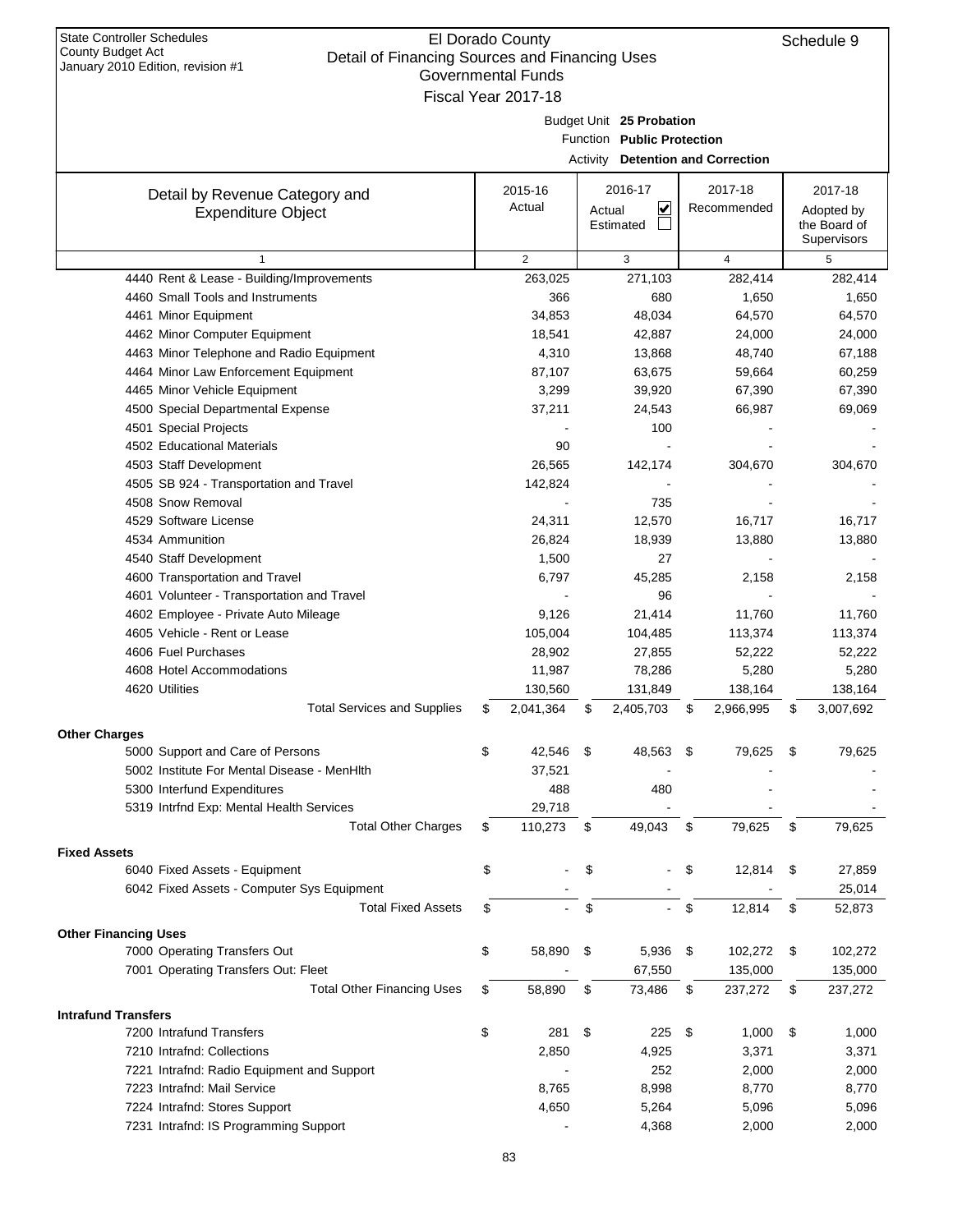| botal or milanoling boarboo and milanoling boos<br>January 2010 Edition, revision #1 |    | <b>Governmental Funds</b> |                                          |                 |      |                 |
|--------------------------------------------------------------------------------------|----|---------------------------|------------------------------------------|-----------------|------|-----------------|
|                                                                                      |    | Fiscal Year 2017-18       |                                          |                 |      |                 |
|                                                                                      |    |                           | Budget Unit 25 Probation                 |                 |      |                 |
|                                                                                      |    |                           | Function Public Protection               |                 |      |                 |
|                                                                                      |    |                           | <b>Activity Detention and Correction</b> |                 |      |                 |
| Detail by Revenue Category and                                                       |    | 2015-16                   | 2016-17                                  | 2017-18         |      | 2017-18         |
| <b>Expenditure Object</b>                                                            |    | Actual                    | $\overline{\mathbf{v}}$<br>Actual        | Recommended     |      | Adopted by      |
|                                                                                      |    |                           | Estimated                                |                 |      | the Board of    |
|                                                                                      |    |                           |                                          |                 |      | Supervisors     |
| $\mathbf{1}$                                                                         |    | $\overline{2}$            | 3                                        | 4               |      | 5               |
| 4440 Rent & Lease - Building/Improvements<br>4460 Small Tools and Instruments        |    | 263,025<br>366            | 271,103<br>680                           | 282,414         |      | 282,414         |
| 4461 Minor Equipment                                                                 |    | 34,853                    | 48,034                                   | 1,650<br>64,570 |      | 1,650<br>64,570 |
| 4462 Minor Computer Equipment                                                        |    | 18,541                    | 42,887                                   | 24,000          |      | 24,000          |
| 4463 Minor Telephone and Radio Equipment                                             |    | 4,310                     | 13,868                                   | 48,740          |      | 67,188          |
| 4464 Minor Law Enforcement Equipment                                                 |    | 87,107                    | 63,675                                   | 59,664          |      | 60,259          |
| 4465 Minor Vehicle Equipment                                                         |    | 3,299                     | 39,920                                   | 67,390          |      | 67,390          |
| 4500 Special Departmental Expense                                                    |    | 37,211                    | 24,543                                   | 66,987          |      | 69,069          |
| 4501 Special Projects                                                                |    |                           | 100                                      |                 |      |                 |
| 4502 Educational Materials                                                           |    | 90                        |                                          |                 |      |                 |
| 4503 Staff Development                                                               |    | 26,565                    | 142,174                                  | 304,670         |      | 304,670         |
| 4505 SB 924 - Transportation and Travel                                              |    | 142,824                   |                                          |                 |      |                 |
| 4508 Snow Removal                                                                    |    |                           | 735                                      |                 |      |                 |
| 4529 Software License                                                                |    | 24,311                    | 12,570                                   | 16,717          |      | 16,717          |
| 4534 Ammunition                                                                      |    | 26,824                    | 18,939                                   | 13,880          |      | 13,880          |
| 4540 Staff Development                                                               |    | 1,500                     | 27                                       |                 |      |                 |
| 4600 Transportation and Travel                                                       |    | 6,797                     | 45,285                                   | 2,158           |      | 2,158           |
| 4601 Volunteer - Transportation and Travel                                           |    |                           | 96                                       |                 |      |                 |
| 4602 Employee - Private Auto Mileage                                                 |    | 9,126                     | 21,414                                   | 11,760          |      | 11,760          |
| 4605 Vehicle - Rent or Lease                                                         |    | 105,004                   | 104,485                                  | 113,374         |      | 113,374         |
| 4606 Fuel Purchases                                                                  |    | 28,902                    | 27,855                                   | 52,222          |      | 52,222          |
| 4608 Hotel Accommodations                                                            |    | 11,987                    | 78,286                                   | 5,280           |      | 5,280           |
| 4620 Utilities                                                                       |    | 130,560                   | 131,849                                  | 138,164         |      | 138,164         |
| <b>Total Services and Supplies</b>                                                   | \$ | 2,041,364                 | \$<br>2,405,703                          | \$<br>2,966,995 | \$   | 3,007,692       |
| <b>Other Charges</b>                                                                 |    |                           |                                          |                 |      |                 |
| 5000 Support and Care of Persons                                                     | \$ | 42,546                    | \$<br>48,563                             | \$<br>79,625    | \$   | 79,625          |
| 5002 Institute For Mental Disease - MenHIth                                          |    | 37,521                    |                                          |                 |      |                 |
| 5300 Interfund Expenditures                                                          |    | 488                       | 480                                      |                 |      |                 |
| 5319 Intrfnd Exp: Mental Health Services                                             |    | 29,718                    |                                          |                 |      |                 |
| <b>Total Other Charges</b>                                                           | S  | 110,273                   | \$<br>49,043                             | \$<br>79,625    | \$   | 79,625          |
| <b>Fixed Assets</b>                                                                  |    |                           |                                          |                 |      |                 |
| 6040 Fixed Assets - Equipment                                                        | \$ |                           | \$                                       | \$<br>12,814    | - \$ | 27,859          |
| 6042 Fixed Assets - Computer Sys Equipment                                           |    |                           |                                          |                 |      | 25,014          |
| <b>Total Fixed Assets</b>                                                            | \$ |                           | \$                                       | \$<br>12,814    | \$   | 52,873          |
|                                                                                      |    |                           |                                          |                 |      |                 |
| <b>Other Financing Uses</b><br>7000 Operating Transfers Out                          | \$ | 58,890                    | \$<br>5,936 \$                           | 102,272         | \$   | 102,272         |
| 7001 Operating Transfers Out: Fleet                                                  |    |                           | 67,550                                   | 135,000         |      | 135,000         |
| <b>Total Other Financing Uses</b>                                                    |    |                           |                                          |                 |      |                 |
|                                                                                      | \$ | 58,890                    | \$<br>73,486                             | \$<br>237,272   | \$   | 237,272         |
| <b>Intrafund Transfers</b>                                                           |    |                           |                                          |                 |      |                 |
| 7200 Intrafund Transfers                                                             | \$ | 281                       | \$<br>225                                | \$<br>1,000     | \$   | 1,000           |
| 7210 Intrafnd: Collections                                                           |    | 2,850                     | 4,925                                    | 3,371           |      | 3,371           |
| 7221 Intrafnd: Radio Equipment and Support                                           |    |                           | 252                                      | 2,000           |      | 2,000           |
| 7223 Intrafnd: Mail Service                                                          |    | 8,765                     | 8,998                                    | 8,770           |      | 8,770           |
| 7224 Intrafnd: Stores Support                                                        |    | 4,650                     | 5,264                                    | 5,096           |      | 5,096           |
| 7231 Intrafnd: IS Programming Support                                                |    |                           | 4,368                                    | 2,000           |      | 2,000           |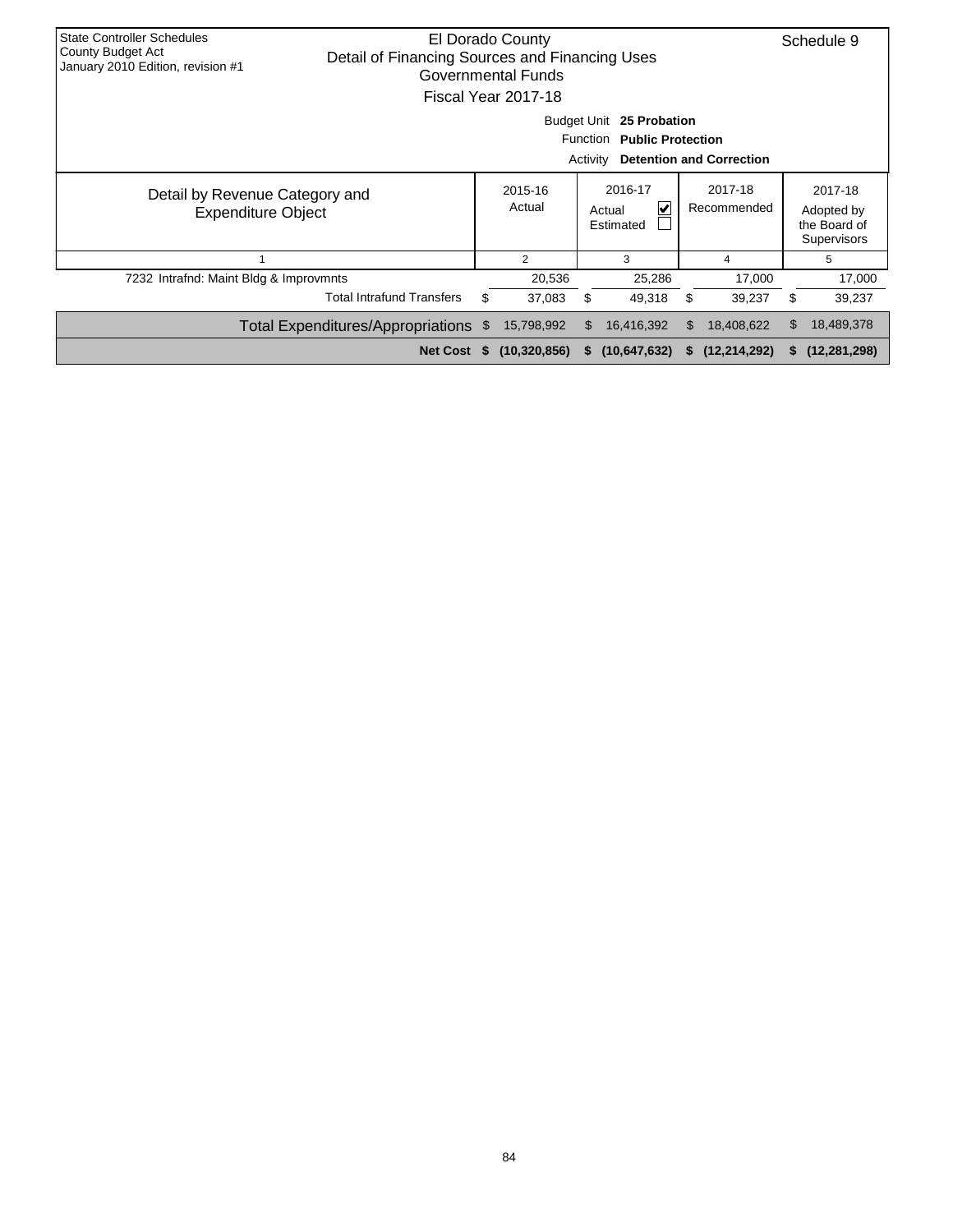| <b>State Controller Schedules</b><br>El Dorado County<br><b>County Budget Act</b><br>Detail of Financing Sources and Financing Uses<br>January 2010 Edition, revision #1<br>Governmental Funds<br>Fiscal Year 2017-18 |                                                                                                                                                   |          |                |     |                |    |                |    | Schedule 9                                                  |
|-----------------------------------------------------------------------------------------------------------------------------------------------------------------------------------------------------------------------|---------------------------------------------------------------------------------------------------------------------------------------------------|----------|----------------|-----|----------------|----|----------------|----|-------------------------------------------------------------|
| <b>Budget Unit</b><br>25 Probation<br>Function<br><b>Public Protection</b><br>Activity<br><b>Detention and Correction</b>                                                                                             |                                                                                                                                                   |          |                |     |                |    |                |    |                                                             |
|                                                                                                                                                                                                                       | 2016-17<br>2017-18<br>2015-16<br>Detail by Revenue Category and<br>Actual<br>Recommended<br>V<br>Actual<br><b>Expenditure Object</b><br>Estimated |          |                |     |                |    |                |    | 2017-18<br>Adopted by<br>the Board of<br><b>Supervisors</b> |
|                                                                                                                                                                                                                       |                                                                                                                                                   |          | 2              |     | 3              |    | 4              |    | 5                                                           |
| 7232 Intrafnd: Maint Bldg & Improvmnts                                                                                                                                                                                |                                                                                                                                                   |          | 20,536         |     | 25,286         |    | 17,000         |    | 17,000                                                      |
| <b>Total Intrafund Transfers</b><br>\$<br>\$<br>37,083<br>49,318<br>S<br>39,237                                                                                                                                       |                                                                                                                                                   |          |                |     |                |    |                | S  | 39,237                                                      |
|                                                                                                                                                                                                                       | Total Expenditures/Appropriations \$                                                                                                              |          | 15,798,992     | \$. | 16,416,392     | \$ | 18,408,622     | \$ | 18,489,378                                                  |
|                                                                                                                                                                                                                       | <b>Net Cost</b>                                                                                                                                   | <b>S</b> | (10, 320, 856) | S.  | (10, 647, 632) | S. | (12, 214, 292) | s. | (12, 281, 298)                                              |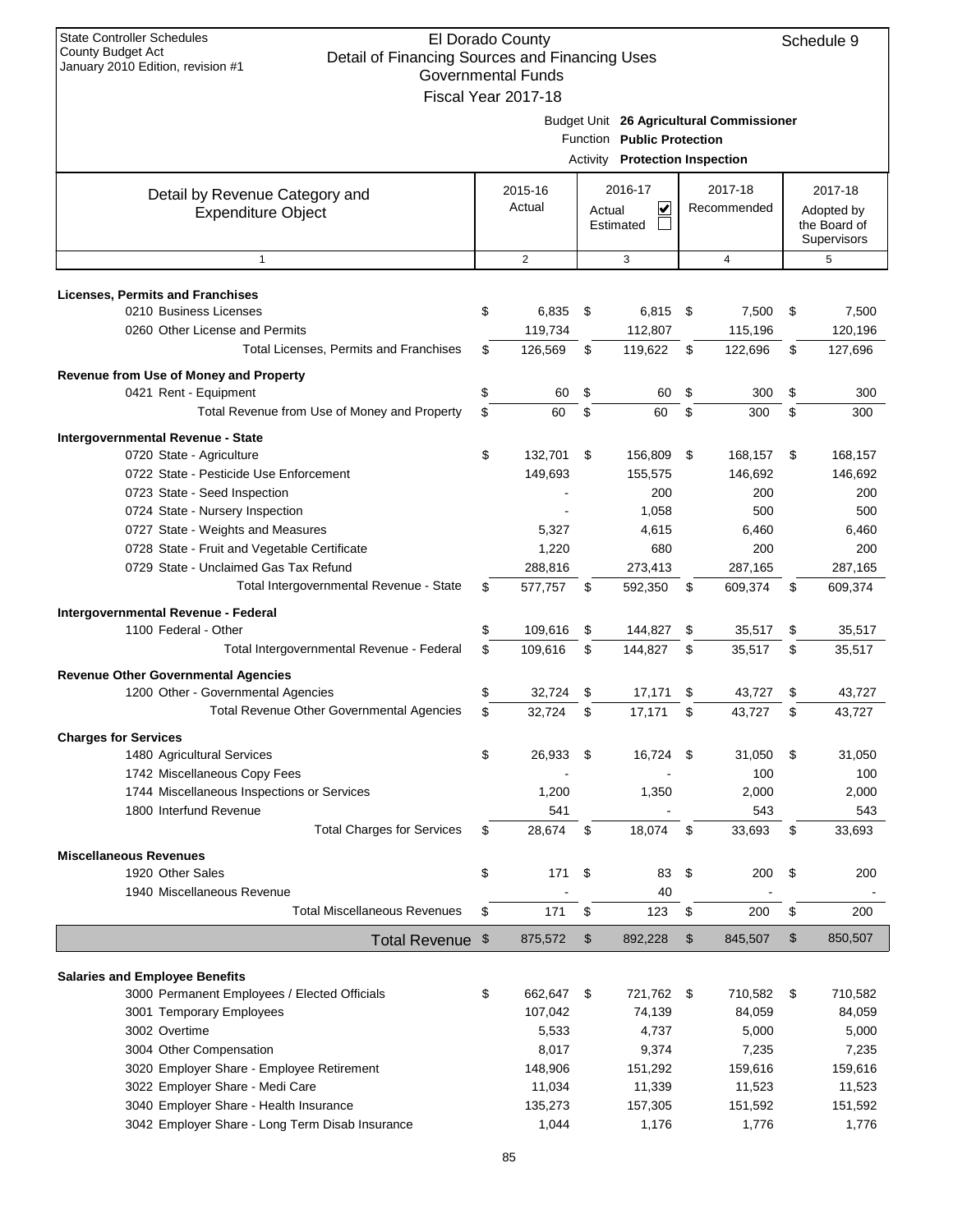| <b>State Controller Schedules</b><br>El Dorado County<br>Schedule 9<br>County Budget Act<br>Detail of Financing Sources and Financing Uses |    |                           |        |                                |    |                                          |                |                            |  |
|--------------------------------------------------------------------------------------------------------------------------------------------|----|---------------------------|--------|--------------------------------|----|------------------------------------------|----------------|----------------------------|--|
| January 2010 Edition, revision #1                                                                                                          |    | <b>Governmental Funds</b> |        |                                |    |                                          |                |                            |  |
|                                                                                                                                            |    | Fiscal Year 2017-18       |        |                                |    |                                          |                |                            |  |
|                                                                                                                                            |    |                           |        |                                |    | Budget Unit 26 Agricultural Commissioner |                |                            |  |
|                                                                                                                                            |    |                           |        | Function Public Protection     |    |                                          |                |                            |  |
|                                                                                                                                            |    |                           |        | Activity Protection Inspection |    |                                          |                |                            |  |
|                                                                                                                                            |    |                           |        |                                |    |                                          |                |                            |  |
| Detail by Revenue Category and                                                                                                             |    | 2015-16<br>Actual         |        | 2016-17<br>⊽                   |    | 2017-18<br>Recommended                   |                | 2017-18                    |  |
| <b>Expenditure Object</b>                                                                                                                  |    |                           | Actual | Estimated                      |    |                                          |                | Adopted by<br>the Board of |  |
|                                                                                                                                            |    |                           |        |                                |    |                                          |                | Supervisors                |  |
| $\mathbf{1}$                                                                                                                               |    | 2                         |        | 3                              |    | $\overline{4}$                           |                | 5                          |  |
| <b>Licenses, Permits and Franchises</b>                                                                                                    |    |                           |        |                                |    |                                          |                |                            |  |
| 0210 Business Licenses                                                                                                                     | \$ | 6,835                     | \$     | 6,815                          | \$ | 7,500                                    | \$             | 7,500                      |  |
| 0260 Other License and Permits                                                                                                             |    | 119,734                   |        | 112,807                        |    | 115,196                                  |                | 120,196                    |  |
| Total Licenses, Permits and Franchises                                                                                                     | \$ | 126,569                   | \$     | 119,622                        | \$ | 122,696                                  | \$             | 127,696                    |  |
|                                                                                                                                            |    |                           |        |                                |    |                                          |                |                            |  |
| Revenue from Use of Money and Property<br>0421 Rent - Equipment                                                                            | \$ | 60                        | \$     | 60                             | \$ | 300                                      | \$             | 300                        |  |
| Total Revenue from Use of Money and Property                                                                                               | \$ | 60                        | \$     | 60                             | \$ | 300                                      | \$             | 300                        |  |
| Intergovernmental Revenue - State                                                                                                          |    |                           |        |                                |    |                                          |                |                            |  |
| 0720 State - Agriculture                                                                                                                   | \$ | 132,701                   | \$     | 156,809                        | \$ | 168,157                                  | \$             | 168,157                    |  |
| 0722 State - Pesticide Use Enforcement                                                                                                     |    | 149,693                   |        | 155,575                        |    | 146,692                                  |                | 146,692                    |  |
| 0723 State - Seed Inspection                                                                                                               |    |                           |        | 200                            |    | 200                                      |                | 200                        |  |
| 0724 State - Nursery Inspection                                                                                                            |    |                           |        | 1,058                          |    | 500                                      |                | 500                        |  |
| 0727 State - Weights and Measures                                                                                                          |    | 5,327                     |        | 4,615                          |    | 6,460                                    |                | 6,460                      |  |
| 0728 State - Fruit and Vegetable Certificate                                                                                               |    | 1,220                     |        | 680                            |    | 200                                      |                | 200                        |  |
| 0729 State - Unclaimed Gas Tax Refund                                                                                                      |    | 288,816                   |        | 273,413                        |    | 287,165                                  |                | 287,165                    |  |
| Total Intergovernmental Revenue - State                                                                                                    | \$ | 577,757                   | \$     | 592,350                        | \$ | 609,374                                  | \$             | 609,374                    |  |
| Intergovernmental Revenue - Federal                                                                                                        |    |                           |        |                                |    |                                          |                |                            |  |
| 1100 Federal - Other                                                                                                                       | \$ | 109,616                   | \$     | 144,827                        | \$ | 35,517                                   | \$             | 35,517                     |  |
| Total Intergovernmental Revenue - Federal                                                                                                  | \$ | 109,616                   | \$     | 144,827                        | \$ | 35,517                                   | \$             | 35,517                     |  |
| <b>Revenue Other Governmental Agencies</b>                                                                                                 |    |                           |        |                                |    |                                          |                |                            |  |
| 1200 Other - Governmental Agencies                                                                                                         | \$ | 32,724                    | \$     | 17,171                         | \$ | 43,727                                   | \$             | 43,727                     |  |
| <b>Total Revenue Other Governmental Agencies</b>                                                                                           | \$ | 32,724                    | \$     | 17,171                         | \$ | 43,727                                   | \$             | 43,727                     |  |
| <b>Charges for Services</b>                                                                                                                |    |                           |        |                                |    |                                          |                |                            |  |
| 1480 Agricultural Services                                                                                                                 | \$ | 26,933                    | \$     | 16,724                         | \$ | 31,050                                   | \$             | 31,050                     |  |
| 1742 Miscellaneous Copy Fees                                                                                                               |    |                           |        |                                |    | 100                                      |                | 100                        |  |
| 1744 Miscellaneous Inspections or Services                                                                                                 |    | 1,200                     |        | 1,350                          |    | 2,000                                    |                | 2,000                      |  |
| 1800 Interfund Revenue                                                                                                                     |    | 541                       |        |                                |    | 543                                      |                | 543                        |  |
| <b>Total Charges for Services</b>                                                                                                          | \$ | 28,674                    | \$     | 18,074                         | \$ | 33,693                                   | \$             | 33,693                     |  |
| <b>Miscellaneous Revenues</b>                                                                                                              |    |                           |        |                                |    |                                          |                |                            |  |
| 1920 Other Sales                                                                                                                           | \$ | 171                       | \$     | 83                             | \$ | 200                                      | \$             | 200                        |  |
| 1940 Miscellaneous Revenue                                                                                                                 |    |                           |        | 40                             |    |                                          |                |                            |  |
| <b>Total Miscellaneous Revenues</b>                                                                                                        | \$ | 171                       | \$     | 123                            | \$ | 200                                      | \$             | 200                        |  |
| Total Revenue \$                                                                                                                           |    | 875,572                   | \$     | 892,228                        | \$ | 845,507                                  | $\mathfrak{S}$ | 850,507                    |  |
|                                                                                                                                            |    |                           |        |                                |    |                                          |                |                            |  |
| <b>Salaries and Employee Benefits</b>                                                                                                      |    |                           |        |                                |    |                                          |                |                            |  |
| 3000 Permanent Employees / Elected Officials                                                                                               | \$ | 662,647                   | \$     | 721,762 \$                     |    | 710,582                                  | \$             | 710,582                    |  |
| 3001 Temporary Employees                                                                                                                   |    | 107,042                   |        | 74,139                         |    | 84,059                                   |                | 84,059                     |  |
| 3002 Overtime                                                                                                                              |    | 5,533                     |        | 4,737                          |    | 5,000                                    |                | 5,000                      |  |
| 3004 Other Compensation                                                                                                                    |    | 8,017                     |        | 9,374                          |    | 7,235                                    |                | 7,235                      |  |
| 3020 Employer Share - Employee Retirement                                                                                                  |    | 148,906                   |        | 151,292                        |    | 159,616                                  |                | 159,616                    |  |
| 3022 Employer Share - Medi Care                                                                                                            |    | 11,034                    |        | 11,339                         |    | 11,523                                   |                | 11,523                     |  |
| 3040 Employer Share - Health Insurance                                                                                                     |    | 135,273                   |        | 157,305                        |    | 151,592                                  |                | 151,592                    |  |
| 3042 Employer Share - Long Term Disab Insurance                                                                                            |    | 1,044                     |        | 1,176                          |    | 1,776                                    |                | 1,776                      |  |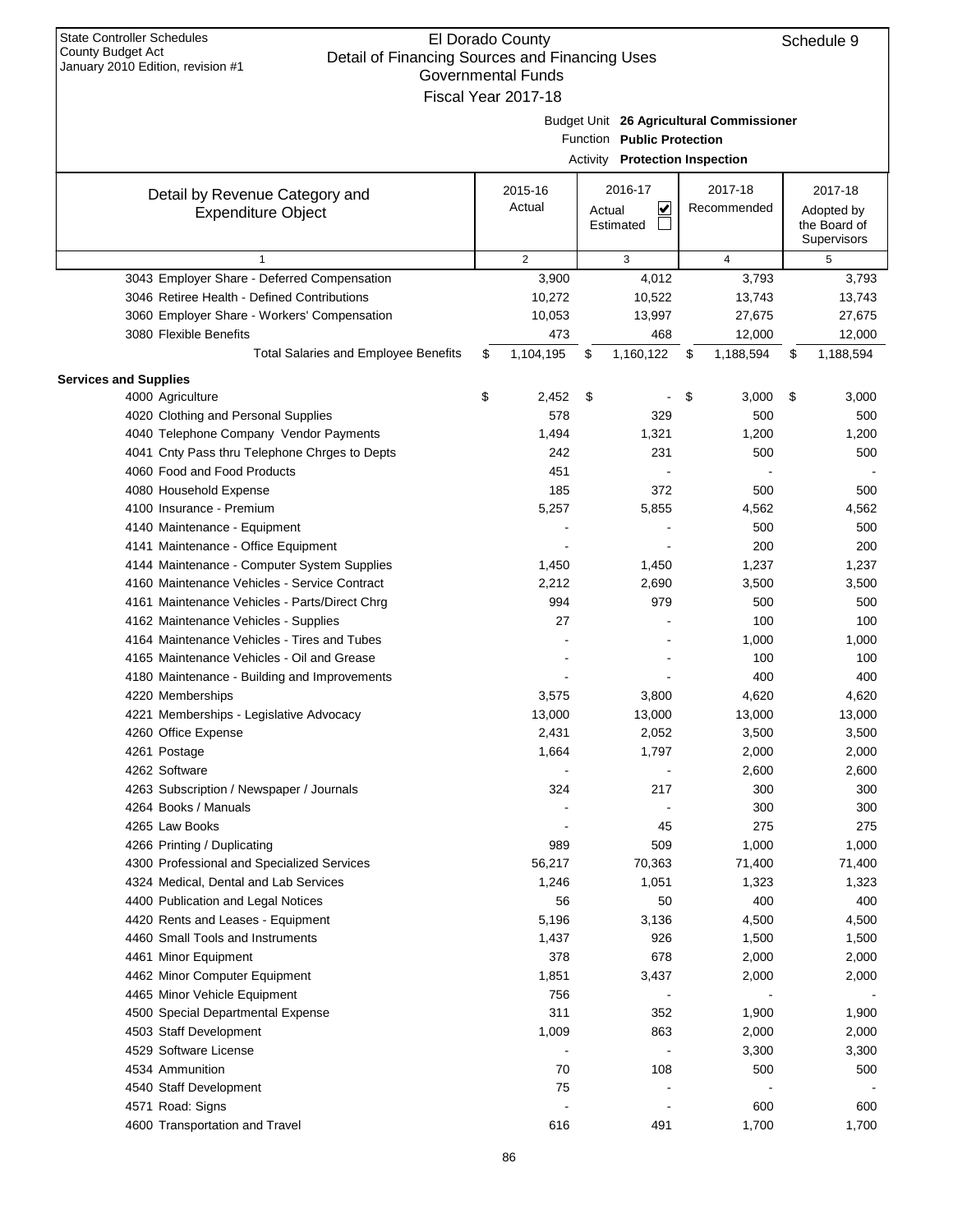| January 2010 Edition, revision #1             | <b>Governmental Funds</b> |                                   |                                          |                 |
|-----------------------------------------------|---------------------------|-----------------------------------|------------------------------------------|-----------------|
|                                               | Fiscal Year 2017-18       |                                   |                                          |                 |
|                                               |                           |                                   | Budget Unit 26 Agricultural Commissioner |                 |
|                                               |                           | Function Public Protection        |                                          |                 |
|                                               |                           | Activity Protection Inspection    |                                          |                 |
|                                               |                           |                                   |                                          |                 |
| Detail by Revenue Category and                | 2015-16                   | 2016-17                           | 2017-18                                  | 2017-18         |
| <b>Expenditure Object</b>                     | Actual                    | $\overline{\mathbf{v}}$<br>Actual | Recommended                              | Adopted by      |
|                                               |                           | Estimated                         |                                          | the Board of    |
|                                               |                           |                                   |                                          | Supervisors     |
| $\mathbf{1}$                                  | 2                         | 3                                 | 4                                        | 5               |
| 3043 Employer Share - Deferred Compensation   | 3,900                     | 4,012                             | 3,793                                    | 3,793           |
| 3046 Retiree Health - Defined Contributions   | 10,272                    | 10,522                            | 13,743                                   | 13,743          |
| 3060 Employer Share - Workers' Compensation   | 10,053                    | 13,997                            | 27,675                                   | 27,675          |
| 3080 Flexible Benefits                        | 473                       | 468                               | 12,000                                   | 12,000          |
| <b>Total Salaries and Employee Benefits</b>   | \$<br>1,104,195           | \$<br>1,160,122                   | \$<br>1,188,594                          | \$<br>1,188,594 |
| <b>Services and Supplies</b>                  |                           |                                   |                                          |                 |
| 4000 Agriculture                              | \$<br>2,452               | \$                                | \$<br>3,000                              | \$<br>3,000     |
| 4020 Clothing and Personal Supplies           | 578                       | 329                               | 500                                      | 500             |
| 4040 Telephone Company Vendor Payments        | 1,494                     | 1,321                             | 1,200                                    | 1,200           |
| 4041 Cnty Pass thru Telephone Chrges to Depts | 242                       | 231                               | 500                                      | 500             |
| 4060 Food and Food Products                   | 451                       |                                   |                                          |                 |
| 4080 Household Expense                        | 185                       | 372                               | 500                                      | 500             |
| 4100 Insurance - Premium                      | 5,257                     | 5,855                             | 4,562                                    | 4,562           |
| 4140 Maintenance - Equipment                  |                           |                                   | 500                                      | 500             |
| 4141 Maintenance - Office Equipment           |                           |                                   | 200                                      | 200             |
| 4144 Maintenance - Computer System Supplies   | 1,450                     | 1,450                             | 1,237                                    | 1,237           |
| 4160 Maintenance Vehicles - Service Contract  | 2,212                     | 2,690                             | 3,500                                    | 3,500           |
| 4161 Maintenance Vehicles - Parts/Direct Chrg | 994                       | 979                               | 500                                      | 500             |
| 4162 Maintenance Vehicles - Supplies          | 27                        |                                   | 100                                      | 100             |
| 4164 Maintenance Vehicles - Tires and Tubes   |                           |                                   | 1,000                                    | 1,000           |
| 4165 Maintenance Vehicles - Oil and Grease    |                           |                                   | 100                                      | 100             |
| 4180 Maintenance - Building and Improvements  |                           |                                   | 400                                      | 400             |
| 4220 Memberships                              | 3,575                     | 3,800                             | 4,620                                    | 4,620           |
| 4221 Memberships - Legislative Advocacy       | 13,000                    | 13,000                            | 13,000                                   | 13,000          |
| 4260 Office Expense                           | 2,431                     | 2,052                             | 3,500                                    | 3,500           |
| 4261 Postage                                  | 1,664                     | 1,797                             | 2,000                                    | 2,000           |
| 4262 Software                                 | $\overline{\phantom{a}}$  |                                   | 2,600                                    | 2,600           |
| 4263 Subscription / Newspaper / Journals      | 324                       | 217                               | 300                                      | 300             |
| 4264 Books / Manuals                          |                           |                                   | 300                                      | 300             |
| 4265 Law Books                                |                           | 45                                | 275                                      | 275             |
| 4266 Printing / Duplicating                   | 989                       | 509                               | 1,000                                    | 1,000           |
| 4300 Professional and Specialized Services    | 56,217                    | 70,363                            | 71,400                                   | 71,400          |
| 4324 Medical, Dental and Lab Services         | 1,246                     | 1,051                             | 1,323                                    | 1,323           |
|                                               |                           | 50                                |                                          | 400             |
| 4400 Publication and Legal Notices            | 56                        |                                   | 400                                      |                 |
| 4420 Rents and Leases - Equipment             | 5,196                     | 3,136                             | 4,500                                    | 4,500           |
| 4460 Small Tools and Instruments              | 1,437                     | 926                               | 1,500                                    | 1,500           |
| 4461 Minor Equipment                          | 378                       | 678                               | 2,000                                    | 2,000           |
| 4462 Minor Computer Equipment                 | 1,851                     | 3,437                             | 2,000                                    | 2,000           |
| 4465 Minor Vehicle Equipment                  | 756                       |                                   |                                          |                 |
| 4500 Special Departmental Expense             | 311                       | 352                               | 1,900                                    | 1,900           |
| 4503 Staff Development                        | 1,009                     | 863                               | 2,000                                    | 2,000           |
| 4529 Software License                         |                           |                                   | 3,300                                    | 3,300           |
| 4534 Ammunition                               | 70                        | 108                               | 500                                      | 500             |
| 4540 Staff Development                        | 75                        |                                   |                                          |                 |
| 4571 Road: Signs                              |                           |                                   | 600                                      | 600             |
| 4600 Transportation and Travel                | 616                       | 491                               | 1,700                                    | 1,700           |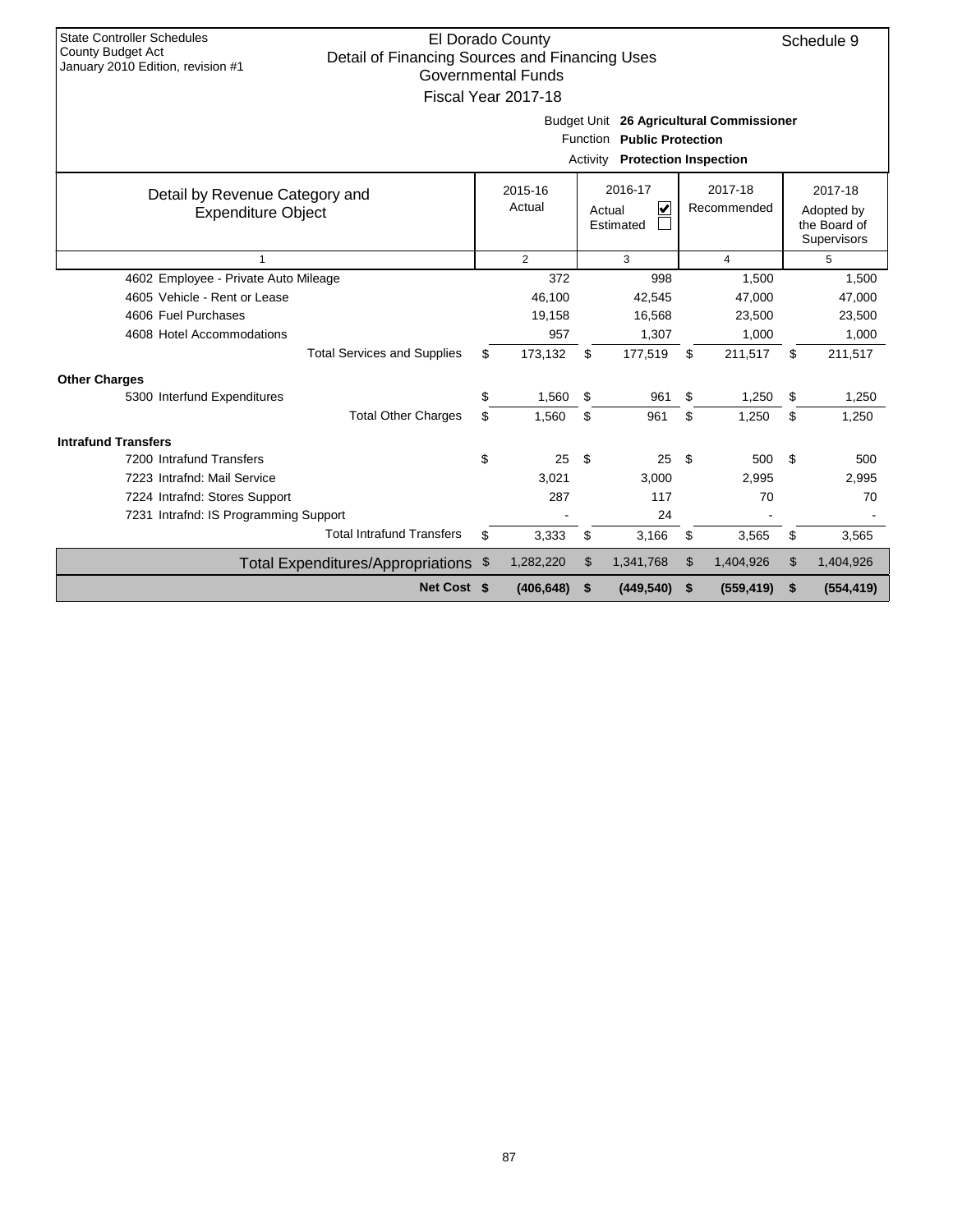| <b>State Controller Schedules</b><br>El Dorado County<br>Schedule 9<br><b>County Budget Act</b><br>Detail of Financing Sources and Financing Uses<br>January 2010 Edition, revision #1<br>Governmental Funds<br>Fiscal Year 2017-18 |    |                   |    |                                     |    |                        |    |                                                      |  |  |
|-------------------------------------------------------------------------------------------------------------------------------------------------------------------------------------------------------------------------------------|----|-------------------|----|-------------------------------------|----|------------------------|----|------------------------------------------------------|--|--|
| Budget Unit 26 Agricultural Commissioner<br>Function Public Protection<br><b>Activity Protection Inspection</b>                                                                                                                     |    |                   |    |                                     |    |                        |    |                                                      |  |  |
| Detail by Revenue Category and<br><b>Expenditure Object</b>                                                                                                                                                                         |    | 2015-16<br>Actual |    | 2016-17<br>V<br>Actual<br>Estimated |    | 2017-18<br>Recommended |    | 2017-18<br>Adopted by<br>the Board of<br>Supervisors |  |  |
| $\overline{2}$<br>$\overline{4}$<br>3<br>5<br>$\mathbf{1}$                                                                                                                                                                          |    |                   |    |                                     |    |                        |    |                                                      |  |  |
| 4602 Employee - Private Auto Mileage                                                                                                                                                                                                |    | 372               |    | 998                                 |    | 1,500                  |    | 1,500                                                |  |  |
| 4605 Vehicle - Rent or Lease                                                                                                                                                                                                        |    | 46.100            |    | 42.545                              |    | 47.000                 |    | 47.000                                               |  |  |
| 4606 Fuel Purchases                                                                                                                                                                                                                 |    | 19,158            |    | 16,568                              |    | 23,500                 |    | 23,500                                               |  |  |
| 4608 Hotel Accommodations                                                                                                                                                                                                           |    | 957               |    | 1,307                               |    | 1,000                  |    | 1,000                                                |  |  |
| <b>Total Services and Supplies</b>                                                                                                                                                                                                  | \$ | 173,132           | \$ | 177,519                             | \$ | 211,517                | \$ | 211,517                                              |  |  |
| <b>Other Charges</b>                                                                                                                                                                                                                |    |                   |    |                                     |    |                        |    |                                                      |  |  |
| 5300 Interfund Expenditures                                                                                                                                                                                                         | \$ | 1,560             | \$ | 961                                 | \$ | 1,250                  | \$ | 1,250                                                |  |  |
| <b>Total Other Charges</b>                                                                                                                                                                                                          | \$ | 1,560             | \$ | 961                                 | \$ | 1,250                  | \$ | 1,250                                                |  |  |
| <b>Intrafund Transfers</b>                                                                                                                                                                                                          |    |                   |    |                                     |    |                        |    |                                                      |  |  |
| 7200 Intrafund Transfers                                                                                                                                                                                                            | \$ | 25                | \$ | 25                                  | \$ | 500                    | \$ | 500                                                  |  |  |
| 7223 Intrafnd: Mail Service                                                                                                                                                                                                         |    | 3,021             |    | 3.000                               |    | 2,995                  |    | 2.995                                                |  |  |
| 7224 Intrafnd: Stores Support                                                                                                                                                                                                       |    | 287               |    | 117                                 |    | 70                     |    | 70                                                   |  |  |
| 7231 Intrafnd: IS Programming Support                                                                                                                                                                                               |    |                   |    | 24                                  |    |                        |    |                                                      |  |  |
| <b>Total Intrafund Transfers</b>                                                                                                                                                                                                    | \$ | 3,333             | \$ | 3,166                               | \$ | 3,565                  | \$ | 3,565                                                |  |  |
| Total Expenditures/Appropriations \$                                                                                                                                                                                                |    | 1,282,220         | \$ | 1,341,768                           | \$ | 1,404,926              | \$ | 1,404,926                                            |  |  |
| Net Cost \$                                                                                                                                                                                                                         |    | (406, 648)        | \$ | (449, 540)                          | \$ | (559, 419)             | \$ | (554, 419)                                           |  |  |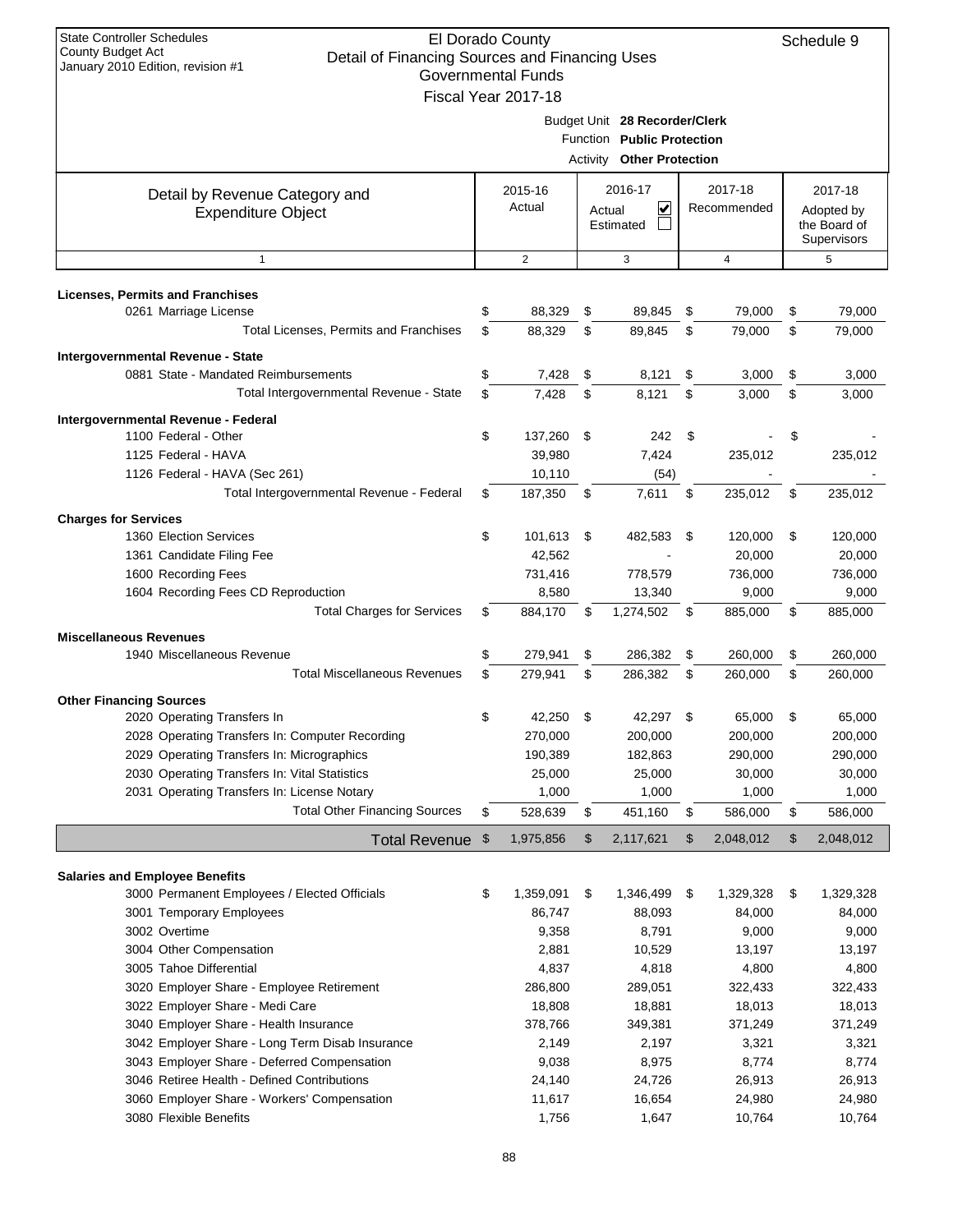| <b>State Controller Schedules</b><br>El Dorado County<br>Schedule 9<br><b>County Budget Act</b><br>Detail of Financing Sources and Financing Uses<br>January 2010 Edition, revision #1<br><b>Governmental Funds</b> |                                                   |                     |    |                                                                                                 |      |                |                                           |           |  |  |
|---------------------------------------------------------------------------------------------------------------------------------------------------------------------------------------------------------------------|---------------------------------------------------|---------------------|----|-------------------------------------------------------------------------------------------------|------|----------------|-------------------------------------------|-----------|--|--|
|                                                                                                                                                                                                                     |                                                   | Fiscal Year 2017-18 |    |                                                                                                 |      |                |                                           |           |  |  |
|                                                                                                                                                                                                                     |                                                   |                     |    | Budget Unit 28 Recorder/Clerk<br>Function Public Protection<br><b>Activity Other Protection</b> |      |                |                                           |           |  |  |
| Detail by Revenue Category and                                                                                                                                                                                      |                                                   | 2015-16             |    | 2016-17                                                                                         |      | 2017-18        |                                           | 2017-18   |  |  |
| <b>Expenditure Object</b>                                                                                                                                                                                           | Actual<br>V<br>Recommended<br>Actual<br>Estimated |                     |    |                                                                                                 |      |                | Adopted by<br>the Board of<br>Supervisors |           |  |  |
| $\mathbf{1}$                                                                                                                                                                                                        |                                                   | 2                   |    | 3                                                                                               |      | $\overline{4}$ |                                           | 5         |  |  |
| <b>Licenses, Permits and Franchises</b>                                                                                                                                                                             |                                                   |                     |    |                                                                                                 |      |                |                                           |           |  |  |
| 0261 Marriage License                                                                                                                                                                                               | \$                                                | 88,329              | \$ | 89,845                                                                                          | \$   | 79,000         | \$                                        | 79,000    |  |  |
| Total Licenses, Permits and Franchises                                                                                                                                                                              | \$                                                | 88,329              | \$ | 89,845                                                                                          | \$   | 79,000         | \$                                        | 79,000    |  |  |
| Intergovernmental Revenue - State                                                                                                                                                                                   |                                                   |                     |    |                                                                                                 |      |                |                                           |           |  |  |
| 0881 State - Mandated Reimbursements                                                                                                                                                                                | \$                                                | 7,428               | \$ | 8,121                                                                                           | \$   | 3,000          | \$                                        | 3,000     |  |  |
| Total Intergovernmental Revenue - State                                                                                                                                                                             | \$                                                | 7,428               | \$ | 8,121                                                                                           | \$   | 3,000          | \$                                        | 3,000     |  |  |
|                                                                                                                                                                                                                     |                                                   |                     |    |                                                                                                 |      |                |                                           |           |  |  |
| Intergovernmental Revenue - Federal<br>1100 Federal - Other                                                                                                                                                         | \$                                                | 137,260             | \$ | 242                                                                                             | \$   |                | \$                                        |           |  |  |
| 1125 Federal - HAVA                                                                                                                                                                                                 |                                                   | 39,980              |    | 7,424                                                                                           |      | 235,012        |                                           | 235,012   |  |  |
| 1126 Federal - HAVA (Sec 261)                                                                                                                                                                                       |                                                   | 10,110              |    | (54)                                                                                            |      |                |                                           |           |  |  |
| Total Intergovernmental Revenue - Federal                                                                                                                                                                           | \$                                                | 187,350             | \$ | 7,611                                                                                           | \$   | 235,012        | \$                                        | 235,012   |  |  |
| <b>Charges for Services</b>                                                                                                                                                                                         |                                                   |                     |    |                                                                                                 |      |                |                                           |           |  |  |
| 1360 Election Services                                                                                                                                                                                              | \$                                                | 101,613 \$          |    | 482,583                                                                                         | - \$ | 120,000        | \$                                        | 120,000   |  |  |
| 1361 Candidate Filing Fee                                                                                                                                                                                           |                                                   | 42,562              |    |                                                                                                 |      | 20,000         |                                           | 20,000    |  |  |
| 1600 Recording Fees                                                                                                                                                                                                 |                                                   | 731,416             |    | 778,579                                                                                         |      | 736,000        |                                           | 736,000   |  |  |
| 1604 Recording Fees CD Reproduction                                                                                                                                                                                 |                                                   | 8,580               |    | 13,340                                                                                          |      | 9,000          |                                           | 9,000     |  |  |
| <b>Total Charges for Services</b>                                                                                                                                                                                   | \$                                                | 884,170             | S  | 1,274,502                                                                                       | S    | 885,000        | \$                                        | 885,000   |  |  |
| <b>Miscellaneous Revenues</b>                                                                                                                                                                                       |                                                   |                     |    |                                                                                                 |      |                |                                           |           |  |  |
| 1940 Miscellaneous Revenue                                                                                                                                                                                          | \$                                                | 279,941             | \$ | 286,382                                                                                         | \$   | 260,000        | \$                                        | 260,000   |  |  |
| <b>Total Miscellaneous Revenues</b>                                                                                                                                                                                 | \$                                                | 279,941             | \$ | 286,382                                                                                         | \$   | 260,000        | \$                                        | 260,000   |  |  |
| <b>Other Financing Sources</b>                                                                                                                                                                                      |                                                   |                     |    |                                                                                                 |      |                |                                           |           |  |  |
| 2020 Operating Transfers In                                                                                                                                                                                         | \$                                                | 42,250              | \$ | 42,297                                                                                          | \$   | 65,000         | \$                                        | 65,000    |  |  |
| 2028 Operating Transfers In: Computer Recording                                                                                                                                                                     |                                                   | 270,000             |    | 200,000                                                                                         |      | 200,000        |                                           | 200,000   |  |  |
| 2029 Operating Transfers In: Micrographics                                                                                                                                                                          |                                                   | 190,389             |    | 182,863                                                                                         |      | 290,000        |                                           | 290,000   |  |  |
| 2030 Operating Transfers In: Vital Statistics                                                                                                                                                                       |                                                   | 25,000              |    | 25,000                                                                                          |      | 30,000         |                                           | 30,000    |  |  |
| 2031 Operating Transfers In: License Notary                                                                                                                                                                         |                                                   | 1,000               |    | 1,000                                                                                           |      | 1,000          |                                           | 1,000     |  |  |
| <b>Total Other Financing Sources</b>                                                                                                                                                                                | \$                                                | 528,639             | \$ | 451,160                                                                                         | \$   | 586,000        | \$                                        | 586,000   |  |  |
| Total Revenue \$                                                                                                                                                                                                    |                                                   | 1,975,856           | \$ | 2,117,621                                                                                       | \$   | 2,048,012      | \$                                        | 2,048,012 |  |  |
| <b>Salaries and Employee Benefits</b>                                                                                                                                                                               |                                                   |                     |    |                                                                                                 |      |                |                                           |           |  |  |
| 3000 Permanent Employees / Elected Officials                                                                                                                                                                        | \$                                                | 1,359,091           | \$ | 1,346,499                                                                                       | \$   | 1,329,328      | \$                                        | 1,329,328 |  |  |
| 3001 Temporary Employees                                                                                                                                                                                            |                                                   | 86,747              |    | 88,093                                                                                          |      | 84,000         |                                           | 84,000    |  |  |
| 3002 Overtime                                                                                                                                                                                                       |                                                   | 9,358               |    | 8,791                                                                                           |      | 9,000          |                                           | 9,000     |  |  |
| 3004 Other Compensation                                                                                                                                                                                             |                                                   | 2,881               |    | 10,529                                                                                          |      | 13,197         |                                           | 13,197    |  |  |
| 3005 Tahoe Differential                                                                                                                                                                                             |                                                   | 4,837               |    | 4,818                                                                                           |      | 4,800          |                                           | 4,800     |  |  |
| 3020 Employer Share - Employee Retirement                                                                                                                                                                           |                                                   | 286,800             |    | 289,051                                                                                         |      | 322,433        |                                           | 322,433   |  |  |
| 3022 Employer Share - Medi Care                                                                                                                                                                                     |                                                   | 18,808              |    | 18,881                                                                                          |      | 18,013         |                                           | 18,013    |  |  |
| 3040 Employer Share - Health Insurance                                                                                                                                                                              |                                                   | 378,766             |    | 349,381                                                                                         |      | 371,249        |                                           | 371,249   |  |  |
| 3042 Employer Share - Long Term Disab Insurance                                                                                                                                                                     |                                                   | 2,149               |    | 2,197                                                                                           |      | 3,321          |                                           | 3,321     |  |  |
| 3043 Employer Share - Deferred Compensation                                                                                                                                                                         |                                                   | 9,038               |    | 8,975                                                                                           |      | 8,774          |                                           | 8,774     |  |  |
| 3046 Retiree Health - Defined Contributions                                                                                                                                                                         |                                                   | 24,140              |    | 24,726                                                                                          |      | 26,913         |                                           | 26,913    |  |  |
| 3060 Employer Share - Workers' Compensation<br>3080 Flexible Benefits                                                                                                                                               |                                                   | 11,617              |    | 16,654                                                                                          |      | 24,980         |                                           | 24,980    |  |  |
|                                                                                                                                                                                                                     |                                                   | 1,756               |    | 1,647                                                                                           |      | 10,764         |                                           | 10,764    |  |  |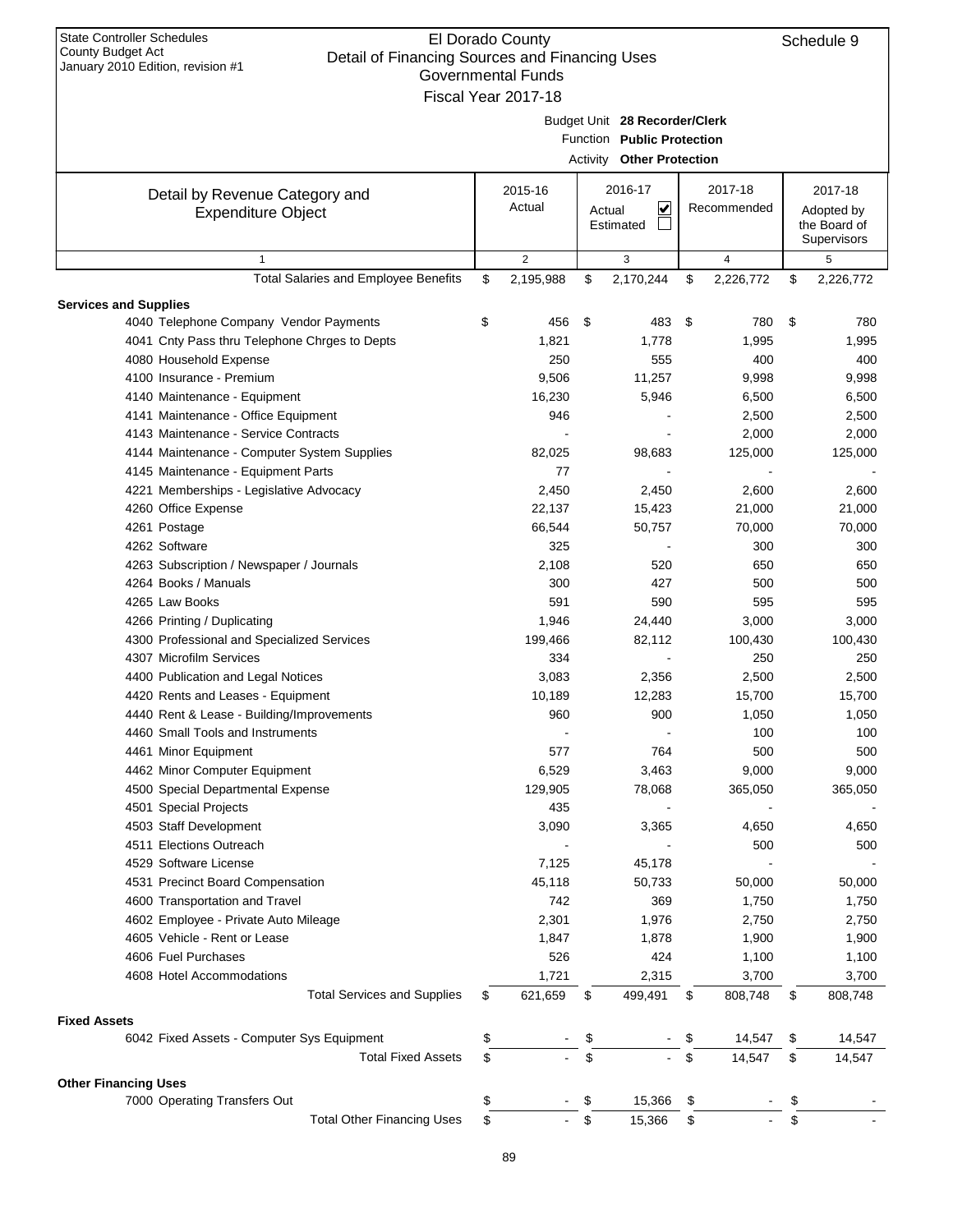| <b>State Controller Schedules</b><br>El Dorado County<br>Schedule 9<br>County Budget Act<br>Detail of Financing Sources and Financing Uses<br>January 2010 Edition, revision #1<br><b>Governmental Funds</b><br>Fiscal Year 2017-18 |    |                   |    |                                                                                                 |    |                        |    |                                                      |  |
|-------------------------------------------------------------------------------------------------------------------------------------------------------------------------------------------------------------------------------------|----|-------------------|----|-------------------------------------------------------------------------------------------------|----|------------------------|----|------------------------------------------------------|--|
|                                                                                                                                                                                                                                     |    |                   |    | Budget Unit 28 Recorder/Clerk<br>Function Public Protection<br><b>Activity Other Protection</b> |    |                        |    |                                                      |  |
| Detail by Revenue Category and<br><b>Expenditure Object</b>                                                                                                                                                                         |    | 2015-16<br>Actual |    | 2016-17<br>⊻<br>Actual<br>Estimated                                                             |    | 2017-18<br>Recommended |    | 2017-18<br>Adopted by<br>the Board of<br>Supervisors |  |
| $\mathbf{1}$                                                                                                                                                                                                                        |    | 2                 |    | 3                                                                                               |    | 4                      |    | 5                                                    |  |
| <b>Total Salaries and Employee Benefits</b>                                                                                                                                                                                         | \$ | 2,195,988         | \$ | 2,170,244                                                                                       | \$ | 2,226,772              | \$ | 2,226,772                                            |  |
| <b>Services and Supplies</b>                                                                                                                                                                                                        |    |                   |    |                                                                                                 |    |                        |    |                                                      |  |
| 4040 Telephone Company Vendor Payments                                                                                                                                                                                              | \$ | 456               | \$ | 483                                                                                             | \$ | 780                    | \$ | 780                                                  |  |
| 4041 Cnty Pass thru Telephone Chrges to Depts                                                                                                                                                                                       |    | 1,821             |    | 1,778                                                                                           |    | 1,995                  |    | 1,995                                                |  |
| 4080 Household Expense                                                                                                                                                                                                              |    | 250               |    | 555                                                                                             |    | 400                    |    | 400                                                  |  |
| 4100 Insurance - Premium                                                                                                                                                                                                            |    | 9,506             |    | 11,257                                                                                          |    | 9,998                  |    | 9,998                                                |  |
| 4140 Maintenance - Equipment                                                                                                                                                                                                        |    | 16,230            |    | 5,946                                                                                           |    | 6,500                  |    | 6,500                                                |  |
| 4141 Maintenance - Office Equipment                                                                                                                                                                                                 |    | 946               |    |                                                                                                 |    | 2,500                  |    | 2,500                                                |  |
| 4143 Maintenance - Service Contracts                                                                                                                                                                                                |    |                   |    |                                                                                                 |    | 2,000                  |    | 2,000                                                |  |
| 4144 Maintenance - Computer System Supplies                                                                                                                                                                                         |    | 82,025            |    | 98,683                                                                                          |    | 125,000                |    | 125,000                                              |  |
| 4145 Maintenance - Equipment Parts                                                                                                                                                                                                  |    | 77                |    |                                                                                                 |    |                        |    |                                                      |  |
| 4221 Memberships - Legislative Advocacy                                                                                                                                                                                             |    | 2,450             |    | 2,450                                                                                           |    | 2,600                  |    | 2,600                                                |  |
| 4260 Office Expense                                                                                                                                                                                                                 |    | 22,137            |    | 15,423                                                                                          |    | 21,000                 |    | 21,000                                               |  |
| 4261 Postage                                                                                                                                                                                                                        |    | 66,544            |    | 50,757                                                                                          |    | 70,000                 |    | 70,000                                               |  |
| 4262 Software                                                                                                                                                                                                                       |    | 325               |    |                                                                                                 |    | 300                    |    | 300                                                  |  |
| 4263 Subscription / Newspaper / Journals                                                                                                                                                                                            |    | 2,108             |    | 520                                                                                             |    | 650                    |    | 650                                                  |  |
| 4264 Books / Manuals                                                                                                                                                                                                                |    | 300               |    | 427                                                                                             |    | 500                    |    | 500                                                  |  |
| 4265 Law Books                                                                                                                                                                                                                      |    | 591               |    | 590                                                                                             |    | 595                    |    | 595                                                  |  |
| 4266 Printing / Duplicating                                                                                                                                                                                                         |    | 1,946             |    | 24,440                                                                                          |    | 3,000                  |    | 3,000                                                |  |
| 4300 Professional and Specialized Services                                                                                                                                                                                          |    | 199,466           |    | 82,112                                                                                          |    | 100,430                |    | 100,430                                              |  |
| 4307 Microfilm Services                                                                                                                                                                                                             |    | 334               |    |                                                                                                 |    | 250                    |    | 250                                                  |  |
| 4400 Publication and Legal Notices                                                                                                                                                                                                  |    | 3,083             |    | 2,356                                                                                           |    | 2,500                  |    | 2,500                                                |  |
| 4420 Rents and Leases - Equipment                                                                                                                                                                                                   |    | 10,189            |    | 12,283                                                                                          |    | 15,700                 |    | 15,700                                               |  |
| 4440 Rent & Lease - Building/Improvements                                                                                                                                                                                           |    | 960               |    | 900                                                                                             |    | 1,050                  |    | 1,050                                                |  |
| 4460 Small Tools and Instruments                                                                                                                                                                                                    |    |                   |    |                                                                                                 |    | 100                    |    | 100                                                  |  |
| 4461 Minor Equipment                                                                                                                                                                                                                |    | 577               |    | 764                                                                                             |    | 500                    |    | 500                                                  |  |
| 4462 Minor Computer Equipment                                                                                                                                                                                                       |    | 6,529             |    | 3,463                                                                                           |    | 9,000                  |    | 9,000                                                |  |
| 4500 Special Departmental Expense                                                                                                                                                                                                   |    | 129,905           |    | 78,068                                                                                          |    | 365,050                |    | 365,050                                              |  |
| 4501 Special Projects                                                                                                                                                                                                               |    | 435               |    |                                                                                                 |    |                        |    |                                                      |  |
| 4503 Staff Development                                                                                                                                                                                                              |    | 3,090             |    | 3,365                                                                                           |    | 4,650                  |    | 4,650                                                |  |
| 4511 Elections Outreach                                                                                                                                                                                                             |    |                   |    |                                                                                                 |    | 500                    |    | 500                                                  |  |
| 4529 Software License                                                                                                                                                                                                               |    | 7,125             |    | 45,178                                                                                          |    |                        |    |                                                      |  |
| 4531 Precinct Board Compensation                                                                                                                                                                                                    |    | 45,118            |    | 50,733                                                                                          |    | 50,000                 |    | 50,000                                               |  |
| 4600 Transportation and Travel                                                                                                                                                                                                      |    | 742               |    | 369                                                                                             |    | 1,750                  |    | 1,750                                                |  |
| 4602 Employee - Private Auto Mileage                                                                                                                                                                                                |    | 2,301             |    | 1,976                                                                                           |    | 2,750                  |    | 2,750                                                |  |
| 4605 Vehicle - Rent or Lease                                                                                                                                                                                                        |    | 1,847             |    | 1,878                                                                                           |    | 1,900                  |    | 1,900                                                |  |
| 4606 Fuel Purchases                                                                                                                                                                                                                 |    | 526               |    | 424                                                                                             |    | 1,100                  |    | 1,100                                                |  |
| 4608 Hotel Accommodations                                                                                                                                                                                                           |    | 1,721             |    | 2,315                                                                                           |    | 3,700                  |    | 3,700                                                |  |
| <b>Total Services and Supplies</b>                                                                                                                                                                                                  | \$ | 621,659           | \$ | 499,491                                                                                         | \$ | 808,748                | \$ | 808,748                                              |  |
| <b>Fixed Assets</b>                                                                                                                                                                                                                 |    |                   |    |                                                                                                 |    |                        |    |                                                      |  |
| 6042 Fixed Assets - Computer Sys Equipment                                                                                                                                                                                          | \$ |                   | \$ |                                                                                                 |    | 14,547                 | \$ | 14,547                                               |  |
| <b>Total Fixed Assets</b>                                                                                                                                                                                                           | \$ |                   | \$ |                                                                                                 | \$ | 14,547                 | \$ | 14,547                                               |  |
| <b>Other Financing Uses</b>                                                                                                                                                                                                         |    |                   |    |                                                                                                 |    |                        |    |                                                      |  |
| 7000 Operating Transfers Out                                                                                                                                                                                                        | \$ |                   | \$ | 15,366                                                                                          | \$ |                        | \$ |                                                      |  |
| <b>Total Other Financing Uses</b>                                                                                                                                                                                                   | \$ |                   | \$ | 15,366                                                                                          | \$ |                        | \$ |                                                      |  |